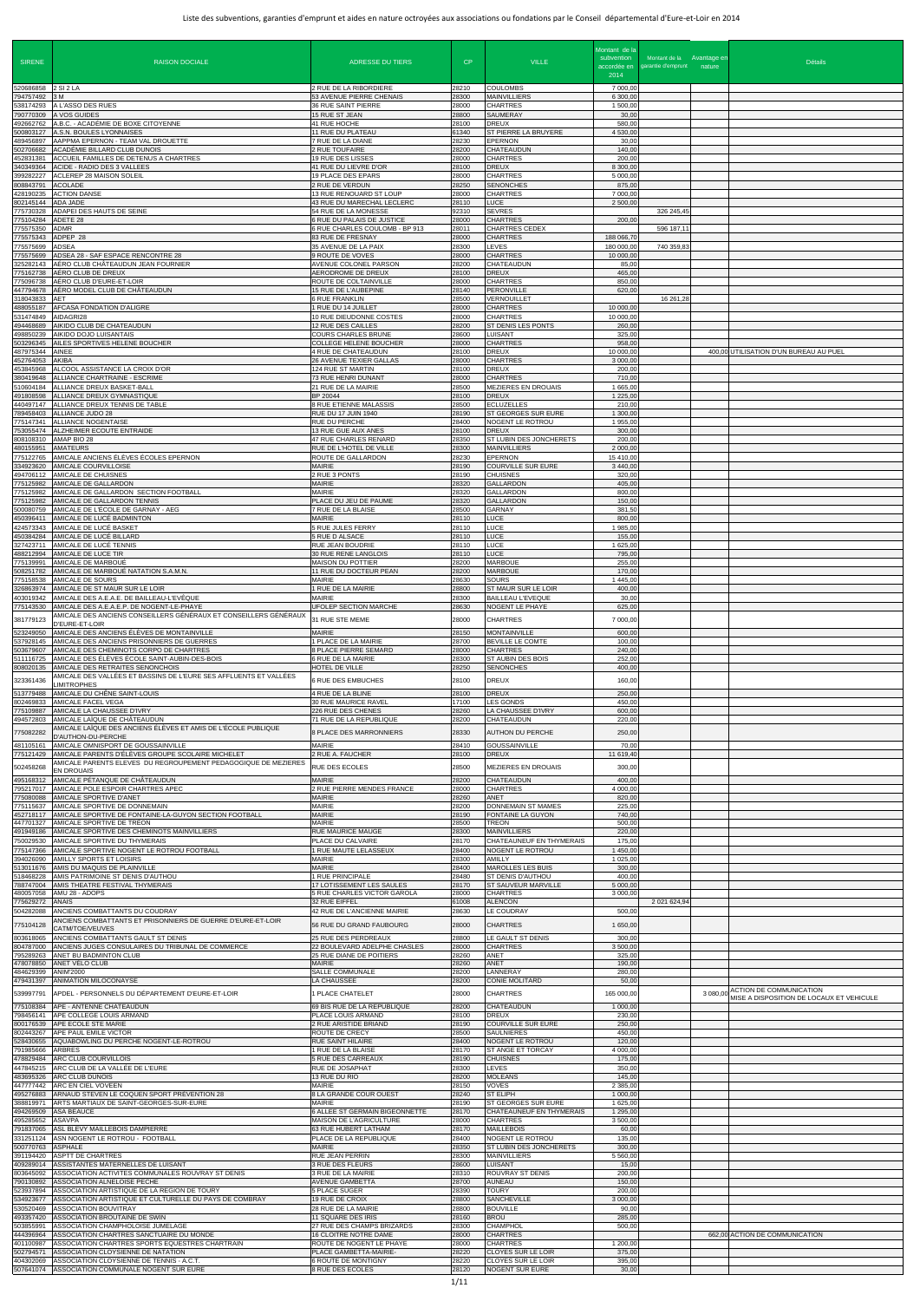| <b>SIRENE</b>                       | <b>RAISON DOCIALE</b>                                                                                                                                      | <b>ADRESSE DU TIERS</b>                                                              | CP                      | <b>VILLE</b>                                                                | Montant de la<br>subvention<br>accordée en | Montant de la Avantage en<br>garantie d'emprunt nature | <b>Détails</b>                                                                  |
|-------------------------------------|------------------------------------------------------------------------------------------------------------------------------------------------------------|--------------------------------------------------------------------------------------|-------------------------|-----------------------------------------------------------------------------|--------------------------------------------|--------------------------------------------------------|---------------------------------------------------------------------------------|
| 520686858                           | 2 SI 2 LA                                                                                                                                                  | 2 RUE DE LA RIBORDIERE                                                               | 28210                   | <b>COULOMBS</b>                                                             | 2014<br>7 000,00                           |                                                        |                                                                                 |
| 794757492<br>538174293<br>790770309 | 3 M<br>A L'ASSO DES RUES<br><b>A VOS GUIDES</b>                                                                                                            | 53 AVENUE PIERRE CHENAIS<br>36 RUE SAINT PIERRE<br>15 RUE ST JEAN                    | 28300<br>28000<br>28800 | <b>MAINVILLIERS</b><br>CHARTRES<br>SAUMERAY                                 | 6 300,00<br>1 500,00<br>30,00              |                                                        |                                                                                 |
| 492662762<br>500803127              | A.B.C. - ACADÉMIE DE BOXE CITOYENNE<br>A.S.N. BOULES LYONNAISES                                                                                            | 41 RUE HOCHE<br>11 RUE DU PLATEAU                                                    | 28100<br>61340          | <b>DREUX</b><br>ST PIERRE LA BRUYERE                                        | 580,00<br>4 530,00                         |                                                        |                                                                                 |
| 489456897<br>502706682<br>452831381 | AAPPMA EPERNON - TEAM VAL DROUETTE<br>ACADÉMIE BILLARD CLUB DUNOIS<br>ACCUEIL FAMILLES DE DETENUS A CHARTRES                                               | 7 RUE DE LA DIANE<br>2 RUE TOUFAIRE<br>19 RUE DES LISSES                             | 28230<br>28200<br>28000 | <b>EPERNON</b><br><b>CHATEAUDUN</b><br><b>CHARTRES</b>                      | 30,00<br>140,00<br>200,00                  |                                                        |                                                                                 |
| 340349364<br>399282227<br>08843791  | ACIDE - RADIO DES 3 VALLEES<br>ACLEREP 28 MAISON SOLEIL<br><b>ACOLADE</b>                                                                                  | 41 RUE DU LIEVRE D'OR<br>19 PLACE DES EPARS<br>2 RUE DE VERDUN                       | 28100<br>28000<br>28250 | <b>DREUX</b><br><b>CHARTRES</b><br><b>SENONCHES</b>                         | 8 300,00<br>5 000,00<br>875,00             |                                                        |                                                                                 |
| 428190235<br>802145144              | <b>ACTION DANSE</b><br>ADA JADE                                                                                                                            | 13 RUE RENOUARD ST LOUP<br>43 RUE DU MARECHAL LECLERC                                | 28000<br>28110          | <b>CHARTRES</b><br><b>LUCE</b>                                              | 7 000,00<br>2 500,00                       |                                                        |                                                                                 |
| 775730328<br>775104284<br>775575350 | ADAPEI DES HAUTS DE SEINE<br>ADETE 28<br>ADMR                                                                                                              | 54 RUE DE LA MONESSE<br>6 RUE DU PALAIS DE JUSTICE<br>6 RUE CHARLES COULOMB - BP 913 | 92310<br>28000<br>28011 | <b>SEVRES</b><br><b>CHARTRES</b><br><b>CHARTRES CEDEX</b>                   | 200,00                                     | 326 245,45<br>596 187,11                               |                                                                                 |
| 75575343<br>775575699               | ADPEP 28<br>ADSEA                                                                                                                                          | 83 RUE DE FRESNAY<br>35 AVENUE DE LA PAIX                                            | 28000<br>28300          | CHARTRES<br>LEVES                                                           | 188 066,7<br>180 000,00                    | 740 359,83                                             |                                                                                 |
| 775575699<br>25282143<br>775162738  | ADSEA 28 - SAF ESPACE RENCONTRE 28<br>AÉRO CLUB CHÂTEAUDUN JEAN FOURNIER<br>AÉRO CLUB DE DREUX                                                             | 9 ROUTE DE VOVES<br>AVENUE COLONEL PARSON<br>AERODROME DE DREUX                      | 28000<br>28200<br>28100 | <b>CHARTRES</b><br>CHATEAUDUN<br><b>DREUX</b>                               | 10 000,0<br>85,00<br>465,00                |                                                        |                                                                                 |
| 775096738<br>447794678<br>318043833 | AÉRO CLUB D'EURE-ET-LOIR<br>AÉRO MODEL CLUB DE CHÂTEAUDUN<br>AET                                                                                           | ROUTE DE COLTAINVILLE<br>15 RUE DE L'AUBEPINE<br><b>6 RUE FRANKLIN</b>               | 28000<br>28140<br>28500 | <b>CHARTRES</b><br><b>PERONVILLE</b><br>VERNOUILLET                         | 850,00<br>620,00                           | 16 261,28                                              |                                                                                 |
| 488055187<br>531474849              | AFCASA FONDATION D'ALIGRE<br>AIDAGRI28                                                                                                                     | 1 RUE DU 14 JUILLET<br>10 RUE DIEUDONNE COSTES                                       | 28000<br>28000          | <b>CHARTRES</b><br><b>CHARTRES</b>                                          | 10 000,00<br>10 000,00                     |                                                        |                                                                                 |
| 494468689<br>498850239<br>503296345 | AIKIDO CLUB DE CHATEAUDUN<br>AIKIDO DOJO LUISANTAIS<br>AILES SPORTIVES HELENE BOUCHER                                                                      | 12 RUE DES CAILLES<br><b>COURS CHARLES BRUNE</b><br><b>COLLEGE HELENE BOUCHER</b>    | 28200<br>28600<br>28000 | ST DENIS LES PONTS<br><b>LUISANT</b><br><b>CHARTRES</b>                     | 260,00<br>325,00<br>958,00                 |                                                        |                                                                                 |
| 487975344<br>452764053              | AINEE<br>AKIBA                                                                                                                                             | 4 RUE DE CHATEAUDUN<br>26 AVENUE TEXIER GALLAS                                       | 28100<br>28000          | <b>DREUX</b><br><b>CHARTRES</b>                                             | 10 000,00<br>3 000,00                      |                                                        | 400,00 UTILISATION D'UN BUREAU AU PUEL                                          |
| 453845968<br>380419648<br>510604184 | ALCOOL ASSISTANCE LA CROIX D'OR<br>ALLIANCE CHARTRAINE - ESCRIME<br>ALLIANCE DREUX BASKET-BALL                                                             | 124 RUE ST MARTIN<br>73 RUE HENRI DUNANT<br>21 RUE DE LA MAIRIE                      | 28100<br>28000<br>28500 | <b>DREUX</b><br><b>CHARTRES</b><br>MEZIERES EN DROUAIS                      | 200,00<br>710,00<br>1 665,00               |                                                        |                                                                                 |
| 491808598<br>440497147<br>789458403 | ALLIANCE DREUX GYMNASTIQUE<br>ALLIANCE DREUX TENNIS DE TABLE<br>ALLIANCE JUDO 28                                                                           | BP 20044<br>8 RUE ETIENNE MALASSIS<br>RUE DU 17 JUIN 1940                            | 28100<br>28500<br>28190 | <b>DREUX</b><br><b>ECLUZELLES</b><br>ST GEORGES SUR EURE                    | 1 2 2 5 , 0<br>210,00<br>1 300,00          |                                                        |                                                                                 |
| 775147341<br>753055474              | ALLIANCE NOGENTAISE<br>ALZHEIMER ECOUTE ENTRAIDE                                                                                                           | RUE DU PERCHE<br>13 RUE GUE AUX ANES                                                 | 28400<br>28100          | NOGENT LE ROTROU<br><b>DREUX</b>                                            | 1 955,00<br>300,00                         |                                                        |                                                                                 |
| 808108310<br>480155951<br>775122765 | AMAP BIO 28<br>AMATEURS<br>AMICALE ANCIENS ÉLÈVES ÉCOLES EPERNON                                                                                           | 47 RUE CHARLES RENARD<br>RUE DE L'HOTEL DE VILLE<br>ROUTE DE GALLARDON               | 28350<br>28300<br>28230 | ST LUBIN DES JONCHERETS<br><b>MAINVILLIERS</b><br><b>EPERNON</b>            | 200,00<br>2 000,00<br>15 410,00            |                                                        |                                                                                 |
| 334923620<br>494706112              | AMICALE COURVILLOISE<br>AMICALE DE CHUISNES                                                                                                                | <b>MAIRIE</b><br>2 RUE 3 PONTS                                                       | 28190<br>28190          | <b>COURVILLE SUR EURE</b><br><b>CHUISNES</b>                                | 3 440.00<br>320,00                         |                                                        |                                                                                 |
| 775125982<br>75125982<br>775125982  | AMICALE DE GALLARDON<br>AMICALE DE GALLARDON SECTION FOOTBALL<br>AMICALE DE GALLARDON TENNIS                                                               | MAIRIE<br><b>MAIRIE</b><br>PLACE DU JEU DE PAUME                                     | 28320<br>28320<br>28320 | <b>GALLARDON</b><br><b>GALLARDON</b><br><b>GALLARDON</b>                    | 405,00<br>800,00<br>150,00                 |                                                        |                                                                                 |
| 500080759<br>450396411              | AMICALE DE L'ÉCOLE DE GARNAY - AEG<br>AMICALE DE LUCÉ BADMINTON                                                                                            | 7 RUE DE LA BLAISE<br>MAIRIE                                                         | 28500<br>28110          | <b>GARNAY</b><br>LUCE                                                       | 381,50<br>800,00                           |                                                        |                                                                                 |
| 424573343<br>327423711              | AMICALE DE LUCÉ BASKET<br>450384284 AMICALE DE LUCÉ BILLARD<br>AMICALE DE LUCÉ TENNIS                                                                      | 5 RUE JULES FERRY<br>5 RUE D ALSACE<br>RUE JEAN BOUDRIE                              | 28110<br>28110<br>28110 | <b>LUCE</b><br><b>LUCE</b><br>LUCE                                          | 1 985,00<br>155,00<br>1 625,00             |                                                        |                                                                                 |
| 488212994<br>775139991<br>508251782 | AMICALE DE LUCE TIR<br>AMICALE DE MARBOUÉ<br>AMICALE DE MARBOUÉ NATATION S.A.M.N.                                                                          | 30 RUE RENE LANGLOIS<br><b>MAISON DU POTTIER</b><br>11 RUE DU DOCTEUR PEAN           | 28110<br>28200<br>28200 | <b>LUCE</b><br><b>MARBOUE</b><br><b>MARBOUE</b>                             | 795,00<br>255,00<br>170.00                 |                                                        |                                                                                 |
| 775158538<br>326863974              | AMICALE DE SOURS<br>AMICALE DE ST MAUR SUR LE LOIR                                                                                                         | MAIRIE<br>1 RUE DE LA MAIRIE                                                         | 28630<br>28800          | <b>SOURS</b><br>ST MAUR SUR LE LOIR                                         | 1 445,00<br>400,00                         |                                                        |                                                                                 |
| 403019342<br>775143530              | AMICALE DES A.E.A.E. DE BAILLEAU-L'EVÊQUE<br>AMICALE DES A.E.A.E.P. DE NOGENT-LE-PHAYE<br>AMICALE DES ANCIENS CONSEILLERS GÉNÉRAUX ET CONSEILLERS GÉNÉRAUX | <b>MAIRIE</b><br>UFOLEP SECTION MARCHE                                               | 28300<br>28630          | <b>BAILLEAU L'EVEQUE</b><br>NOGENT LE PHAYE                                 | 30,00<br>625,00                            |                                                        |                                                                                 |
| 381779123<br>523249050              | D'EURE-ET-LOIR<br>AMICALE DES ANCIENS ÉLÈVES DE MONTAINVILLE                                                                                               | 31 RUE STE MEME<br><b>MAIRIE</b>                                                     | 28000<br>28150          | CHARTRES<br><b>MONTAINVILLE</b>                                             | 7 000,00<br>600,00                         |                                                        |                                                                                 |
| 537928145<br>503679607<br>511116725 | AMICALE DES ANCIENS PRISONNIERS DE GUERRES<br>AMICALE DES CHEMINOTS CORPO DE CHARTRES<br>AMICALE DES ÉLÈVES ÉCOLE SAINT-AUBIN-DES-BOIS                     | 1 PLACE DE LA MAIRIE<br>8 PLACE PIERRE SEMARD<br>6 RUE DE LA MAIRIE                  | 28700<br>28000<br>28300 | BEVILLE LE COMTE<br><b>CHARTRES</b><br>ST AUBIN DES BOIS                    | 100,00<br>240,00<br>252,00                 |                                                        |                                                                                 |
| 808020135<br>323361436              | AMICALE DES RETRAITES SENONCHOIS<br>AMICALE DES VALLÉES ET BASSINS DE L'EURE SES AFFLUENTS ET VALLÉES<br><b>_IMITROPHES</b>                                | HOTEL DE VILLE<br>6 RUE DES EMBUCHES                                                 | 28250<br>28100          | <b>SENONCHES</b><br><b>DREUX</b>                                            | 400,00<br>160,00                           |                                                        |                                                                                 |
| 513779488<br>802469833              | AMICALE DU CHÊNE SAINT-LOUIS<br>AMICALE FACEL VEGA                                                                                                         | 4 RUE DE LA BLINE<br>30 RUE MAURICE RAVEL                                            | 28100<br>17100          | <b>DREUX</b><br>LES GONDS                                                   | 250,00<br>450,00                           |                                                        |                                                                                 |
| 775109887<br>494572803              | AMICALE LA CHAUSSEE D'IVRY<br>AMICALE LAÏQUE DE CHÂTEAUDUN<br>AMICALE LAÏQUE DES ANCIENS ÉLÈVES ET AMIS DE L'ÉCOLE PUBLIQUE                                | 226 RUE DES CHENES<br>71 RUE DE LA REPUBLIQUE                                        | 28260<br>28200          | LA CHAUSSEE D'IVRY<br>CHATEAUDUN                                            | 600,00<br>220,00                           |                                                        |                                                                                 |
| 775082282<br>481105161              | D'AUTHON-DU-PERCHE<br>AMICALE OMNISPORT DE GOUSSAINVILLE                                                                                                   | 8 PLACE DES MARRONNIERS<br><b>MAIRIE</b>                                             | 28330<br>28410          | <b>AUTHON DU PERCHE</b><br><b>GOUSSAINVILLE</b>                             | 250,00<br>70,00                            |                                                        |                                                                                 |
| 775121429<br>502458268              | AMICALE PARENTS D'ÉLÈVES GROUPE SCOLAIRE MICHELET<br>AMICALE PARENTS ELEVES DU REGROUPEMENT PEDAGOGIQUE DE MEZIERES<br>EN DROUAIS                          | 2 RUE A. FAUCHER<br>RUE DES ECOLES                                                   | 28100<br>28500          | <b>DREUX</b><br>MEZIERES EN DROUAIS                                         | 11 619,40<br>300,00                        |                                                        |                                                                                 |
| 495168312<br>95217017<br>75080088   | AMICALE PÉTANQUE DE CHÂTEAUDUN<br>AMICALE POLE ESPOIR CHARTRES APEC<br>AMICALE SPORTIVE D'ANET                                                             | <b>MAIRIE</b><br>2 RUE PIERRE MENDES FRANCE<br><b>MAIRIE</b>                         | 28200<br>28000<br>28260 | <b>CHATEAUDUN</b><br>CHARTRES<br>ANET                                       | 400,00<br>4 000,00<br>820,00               |                                                        |                                                                                 |
| 775115637<br>52718117               | AMICALE SPORTIVE DE DONNEMAIN<br>AMICALE SPORTIVE DE FONTAINE-LA-GUYON SECTION FOOTBALL                                                                    | <b>MAIRIE</b><br>MAIRIE                                                              | 28200<br>28190          | DONNEMAIN ST MAMES<br>FONTAINE LA GUYON                                     | 225,00<br>740,00                           |                                                        |                                                                                 |
| 447701327<br>491949186<br>750029530 | AMICALE SPORTIVE DE TRÉON<br>AMICALE SPORTIVE DES CHEMINOTS MAINVILLIERS<br>AMICALE SPORTIVE DU THYMERAIS                                                  | <b>MAIRIE</b><br>RUE MAURICE MAUGE<br>PLACE DU CALVAIRE                              | 28500<br>28300<br>28170 | <b>TREON</b><br><b>MAINVILLIERS</b><br>CHATEAUNEUF EN THYMERAIS             | 500,00<br>220,00<br>175,00                 |                                                        |                                                                                 |
| 775147366<br>394026090              | AMICALE SPORTIVE NOGENT LE ROTROU FOOTBALL<br>AMILLY SPORTS ET LOISIRS                                                                                     | 1 RUE MAUTE LELASSEUX<br><b>MAIRIE</b>                                               | 28400<br>28300          | NOGENT LE ROTROU<br><b>AMILLY</b>                                           | 1 450,00<br>1 025,00                       |                                                        |                                                                                 |
| 513011676<br>518468228<br>788747004 | AMIS DU MAQUIS DE PLAINVILLE<br>AMIS PATRIMOINE ST DENIS D'AUTHOU<br>AMIS THEATRE FESTIVAL THYMERAIS                                                       | MAIRIE<br>1 RUE PRINCIPALE<br>17 LOTISSEMENT LES SAULES                              | 28400<br>28480<br>28170 | <b>MAROLLES LES BUIS</b><br><b>ST DENIS D'AUTHOU</b><br>ST SAUVEUR MARVILLE | 300,00<br>400,00<br>5 000,00               |                                                        |                                                                                 |
| 480057058<br>775629272<br>504282088 | AMU 28 - ADOPS<br>ANAIS<br>ANCIENS COMBATTANTS DU COUDRAY                                                                                                  | 5 RUE CHARLES VICTOR GAROLA<br>32 RUE EIFFEL<br>42 RUE DE L'ANCIENNE MAIRIE          | 28000<br>61008<br>28630 | CHARTRES<br><b>ALENCON</b><br>LE COUDRAY                                    | 3 000,0<br>500,00                          | 2 021 624,94                                           |                                                                                 |
| 775104128                           | ANCIENS COMBATTANTS ET PRISONNIERS DE GUERRE D'EURE-ET-LOIR<br>CATM/TOE/VEUVES                                                                             | 56 RUE DU GRAND FAUBOURG                                                             | 28000                   | <b>CHARTRES</b>                                                             | 1 650,00                                   |                                                        |                                                                                 |
| 803618065<br>804787000<br>795289263 | ANCIENS COMBATTANTS GAULT ST DENIS<br>ANCIENS JUGES CONSULAIRES DU TRIBUNAL DE COMMERCE<br>ANET BU BADMINTON CLUB                                          | 25 RUE DES PERDREAUX<br>22 BOULEVARD ADELPHE CHASLES<br>25 RUE DIANE DE POITIERS     | 28800<br>28000<br>28260 | LE GAULT ST DENIS<br><b>CHARTRES</b><br>ANET                                | 300,00<br>3 500,00<br>325,00               |                                                        |                                                                                 |
| 478078850<br>484629399<br>479431397 | ANET VÉLO CLUB<br>ANIM'2000<br>ANIMATION MILOCONAYSE                                                                                                       | <b>MAIRIE</b><br>SALLE COMMUNALE<br>LA CHAUSSEE                                      | 28260<br>28200<br>28200 | ANET<br>LANNERAY<br>CONIE MOLITARD                                          | 190,00<br>280,00<br>50,00                  |                                                        |                                                                                 |
| 539997791                           | APDEL - PERSONNELS DU DÉPARTEMENT D'EURE-ET-LOIR                                                                                                           | I PLACE CHATELET                                                                     | 28000                   | CHARTRES                                                                    | 165 000,00                                 |                                                        | ACTION DE COMMUNICATION<br>3 080,00<br>MISE A DISPOSITION DE LOCAUX ET VEHICULE |
| 775108384<br>798456141              | APE - ANTENNE CHATEAUDUN<br>APE COLLEGE LOUIS ARMAND<br>800176539 APE ECOLE STE MARIE                                                                      | 69 BIS RUE DE LA REPUBLIQUE<br>PLACE LOUIS ARMAND<br>2 RUE ARISTIDE BRIAND           | 28200<br>28100<br>28190 | CHATEAUDUN<br><b>DREUX</b><br><b>COURVILLE SUR EURE</b>                     | 1 000,00<br>230,00<br>250,00               |                                                        |                                                                                 |
|                                     | 802443267 APE PAUL EMILE VICTOR<br>528430655 AQUABOWLING DU PERCHE NOGENT-LE-ROTROU                                                                        | ROUTE DE CRECY<br><b>RUE SAINT HILAIRE</b>                                           | 28500<br>28400          | <b>SAULNIERES</b><br>NOGENT LE ROTROU                                       | 450,00<br>120,00                           |                                                        |                                                                                 |
| 791985666<br>478829484<br>447845215 | ARBRES<br>ARC CLUB COURVILLOIS<br>ARC CLUB DE LA VALLÉE DE L'EURE                                                                                          | 1 RUE DE LA BLAISE<br>5 RUE DES CARREAUX<br>RUE DE JOSAPHAT                          | 28170<br>28190<br>28300 | ST ANGE ET TORCAY<br><b>CHUISNES</b><br><b>LEVES</b>                        | 4 000,00<br>175,00<br>350,00               |                                                        |                                                                                 |
| 495276883                           | 483695326 ARC CLUB DUNOIS<br>447777442 ARC EN CIEL VOVEEN<br>ARNAUD STEVEN LE COQUEN SPORT PRÉVENTION 28                                                   | 13 RUE DU RIO<br>MAIRIE<br>8 LA GRANDE COUR OUEST                                    | 28200<br>28150<br>28240 | <b>MOLEANS</b><br>VOVES<br><b>ST ELIPH</b>                                  | 145,00<br>2 385,00<br>1 000,00             |                                                        |                                                                                 |
| 388819971                           | ARTS MARTIAUX DE SAINT-GEORGES-SUR-EURE<br>494269509 ASA BEAUCE                                                                                            | MAIRIE<br>6 ALLEE ST GERMAIN BIGEONNETTE                                             | 28190<br>28170          | ST GEORGES SUR EURE<br>CHATEAUNEUF EN THYMERAIS                             | 1 625,00<br>1 295,00                       |                                                        |                                                                                 |
| 495285652<br>791837065<br>331251124 | ASAVPA<br>ASL BLEVY MAILLEBOIS DAMPIERRE<br>ASN NOGENT LE ROTROU - FOOTBALL                                                                                | MAISON DE L'AGRICULTURE<br>63 RUE HUBERT LATHAM<br>PLACE DE LA REPUBLIQUE            | 28000<br>28170<br>28400 | <b>CHARTRES</b><br><b>MAILLEBOIS</b><br>NOGENT LE ROTROU                    | 3 500,00<br>60,00<br>135,00                |                                                        |                                                                                 |
| 500770763<br>391194420<br>409289014 | <b>ASPHALE</b><br>ASPTT DE CHARTRES<br>ASSISTANTES MATERNELLES DE LUISANT                                                                                  | MAIRIE<br>RUE JEAN PERRIN<br>3 RUE DES FLEURS                                        | 28350<br>28300<br>28600 | <b>ST LUBIN DES JONCHERETS</b><br><b>MAINVILLIERS</b><br><b>LUISANT</b>     | 300,00<br>5 560,00<br>15,00                |                                                        |                                                                                 |
| 803645092<br>790130892              | ASSOCIATION ACTIVITES COMMUNALES ROUVRAY ST DENIS<br>ASSOCIATION ALNELOISE PECHE                                                                           | 3 RUE DE LA MAIRIE<br><b>AVENUE GAMBETTA</b>                                         | 28310<br>28700          | <b>ROUVRAY ST DENIS</b><br><b>AUNEAU</b>                                    | 200,00<br>150,00                           |                                                        |                                                                                 |
| 523937894<br>534923677<br>530520469 | ASSOCIATION ARTISTIQUE DE LA REGION DE TOURY<br>ASSOCIATION ARTISTIQUE ET CULTURELLE DU PAYS DE COMBRAY<br><b>ASSOCIATION BOUVITRAY</b>                    | 5 PLACE SUGER<br>19 RUE DE CROIX<br>28 RUE DE LA MAIRIE                              | 28390<br>28800<br>28800 | <b>TOURY</b><br>SANCHEVILLE<br><b>BOUVILLE</b>                              | 200,00<br>3 000,00<br>90,00                |                                                        |                                                                                 |
| 493357420<br>503855991              | ASSOCIATION BROUTAINE DE SWIN<br>ASSOCIATION CHAMPHOLOISE JUMELAGE                                                                                         | 11 SQUARE DES IRIS<br>27 RUE DES CHAMPS BRIZARDS                                     | 28160<br>28300          | <b>BROU</b><br>CHAMPHOL                                                     | 285,00<br>500,00                           |                                                        |                                                                                 |
| 444396964<br>401100987<br>502794571 | ASSOCIATION CHARTRES SANCTUAIRE DU MONDE<br>ASSOCIATION CHARTRES SPORTS EQUESTRES CHARTRAIN<br>ASSOCIATION CLOYSIENNE DE NATATION                          | 16 CLOITRE NOTRE DAME<br>ROUTE DE NOGENT LE PHAYE<br>PLACE GAMBETTA-MAIRIE-          | 28000<br>28000<br>28220 | <b>CHARTRES</b><br><b>CHARTRES</b><br>CLOYES SUR LE LOIR                    | 1 200,00<br>375,00                         |                                                        | 662.00 ACTION DE COMMUNICATION                                                  |
|                                     | 404302069 ASSOCIATION CLOYSIENNE DE TENNIS - A.C.T.<br>507641074 ASSOCIATION COMMUNALE NOGENT SUR EURE                                                     | <b>6 ROUTE DE MONTIGNY</b><br>8 RUE DES ECOLES                                       | 28220<br>28120          | CLOYES SUR LE LOIR<br><b>NOGENT SUR EURE</b>                                | 395,00<br>30,00                            |                                                        |                                                                                 |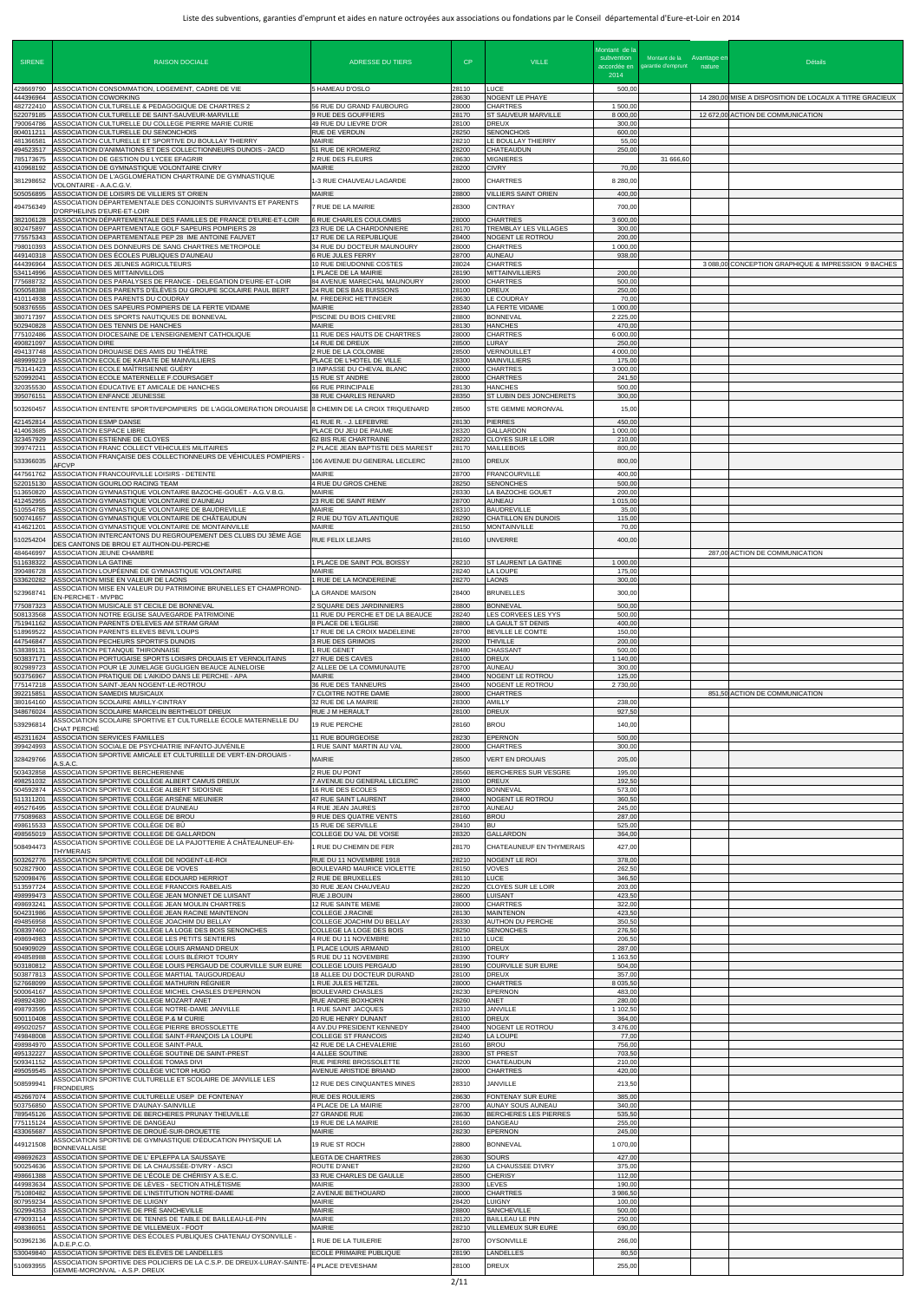| <b>SIRENE</b>                       | <b>RAISON DOCIALE</b>                                                                                                                                                    | <b>ADRESSE DU TIERS</b>                                                                 | CP                      | <b>VILLE</b>                                                        | Montant de la<br>subvention<br>2014 | Montant de la Avantage er<br>accordée en garantie d'emprunt nature | <b>Détails</b>                                          |
|-------------------------------------|--------------------------------------------------------------------------------------------------------------------------------------------------------------------------|-----------------------------------------------------------------------------------------|-------------------------|---------------------------------------------------------------------|-------------------------------------|--------------------------------------------------------------------|---------------------------------------------------------|
| 428669790<br>444396964<br>482722410 | ASSOCIATION CONSOMMATION, LOGEMENT, CADRE DE VIE<br><b>ASSOCIATION COWORKING</b><br>ASSOCIATION CULTURELLE & PEDAGOGIQUE DE CHARTRES 2                                   | 5 HAMEAU D'OSLO<br>56 RUE DU GRAND FAUBOURG                                             | 28110<br>28630<br>28000 | LUCE<br>NOGENT LE PHAYE<br><b>CHARTRES</b>                          | 500,00<br>1 500,00                  |                                                                    | 14 280,00 MISE A DISPOSITION DE LOCAUX A TITRE GRACIEUX |
| 522079185<br>790064786<br>804011211 | ASSOCIATION CULTURELLE DE SAINT-SAUVEUR-MARVILLE<br>ASSOCIATION CULTURELLE DU COLLEGE PIERRE MARIE CURIE<br>ASSOCIATION CULTURELLE DU SENONCHOIS                         | <b>9 RUE DES GOUFFIERS</b><br>49 RUE DU LIEVRE D'OR<br>RUE DE VERDUN                    | 28170<br>28100<br>28250 | ST SAUVEUR MARVILLE<br><b>DREUX</b><br><b>SENONCHOIS</b>            | 8 000,00<br>300,00<br>600,00        |                                                                    | 12 672,00 ACTION DE COMMUNICATION                       |
| 481366581<br>494523517<br>785173675 | ASSOCIATION CULTURELLE ET SPORTIVE DU BOULLAY THIERRY<br>ASSOCIATION D'ANIMATIONS ET DES COLLECTIONNEURS DUNOIS - 2ACD<br>ASSOCIATION DE GESTION DU LYCEE EFAGRIR        | <b>MAIRIE</b><br>51 RUE DE KROMERIZ<br>2 RUE DES FLEURS                                 | 28210<br>28200<br>28630 | LE BOULLAY THIERRY<br>CHATEAUDUN<br><b>MIGNIERES</b>                | 55,00<br>250,00                     | 31 666,60                                                          |                                                         |
| 410968192<br>381298652              | ASSOCIATION DE GYMNASTIQUE VOLONTAIRE CIVRY<br>SSOCIATION DE L'AGGLOMÉRATION CHARTRAINE DE GYMNASTIQUE<br>/OLONTAIRE - A.A.C.G.V.                                        | <b>MAIRIE</b><br>1-3 RUE CHAUVEAU LAGARDE                                               | 28200<br>28000          | <b>CIVRY</b><br><b>CHARTRES</b>                                     | 70,00<br>8 280,00                   |                                                                    |                                                         |
| 505056895<br>494756349              | ASSOCIATION DE LOISIRS DE VILLIERS ST ORIEN<br>ASSOCIATION DÉPARTEMENTALE DES CONJOINTS SURVIVANTS ET PARENTS                                                            | MAIRIE<br>7 RUE DE LA MAIRIE                                                            | 28800<br>28300          | <b>VILLIERS SAINT ORIEN</b><br><b>CINTRAY</b>                       | 400,00<br>700,00                    |                                                                    |                                                         |
| 382106128<br>802475897              | )'ORPHELINS D'EURE-ET-LOIR<br>ASSOCIATION DÉPARTEMENTALE DES FAMILLES DE FRANCE D'EURE-ET-LOIR<br>ASSOCIATION DEPARTEMENTALE GOLF SAPEURS POMPIERS 28                    | <b>6 RUE CHARLES COULOMBS</b><br>23 RUE DE LA CHARDONNIERE                              | 28000<br>28170          | <b>CHARTRES</b><br><b>TREMBLAY LES VILLAGES</b>                     | 3 600,00<br>300,00                  |                                                                    |                                                         |
| 775575343<br>798010393<br>449140318 | ASSOCIATION DEPARTEMENTALE PEP 28 IME ANTOINE FAUVET<br>ASSOCIATION DES DONNEURS DE SANG CHARTRES METROPOLE<br>ASSOCIATION DES ÉCOLES PUBLIQUES D'AUNEAU                 | 17 RUE DE LA REPUBLIQUE<br>34 RUE DU DOCTEUR MAUNOURY<br><b>6 RUE JULES FERRY</b>       | 28400<br>28000<br>28700 | NOGENT LE ROTROU<br><b>CHARTRES</b><br><b>AUNEAU</b>                | 200,00<br>1 000,00<br>938,00        |                                                                    |                                                         |
| 444396964<br>534114996              | ASSOCIATION DES JEUNES AGRICULTEURS<br>ASSOCIATION DES MITTAINVILLOIS                                                                                                    | 10 RUE DIEUDONNE COSTES<br>1 PLACE DE LA MAIRIE<br>84 AVENUE MARECHAL MAUNOURY          | 28024<br>28190<br>28000 | <b>CHARTRES</b><br><b>MITTAINVILLIERS</b>                           | 200,00                              |                                                                    | 3 088,00 CONCEPTION GRAPHIQUE & IMPRESSION 9 BACHES     |
| 775688732<br>505058388<br>410114938 | ASSOCIATION DES PARALYSES DE FRANCE - DELEGATION D'EURE-ET-LOIR<br>ASSOCIATION DES PARENTS D'ÉLÈVES DU GROUPE SCOLAIRE PAUL BERT<br>ASSOCIATION DES PARENTS DU COUDRAY   | 24 RUE DES BAS BUISSONS<br>M. FREDERIC HETTINGER                                        | 28100<br>28630          | <b>CHARTRES</b><br><b>DREUX</b><br>LE COUDRAY                       | 500,00<br>250,00<br>70,00           |                                                                    |                                                         |
| 508376555<br>380717397<br>502940828 | ASSOCIATION DES SAPEURS POMPIERS DE LA FERTE VIDAME<br>ASSOCIATION DES SPORTS NAUTIQUES DE BONNEVAL<br>ASSOCIATION DES TENNIS DE HANCHES                                 | <b>MAIRIE</b><br>PISCINE DU BOIS CHIEVRE<br><b>MAIRIE</b>                               | 28340<br>28800<br>28130 | LA FERTE VIDAME<br><b>BONNEVAL</b><br><b>HANCHES</b>                | 1 000,00<br>2 2 2 5 , 0 0<br>470,00 |                                                                    |                                                         |
| 775102486<br>490821097              | ASSOCIATION DIOCESAINE DE L'ENSEIGNEMENT CATHOLIQUE<br><b>ASSOCIATION DIRE</b><br>ASSOCIATION DROUAISE DES AMIS DU THÉÂTRE                                               | 11 RUE DES HAUTS DE CHARTRES<br>14 RUE DE DREUX<br>2 RUE DE LA COLOMBE                  | 28000<br>28500<br>28500 | <b>CHARTRES</b><br>LURAY<br>VERNOUILLET                             | 6 000,00<br>250,00<br>4 000,00      |                                                                    |                                                         |
| 494137748<br>489999219<br>753141423 | ASSOCIATION ECOLE DE KARATE DE MAINVILLIERS<br>ASSOCIATION ECOLE MAÎTRISIENNE GUÉRY                                                                                      | PLACE DE L'HOTEL DE VILLE<br>3 IMPASSE DU CHEVAL BLANC                                  | 28300<br>28000          | <b>MAINVILLIERS</b><br><b>CHARTRES</b>                              | 175,00<br>3 000,00                  |                                                                    |                                                         |
| 520992041<br>320355530<br>395076151 | ASSOCIATION ECOLE MATERNELLE F.COURSAGET<br>ASSOCIATION ÉDUCATIVE ET AMICALE DE HANCHES<br><b>ASSOCIATION ENFANCE JEUNESSE</b>                                           | 15 RUE ST ANDRE<br>66 RUE PRINCIPALE<br>38 RUE CHARLES RENARD                           | 28000<br>28130<br>28350 | <b>CHARTRES</b><br><b>HANCHES</b><br>ST LUBIN DES JONCHERETS        | 241,50<br>500,00<br>300,00          |                                                                    |                                                         |
| 503260457<br>421452814              | ASSOCIATION ENTENTE SPORTIVEPOMPIERS  DE L'AGGLOMERATION DROUAISE 8 CHEMIN DE LA CROIX TRIQUENARD<br><b>ASSOCIATION ESMP DANSE</b>                                       | 41 RUE R. - J. LEFEBVRE                                                                 | 28500<br>28130          | STE GEMME MORONVAL<br><b>PIERRES</b>                                | 15,00<br>450,00                     |                                                                    |                                                         |
| 414063685<br>323457929              | <b>ASSOCIATION ESPACE LIBRE</b><br>ASSOCIATION ESTIENNE DE CLOYES                                                                                                        | PLACE DU JEU DE PAUME<br>62 BIS RUE CHARTRAINE                                          | 28320<br>28220          | <b>GALLARDON</b><br>CLOYES SUR LE LOIR                              | 1 000,00<br>210,00                  |                                                                    |                                                         |
| 399747211<br>533366035              | ASSOCIATION FRANC COLLECT VEHICULES MILITAIRES<br>SSOCIATION FRANÇAISE DES COLLECTIONNEURS DE VÉHICULES POMPIERS<br><b>AFCVP</b>                                         | 2 PLACE JEAN BAPTISTE DES MAREST<br>106 AVENUE DU GENERAL LECLERC                       | 28170<br>28100          | <b>MAILLEBOIS</b><br><b>DREUX</b>                                   | 800,00<br>800,00                    |                                                                    |                                                         |
| 447561762<br>522015130<br>513650820 | ASSOCIATION FRANCOURVILLE LOISIRS - DETENTE<br>ASSOCIATION GOURLOO RACING TEAM<br>ASSOCIATION GYMNASTIQUE VOLONTAIRE BAZOCHE-GOUËT - A.G.V.B.G.                          | MAIRIE<br>4 RUE DU GROS CHENE<br>MAIRIE                                                 | 28700<br>28250<br>28330 | <b>FRANCOURVILLE</b><br><b>SENONCHES</b><br>LA BAZOCHE GOUET        | 400,00<br>500,00<br>200,00          |                                                                    |                                                         |
| 412452955<br>510554785              | SSOCIATION GYMNASTIQUE VOLONTAIRE D'AUNEAU<br>ASSOCIATION GYMNASTIQUE VOLONTAIRE DE BAUDREVILLE                                                                          | 23 RUE DE SAINT REMY<br><b>MAIRIE</b>                                                   | 28700<br>28310          | <b>AUNEAU</b><br><b>BAUDREVILLE</b>                                 | 1 015,00<br>35,00                   |                                                                    |                                                         |
| 500741657<br>414621201<br>510254204 | ASSOCIATION GYMNASTIQUE VOLONTAIRE DE CHÂTEAUDUN<br>ASSOCIATION GYMNASTIQUE VOLONTAIRE DE MONTAINVILLE<br>ASSOCIATION INTERCANTONS DU REGROUPEMENT DES CLUBS DU 3ÈME ÂGE | 2 RUE DU TGV ATLANTIQUE<br><b>MAIRIE</b><br>RUE FELIX LEJARS                            | 28290<br>28150<br>28160 | <b>CHATILLON EN DUNOIS</b><br><b>MONTAINVILLE</b><br><b>UNVERRE</b> | 115,00<br>70,00<br>400,00           |                                                                    |                                                         |
| 484646997<br>511638322              | JES CANTONS DE BROU ET AUTHON-DU-PERCHE<br>ASSOCIATION JEUNE CHAMBRE<br><b>ASSOCIATION LA GATINE</b>                                                                     | 1 PLACE DE SAINT POL BOISSY                                                             | 28210                   | <b>ST LAURENT LA GATINE</b>                                         | 1 000,00                            |                                                                    | 287.00 ACTION DE COMMUNICATION                          |
| 390486728<br>533620282              | ASSOCIATION LOUPÉENNE DE GYMNASTIQUE VOLONTAIRE<br><b>ASSOCIATION MISE EN VALEUR DE LAONS</b>                                                                            | <b>MAIRIE</b><br>1 RUE DE LA MONDEREINE                                                 | 28240<br>28270          | LA LOUPE<br><b>LAONS</b>                                            | 175,00<br>300,00                    |                                                                    |                                                         |
| 523968741<br>775087323              | ASSOCIATION MISE EN VALEUR DU PATRIMOINE BRUNELLES ET CHAMPROND-<br>EN-PERCHET - MVPBC<br>ASSOCIATION MUSICALE ST CECILE DE BONNEVAL                                     | LA GRANDE MAISON<br>2 SQUARE DES JARDINNIERS                                            | 28400<br>28800          | <b>BRUNELLES</b><br><b>BONNEVAL</b>                                 | 300,00<br>500,00                    |                                                                    |                                                         |
| 508133568<br>751941162<br>518969522 | ASSOCIATION NOTRE EGLISE SAUVEGARDE PATRIMOINE<br>ASSOCIATION PARENTS D'ELEVES AM STRAM GRAM<br>ASSOCIATION PARENTS ELEVES BEVIL'LOUPS                                   | 11 RUE DU PERCHE ET DE LA BEAUCE<br>8 PLACE DE L'EGLISE<br>17 RUE DE LA CROIX MADELEINE | 28240<br>28800<br>28700 | LES CORVEES LES YYS<br>LA GAULT ST DENIS<br>BEVILLE LE COMTE        | 500,00<br>400,00<br>150,00          |                                                                    |                                                         |
| 447546847<br>538389131              | ASSOCIATION PECHEURS SPORTIFS DUNOIS<br>ASSOCIATION PETANQUE THIRONNAISE<br>ASSOCIATION PORTUGAISE SPORTS LOISIRS DROUAIS ET VERNOLITAINS                                | 3 RUE DES GRIMOIS<br>1 RUE GENET                                                        | 28200<br>28480          | <b>THIVILLE</b><br>CHASSANT                                         | 200,00<br>500,00<br>1 140,00        |                                                                    |                                                         |
| 503837171<br>802989723<br>503756967 | ASSOCIATION POUR LE JUMELAGE GUGLIGEN BEAUCE ALNELOISE<br>ASSOCIATION PRATIQUE DE L'AIKIDO DANS LE PERCHE - APA                                                          | 27 RUE DES CAVES<br>2 ALLEE DE LA COMMUNAUTE<br><b>MAIRIE</b>                           | 28100<br>28700<br>28400 | <b>DREUX</b><br><b>AUNEAU</b><br>NOGENT LE ROTROU                   | 300,00<br>125,00                    |                                                                    |                                                         |
| 775147218<br>392215851<br>380164160 | ASSOCIATION SAINT-JEAN NOGENT-LE-ROTROU<br>ASSOCIATION SAMEDIS MUSICAUX<br>ASSOCIATION SCOLAIRE AMILLY-CINTRAY                                                           | 36 RUE DES TANNEURS<br>7 CLOITRE NOTRE DAME<br>32 RUE DE LA MAIRIE                      | 28400<br>28000<br>28300 | NOGENT LE ROTROU<br><b>CHARTRES</b><br><b>AMILLY</b>                | 2 730,00<br>238,00                  |                                                                    | 851,50 ACTION DE COMMUNICATION                          |
| 348676024<br>539296814              | ASSOCIATION SCOLAIRE MARCELIN BERTHELOT DREUX<br>ASSOCIATION SCOLAIRE SPORTIVE ET CULTURELLE ÉCOLE MATERNELLE DU<br>CHAT PERCHÉ                                          | RUE J M HERAULT<br>19 RUE PERCHE                                                        | 28100<br>28160          | <b>DREUX</b><br><b>BROU</b>                                         | 927,50<br>140,00                    |                                                                    |                                                         |
| 452311624<br>399424993              | ASSOCIATION SERVICES FAMILLES<br>ASSOCIATION SOCIALE DE PSYCHIATRIE INFANTO-JUVÉNILE                                                                                     | <b>11 RUE BOURGEOISE</b><br>1 RUE SAINT MARTIN AU VAL                                   | 28230<br>28000          | <b>EPERNON</b><br><b>CHARTRES</b>                                   | 500,00<br>300,00                    |                                                                    |                                                         |
| 328429766<br>503432858              | ASSOCIATION SPORTIVE AMICALE ET CULTURELLE DE VERT-EN-DROUAIS -<br>،S.A.C.<br>ASSOCIATION SPORTIVE BERCHERIENNE                                                          | MAIRIE<br>2 RUE DU PONT                                                                 | 28500<br>28560          | <b>VERT EN DROUAIS</b><br>BERCHERES SUR VESGRE                      | 205,00<br>195,00                    |                                                                    |                                                         |
| 498251032<br>504592874<br>511311201 | ASSOCIATION SPORTIVE COLLÈGE ALBERT CAMUS DREUX<br>ASSOCIATION SPORTIVE COLLÈGE ALBERT SIDOISNE<br>ASSOCIATION SPORTIVE COLLÈGE ARSÈNE MEUNIER                           | 7 AVENUE DU GENERAL LECLERC<br>16 RUE DES ECOLES<br>47 RUE SAINT LAURENT                | 28100<br>28800<br>28400 | <b>DREUX</b><br><b>BONNEVAL</b><br>NOGENT LE ROTROU                 | 192,50<br>573,00<br>360,50          |                                                                    |                                                         |
| 495276495<br>775089683<br>498615533 | ASSOCIATION SPORTIVE COLLÈGE D'AUNEAU<br>ASSOCIATION SPORTIVE COLLEGE DE BROU<br>ASSOCIATION SPORTIVE COLLÈGE DE BÛ                                                      | 4 RUE JEAN JAURES<br>9 RUE DES QUATRE VENTS<br>15 RUE DE SERVILLE                       | 28700<br>28160<br>28410 | <b>AUNEAU</b><br><b>BROU</b><br><b>BU</b>                           | 245.00<br>287,00<br>525,00          |                                                                    |                                                         |
| 498565019<br>508494473              | ASSOCIATION SPORTIVE COLLEGE DE GALLARDON<br>\SSOCIATION SPORTIVE COLLÈGE DE LA PAJOTTERIE À CHÂTEAUNEUF-EN-                                                             | COLLEGE DU VAL DE VOISE<br>RUE DU CHEMIN DE FER                                         | 28320<br>28170          | <b>GALLARDON</b><br>CHATEAUNEUF EN THYMERAIS                        | 364,00<br>427,00                    |                                                                    |                                                         |
| 503262776<br>502827900              | <b>THYMERAIS</b><br>ASSOCIATION SPORTIVE COLLÈGE DE NOGENT-LE-ROI<br>ASSOCIATION SPORTIVE COLLÈGE DE VOVES                                                               | RUE DU 11 NOVEMBRE 1918<br>BOULEVARD MAURICE VIOLETTE                                   | 28210<br>28150          | NOGENT LE ROI<br><b>VOVES</b>                                       | 378,00<br>262,50                    |                                                                    |                                                         |
| 520098476<br>513597724<br>498999473 | ASSOCIATION SPORTIVE COLLÈGE EDOUARD HERRIOT<br>ASSOCIATION SPORTIVE COLLEGE FRANCOIS RABELAIS<br>ASSOCIATION SPORTIVE COLLÈGE JEAN MONNET DE LUISANT                    | 2 RUE DE BRUXELLES<br>30 RUE JEAN CHAUVEAU<br>RUE J.BOUIN                               | 28110<br>28220<br>28600 | <b>LUCE</b><br>CLOYES SUR LE LOIR<br><b>LUISANT</b>                 | 346,50<br>203,00<br>423,50          |                                                                    |                                                         |
| 498693241<br>504231986              | ASSOCIATION SPORTIVE COLLÈGE JEAN MOULIN CHARTRES<br>ASSOCIATION SPORTIVE COLLÈGE JEAN RACINE MAINTENON<br>ASSOCIATION SPORTIVE COLLÈGE JOACHIM DU BELLAY                | 12 RUE SAINTE MEME<br><b>COLLEGE J.RACINE</b>                                           | 28000<br>28130<br>28330 | <b>CHARTRES</b><br><b>MAINTENON</b>                                 | 322,00<br>423,50                    |                                                                    |                                                         |
| 494856958<br>508397460<br>498694983 | ASSOCIATION SPORTIVE COLLÈGE LA LOGE DES BOIS SENONCHES<br>ASSOCIATION SPORTIVE COLLEGE LES PETITS SENTIERS                                                              | COLLEGE JOACHIM DU BELLAY<br>COLLEGE LA LOGE DES BOIS<br>4 RUE DU 11 NOVEMBRE           | 28250<br>28110          | <b>AUTHON DU PERCHE</b><br><b>SENONCHES</b><br>LUCE                 | 350,50<br>276,50<br>206,50          |                                                                    |                                                         |
| 504909029<br>494858988<br>503180812 | ASSOCIATION SPORTIVE COLLÈGE LOUIS ARMAND DREUX<br>ASSOCIATION SPORTIVE COLLÈGE LOUIS BLÉRIOT TOURY<br>ASSOCIATION SPORTIVE COLLÈGE LOUIS PERGAUD DE COURVILLE SUR EURE  | 1 PLACE LOUIS ARMAND<br>5 RUE DU 11 NOVEMBRE<br><b>COLLEGE LOUIS PERGAUD</b>            | 28100<br>28390<br>28190 | <b>DREUX</b><br><b>TOURY</b><br>COURVILLE SUR EURE                  | 287,00<br>1 163,50<br>504,00        |                                                                    |                                                         |
| 503877813<br>527668099<br>500064167 | ASSOCIATION SPORTIVE COLLÈGE MARTIAL TAUGOURDEAU<br>ASSOCIATION SPORTIVE COLLÈGE MATHURIN RÉGNIER<br>ASSOCIATION SPORTIVE COLLÈGE MICHEL CHASLES D'EPERNON               | 18 ALLEE DU DOCTEUR DURAND<br>1 RUE JULES HETZEL<br><b>BOULEVARD CHASLES</b>            | 28100<br>28000<br>28230 | <b>DREUX</b><br><b>CHARTRES</b><br><b>EPERNON</b>                   | 357,00<br>8 0 35,50<br>483,00       |                                                                    |                                                         |
| 498924380<br>498793595              | ASSOCIATION SPORTIVE COLLEGE MOZART ANET<br>ASSOCIATION SPORTIVE COLLÈGE NOTRE-DAME JANVILLE                                                                             | RUE ANDRE BOXHORN<br>1 RUE SAINT JACQUES                                                | 28260<br>28310          | ANET<br><b>JANVILLE</b>                                             | 280,00<br>1 102.50                  |                                                                    |                                                         |
| 500110408<br>495020257<br>749848008 | ASSOCIATION SPORTIVE COLLÈGE P.& M CURIE<br>ASSOCIATION SPORTIVE COLLÈGE PIERRE BROSSOLETTE<br>ASSOCIATION SPORTIVE COLLÈGE SAINT-FRANCOIS LA LOUPE                      | 20 RUE HENRY DUNANT<br>4 AV.DU PRESIDENT KENNEDY<br><b>COLLEGE ST FRANCOIS</b>          | 28100<br>28400<br>28240 | <b>DREUX</b><br>NOGENT LE ROTROU<br>LA LOUPE                        | 364,00<br>3 476,00<br>77,00         |                                                                    |                                                         |
| 498984970<br>495132227<br>509341152 | ASSOCIATION SPORTIVE COLLEGE SAINT-PAUL<br>ASSOCIATION SPORTIVE COLLÈGE SOUTINE DE SAINT-PREST<br>ASSOCIATION SPORTIVE COLLÈGE TOMAS DIVI                                | 42 RUE DE LA CHEVALERIE<br>4 ALLEE SOUTINE<br>RUE PIERRE BROSSOLETTE                    | 28160<br>28300<br>28200 | <b>BROU</b><br><b>ST PREST</b><br>CHATEAUDUN                        | 756,00<br>703,50<br>210,00          |                                                                    |                                                         |
| 495059545<br>508599941              | ASSOCIATION SPORTIVE COLLÈGE VICTOR HUGO<br>ASSOCIATION SPORTIVE CULTURELLE ET SCOLAIRE DE JANVILLE LES<br><b>FRONDEURS</b>                                              | AVENUE ARISTIDE BRIAND<br>12 RUE DES CINQUANTES MINES                                   | 28000<br>28310          | <b>CHARTRES</b><br><b>JANVILLE</b>                                  | 420,00<br>213,50                    |                                                                    |                                                         |
| 452667074<br>503756850              | ASSOCIATION SPORTIVE CULTURELLE USEP DE FONTENAY<br>ASSOCIATION SPORTIVE D'AUNAY-SAINVILLE                                                                               | <b>RUE DES ROULIERS</b><br>4 PLACE DE LA MAIRIE                                         | 28630<br>28700          | FONTENAY SUR EURE<br><b>AUNAY SOUS AUNEAU</b>                       | 385,00<br>340,00                    |                                                                    |                                                         |
| 789545126<br>775115124<br>433065687 | ASSOCIATION SPORTIVE DE BERCHERES PRUNAY THEUVILLE<br>ASSOCIATION SPORTIVE DE DANGEAU<br>ASSOCIATION SPORTIVE DE DROUÉ-SUR-DROUETTE                                      | 27 GRANDE RUE<br>19 RUE DE LA MAIRIE<br>MAIRIE                                          | 28630<br>28160<br>28230 | BERCHERES LES PIERRES<br><b>DANGEAU</b><br>EPERNON                  | 535,50<br>255,00<br>245,00          |                                                                    |                                                         |
| 449121508<br>498692623              | ASSOCIATION SPORTIVE DE GYMNASTIQUE D'ÉDUCATION PHYSIQUE LA<br><b>BONNEVALLAISE</b><br>ASSOCIATION SPORTIVE DE L'EPLEFPA LA SAUSSAYE                                     | 19 RUE ST ROCH<br><b>LEGTA DE CHARTRES</b>                                              | 28800<br>28630          | <b>BONNEVAL</b><br><b>SOURS</b>                                     | 1 070,00<br>427,00                  |                                                                    |                                                         |
| 500254636<br>498661388<br>449983634 | ASSOCIATION SPORTIVE DE LA CHAUSSÉE-D'IVRY - ASCI<br>ASSOCIATION SPORTIVE DE L'ÉCOLE DE CHÉRISY A.S.E.C.<br>ASSOCIATION SPORTIVE DE LÈVES - SECTION ATHLÉTISME           | ROUTE D'ANET<br>33 RUE CHARLES DE GAULLE<br>MAIRIE                                      | 28260<br>28500<br>28300 | LA CHAUSSEE D'IVRY<br><b>CHERISY</b><br>LEVES                       | 375,00<br>112,00<br>190,00          |                                                                    |                                                         |
| 751080482<br>807959234              | ASSOCIATION SPORTIVE DE L'INSTITUTION NOTRE-DAME<br>ASSOCIATION SPORTIVE DE LUIGNY                                                                                       | 2 AVENUE BETHOUARD<br><b>MAIRIE</b>                                                     | 28000<br>28420          | <b>CHARTRES</b><br><b>LUIGNY</b>                                    | 3 986,50<br>100,00                  |                                                                    |                                                         |
| 502994353<br>479093114<br>498386051 | ASSOCIATION SPORTIVE DE PRÉ SANCHEVILLE<br>ASSOCIATION SPORTIVE DE TENNIS DE TABLE DE BAILLEAU-LE-PIN<br>ASSOCIATION SPORTIVE DE VILLEMEUX - FOOT                        | <b>MAIRIE</b><br>MAIRIE<br><b>MAIRIE</b>                                                | 28800<br>28120<br>28210 | SANCHEVILLE<br><b>BAILLEAU LE PIN</b><br><b>VILLEMEUX SUR EURE</b>  | 500,00<br>250,00<br>690,00          |                                                                    |                                                         |
| 503962136<br>530049840              | ASSOCIATION SPORTIVE DES ÉCOLES PUBLIQUES CHATENAU OYSONVILLE -<br>A.D.E.P.C.O.<br>ASSOCIATION SPORTIVE DES ÉLÈVES DE LANDELLES                                          | RUE DE LA TUILERIE<br>ECOLE PRIMAIRE PUBLIQUE                                           | 28700<br>28190          | <b>OYSONVILLE</b><br>LANDELLES                                      | 266,00<br>80,50                     |                                                                    |                                                         |
| 510693955                           | ASSOCIATION SPORTIVE DES POLICIERS DE LA C.S.P. DE DREUX-LURAY-SAINTE-<br>GEMME-MORONVAL - A.S.P. DREUX                                                                  | 4 PLACE D'EVESHAM                                                                       | 28100                   | <b>DREUX</b>                                                        | 255,00                              |                                                                    |                                                         |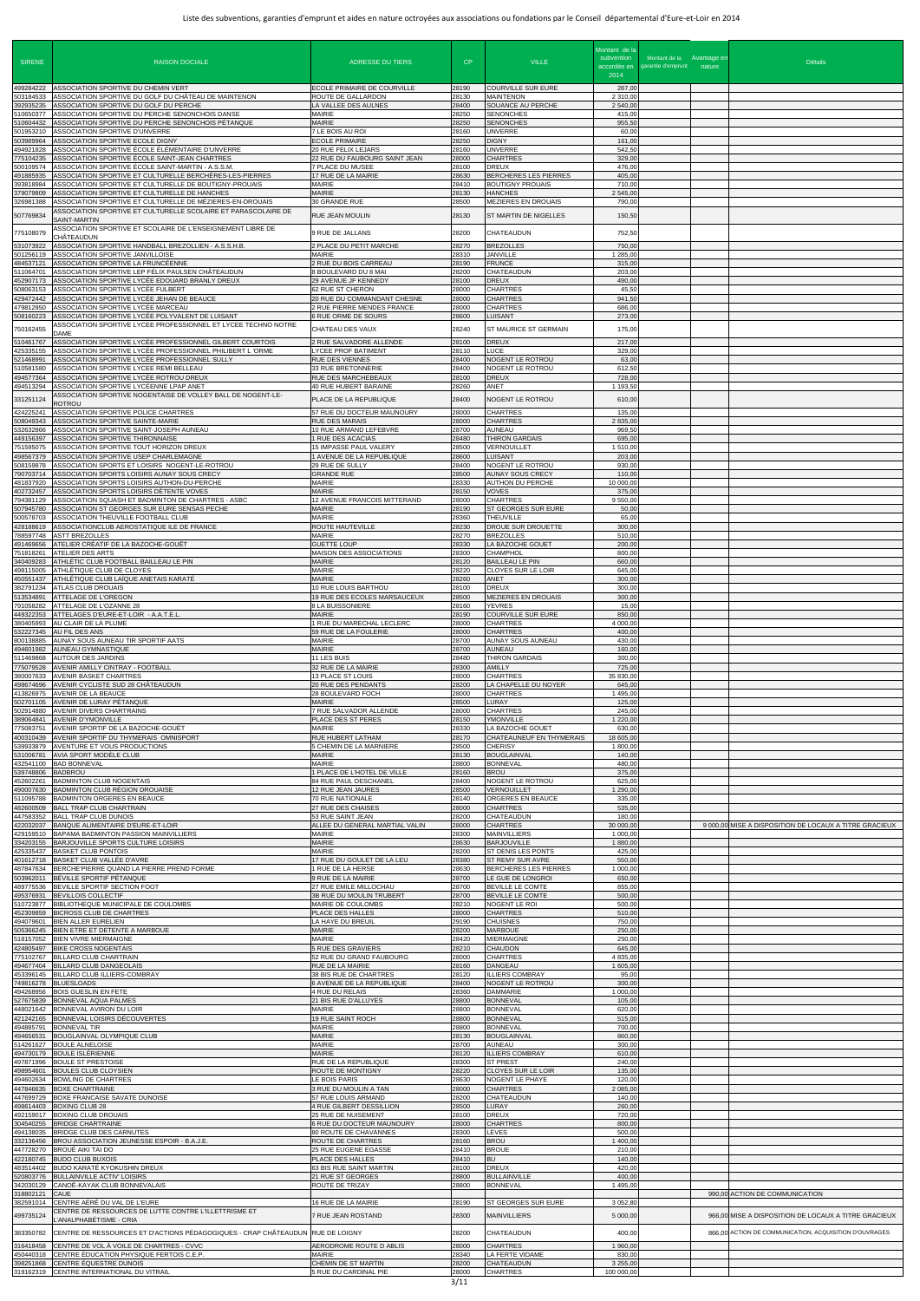| <b>SIRENE</b>                       | <b>RAISON DOCIALE</b>                                                                                                                                                     | <b>ADRESSE DU TIERS</b>                                                          | CP.                     | <b>VILLE</b>                                                               | Montant de la<br>subvention<br>accordée en<br>2014 | Montant de la Avantage en<br>garantie d'emprunt nature | <b>Détails</b>                                         |
|-------------------------------------|---------------------------------------------------------------------------------------------------------------------------------------------------------------------------|----------------------------------------------------------------------------------|-------------------------|----------------------------------------------------------------------------|----------------------------------------------------|--------------------------------------------------------|--------------------------------------------------------|
| 499284222<br>503184533<br>392935235 | ASSOCIATION SPORTIVE DU CHEMIN VERT<br>ASSOCIATION SPORTIVE DU GOLF DU CHÂTEAU DE MAINTENON<br>ASSOCIATION SPORTIVE DU GOLF DU PERCHE                                     | ECOLE PRIMAIRE DE COURVILLE<br>ROUTE DE GALLARDON                                | 28190<br>28130<br>28400 | <b>COURVILLE SUR EURE</b><br><b>MAINTENON</b><br>SOUANCE AU PERCHE         | 287,00<br>2 3 1 0 , 0 0<br>2 540,00                |                                                        |                                                        |
| 510650377<br>510604432              | ASSOCIATION SPORTIVE DU PERCHE SENONCHOIS DANSE<br>ASSOCIATION SPORTIVE DU PERCHE SENONCHOIS PÉTANQUE                                                                     | LA VALLEE DES AULNES<br><b>MAIRIE</b><br><b>MAIRIE</b>                           | 28250<br>28250          | <b>SENONCHES</b><br><b>SENONCHES</b>                                       | 415,00<br>955,50                                   |                                                        |                                                        |
| 501953210<br>503989964<br>494921828 | <b>ASSOCIATION SPORTIVE D'UNVERRE</b><br>ASSOCIATION SPORTIVE ECOLE DIGNY<br>ASSOCIATION SPORTIVE ÉCOLE ÉLÉMENTAIRE D'UNVERRE                                             | 7 LE BOIS AU ROI<br><b>ECOLE PRIMAIRE</b><br><b>20 RUE FELIX LEJARS</b>          | 28160<br>28250<br>28160 | UNVERRE<br><b>DIGNY</b><br>UNVERRE                                         | 60,00<br>161,00<br>542,50                          |                                                        |                                                        |
| 775104235<br>500109574              | ASSOCIATION SPORTIVE ÉCOLE SAINT-JEAN CHARTRES<br>ASSOCIATION SPORTIVE ÉCOLE SAINT-MARTIN - A.S.S.M.                                                                      | 22 RUE DU FAUBOURG SAINT JEAN<br>7 PLACE DU MUSEE                                | 28000<br>28100          | <b>CHARTRES</b><br><b>DREUX</b>                                            | 329,00<br>476,00                                   |                                                        |                                                        |
| 491885935<br>393818984<br>379079809 | ASSOCIATION SPORTIVE ET CULTURELLE BERCHÈRES-LES-PIERRES<br>ASSOCIATION SPORTIVE ET CULTURELLE DE BOUTIGNY-PROUAIS<br>ASSOCIATION SPORTIVE ET CULTURELLE DE HANCHES       | 17 RUE DE LA MAIRIE<br><b>MAIRIE</b><br><b>MAIRIE</b>                            | 28630<br>28410<br>28130 | <b>BERCHERES LES PIERRES</b><br><b>BOUTIGNY PROUAIS</b><br><b>HANCHES</b>  | 405,00<br>710,00<br>2 545,0                        |                                                        |                                                        |
| 326981388<br>507769834              | ASSOCIATION SPORTIVE ET CULTURELLE DE MÉZIERES-EN-DROUAIS<br>ASSOCIATION SPORTIVE ET CULTURELLE SCOLAIRE ET PARASCOLAIRE DE                                               | 30 GRANDE RUE<br>RUE JEAN MOULIN                                                 | 28500<br>28130          | MEZIERES EN DROUAIS<br><b>ST MARTIN DE NIGELLES</b>                        | 790,00<br>150,50                                   |                                                        |                                                        |
| 775108079<br>531073922              | SAINT-MARTIN<br>ASSOCIATION SPORTIVE ET SCOLAIRE DE L'ENSEIGNEMENT LIBRE DE<br>CHÂTEAUDUN<br>ASSOCIATION SPORTIVE HANDBALL BREZOLLIEN - A.S.S.H.B.                        | 9 RUE DE JALLANS<br>2 PLACE DU PETIT MARCHE                                      | 28200<br>28270          | CHATEAUDUN<br><b>BREZOLLES</b>                                             | 752,50<br>750,00                                   |                                                        |                                                        |
| 501256119<br>484537121              | ASSOCIATION SPORTIVE JANVILLOISE<br>ASSOCIATION SPORTIVE LA FRUNCÉENNE                                                                                                    | <b>MAIRIE</b><br>2 RUE DU BOIS CARREAU                                           | 28310<br>28190          | JANVILLE<br><b>FRUNCE</b>                                                  | 1 285,00<br>315,00                                 |                                                        |                                                        |
| 511064701<br>452907173<br>508063153 | ASSOCIATION SPORTIVE LEP FÉLIX PAULSEN CHÂTEAUDUN<br>ASSOCIATION SPORTIVE LYCÉE EDOUARD BRANLY DREUX<br>ASSOCIATION SPORTIVE LYCÉE FULBERT                                | 8 BOULEVARD DU 8 MAI<br>29 AVENUE JF KENNEDY<br>62 RUE ST CHERON                 | 28200<br>28100<br>28000 | <b>CHATEAUDUN</b><br><b>DREUX</b><br><b>CHARTRES</b>                       | 203,00<br>490,00<br>45,50                          |                                                        |                                                        |
| 429472442<br>479812950<br>508160223 | ASSOCIATION SPORTIVE LYCÉE JEHAN DE BEAUCE<br>ASSOCIATION SPORTIVE LYCÉE MARCEAU<br>ASSOCIATION SPORTIVE LYCÉE POLYVALENT DE LUISANT                                      | 20 RUE DU COMMANDANT CHESNE<br>2 RUE PIERRE MENDES FRANCE<br>6 RUE ORME DE SOURS | 28000<br>28000<br>28600 | <b>CHARTRES</b><br><b>CHARTRES</b><br><b>LUISANT</b>                       | 941.50<br>686,0<br>273,00                          |                                                        |                                                        |
| 750162455                           | <b>ISSOCIATION SPORTIVE LYCEE PROFESSIONNEL ET LYCEE TECHNO NOTRE</b><br>DAME                                                                                             | CHATEAU DES VAUX                                                                 | 28240                   | <b>ST MAURICE ST GERMAIN</b>                                               | 175,00                                             |                                                        |                                                        |
| 510461767<br>425335155<br>521468991 | ASSOCIATION SPORTIVE LYCÉE PROFESSIONNEL GILBERT COURTOIS<br>ASSOCIATION SPORTIVE LYCÉE PROFESSIONNEL PHILIBERT L 'ORME<br>ASSOCIATION SPORTIVE LYCÉE PROFESSIONNEL SULLY | 2 RUE SALVADORE ALLENDE<br>LYCEE PROF BATIMENT<br><b>RUE DES VIENNES</b>         | 28100<br>28110<br>28400 | <b>DREUX</b><br>LUCE<br>NOGENT LE ROTROU                                   | 217,00<br>329,00<br>63,00                          |                                                        |                                                        |
| 510581580<br>494577364              | ASSOCIATION SPORTIVE LYCEE REMI BELLEAU<br>ASSOCIATION SPORTIVE LYCÉE ROTROU DREUX                                                                                        | 33 RUE BRETONNERIE<br>RUE DES MARCHEBEAUX                                        | 28400<br>28100          | NOGENT LE ROTROU<br><b>DREUX</b>                                           | 612,50<br>728,00                                   |                                                        |                                                        |
| 494513294<br>331251124              | ASSOCIATION SPORTIVE LYCÉENNE LPAP ANET<br>ASSOCIATION SPORTIVE NOGENTAISE DE VOLLEY BALL DE NOGENT-LE-<br>ROTROU                                                         | 40 RUE HUBERT BARAINE<br>PLACE DE LA REPUBLIQUE                                  | 28260<br>28400          | ANET<br>NOGENT LE ROTROU                                                   | 1 193,50<br>610,00                                 |                                                        |                                                        |
| 424225241<br>508049343<br>532632866 | ASSOCIATION SPORTIVE POLICE CHARTRES<br>ASSOCIATION SPORTIVE SAINTE-MARIE<br>ASSOCIATION SPORTIVE SAINT-JOSEPH AUNEAU                                                     | 57 RUE DU DOCTEUR MAUNOURY<br><b>RUE DES MARAIS</b><br>10 RUE ARMAND LEFEBVRE    | 28000<br>28000<br>28700 | <b>CHARTRES</b><br><b>CHARTRES</b><br><b>AUNEAU</b>                        | 135,0<br>2 835,00<br>969,50                        |                                                        |                                                        |
| 449156397<br>751595075              | ASSOCIATION SPORTIVE THIRONNAISE<br>ASSOCIATION SPORTIVE TOUT HORIZON DREUX                                                                                               | 1 RUE DES ACACIAS<br>15 IMPASSE PAUL VALERY                                      | 28480<br>28500          | THIRON GARDAIS<br>VERNOUILLET                                              | 695,0<br>1510,00                                   |                                                        |                                                        |
| 498567379<br>508159878<br>790703714 | ASSOCIATION SPORTIVE USEP CHARLEMAGNE<br>ASSOCIATION SPORTS ET LOISIRS NOGENT-LE-ROTROU<br>ASSOCIATION SPORTS LOISIRS AUNAY SOUS CRECY                                    | 1 AVENUE DE LA REPUBLIQUE<br>29 RUE DE SULLY<br><b>GRANDE RUE</b>                | 28600<br>28400<br>28500 | <b>LUISANT</b><br>NOGENT LE ROTROU<br><b>AUNAY SOUS CRECY</b>              | 203,00<br>930,0<br>110,00                          |                                                        |                                                        |
| 481837920<br>402732457              | ASSOCIATION SPORTS LOISIRS AUTHON-DU-PERCHE<br>ASSOCIATION SPORTS LOISIRS DÉTENTE VOVES                                                                                   | MAIRIE<br><b>MAIRIE</b>                                                          | 28330<br>28150          | AUTHON DU PERCHE<br><b>VOVES</b>                                           | 10 000,00<br>375,0                                 |                                                        |                                                        |
| 794381129<br>507945780<br>500578703 | ASSOCIATION SQUASH ET BADMINTON DE CHARTRES - ASBC<br>ASSOCIATION ST GEORGES SUR EURE SENSAS PECHE<br>ASSOCIATION THEUVILLE FOOTBALL CLUB                                 | 12 AVENUE FRANCOIS MITTERAND<br><b>MAIRIE</b><br><b>MAIRIE</b>                   | 28000<br>28190<br>28360 | CHARTRES<br>ST GEORGES SUR EURE<br><b>THEUVILLE</b>                        | 9 550,00<br>50,00<br>65,00                         |                                                        |                                                        |
| 428188619                           | ASSOCIATIONCLUB AEROSTATIQUE ILE DE FRANCE<br>788597748 ASTT BREZOLLES                                                                                                    | ROUTE HAUTEVILLE<br><b>MAIRIE</b>                                                | 28230<br>28270          | <b>DROUE SUR DROUETTE</b><br><b>BREZOLLES</b>                              | 300.00<br>510,00                                   |                                                        |                                                        |
| 491469656<br>751818261<br>340409283 | ATELIER CRÉATIF DE LA BAZOCHE-GOUËT<br><b>ATELIER DES ARTS</b><br>ATHLÉTIC CLUB FOOTBALL BAILLEAU LE PIN                                                                  | <b>GUETTE LOUP</b><br>MAISON DES ASSOCIATIONS<br><b>MAIRIE</b>                   | 28330<br>28300<br>28120 | LA BAZOCHE GOUET<br><b>CHAMPHOL</b><br><b>BAILLEAU LE PIN</b>              | 200,00<br>800,00<br>660,00                         |                                                        |                                                        |
| 498115005<br>450551437              | ATHLÉTIQUE CLUB DE CLOYES<br>ATHLÉTIQUE CLUB LAÏQUE ANETAIS KARATÉ                                                                                                        | <b>MAIRIE</b><br><b>MAIRIE</b>                                                   | 28220<br>28260          | <b>CLOYES SUR LE LOIR</b><br>ANET                                          | 645,0<br>300,00                                    |                                                        |                                                        |
| 382791234<br>513534891<br>791058282 | <b>ATLAS CLUB DROUAIS</b><br><b>ATTELAGE DE L'OREGON</b><br>ATTELAGE DE L'OZANNE 28                                                                                       | 10 RUE LOUIS BARTHOU<br>19 RUE DES ECOLES MARSAUCEUX<br>8 LA BUISSONIERE         | 28100<br>28500<br>28160 | <b>DREUX</b><br>MEZIERES EN DROUAIS<br><b>YEVRES</b>                       | 300,00<br>300,00<br>15,00                          |                                                        |                                                        |
| 449322353<br>380405993              | ATTELAGES D'EURE-ET-LOIR - A.A.T.E.L<br>AU CLAIR DE LA PLUME<br>AU FIL DES ANS                                                                                            | <b>MAIRIE</b><br>1 RUE DU MARECHAL LECLERC                                       | 28190<br>28000          | <b>COURVILLE SUR EURE</b><br><b>CHARTRES</b><br><b>CHARTRES</b>            | 850,0<br>4 000,00<br>400,0                         |                                                        |                                                        |
| 532227345<br>800138885<br>494601982 | AUNAY SOUS AUNEAU TIR SPORTIF AATS<br>AUNEAU GYMNASTIQUE                                                                                                                  | 59 RUE DE LA FOULERIE<br><b>MAIRIE</b><br><b>MAIRIE</b>                          | 28000<br>28700<br>28700 | AUNAY SOUS AUNEAU<br><b>AUNEAU</b>                                         | 430,00<br>160,00                                   |                                                        |                                                        |
| 511469868<br>775079528<br>380007633 | AUTOUR DES JARDINS<br>AVENIR AMILLY CINTRAY - FOOTBALL<br>AVENIR BASKET CHARTRES                                                                                          | 11 LES BUIS<br>32 RUE DE LA MAIRIE<br>13 PLACE ST LOUIS                          | 28480<br>28300<br>28000 | <b>THIRON GARDAIS</b><br><b>AMILLY</b><br><b>CHARTRES</b>                  | 300,0<br>725,00<br>35 830,00                       |                                                        |                                                        |
| 498674696<br>413826975              | AVENIR CYCLISTE SUD 28 CHÂTEAUDUN<br>AVENIR DE LA BEAUCE                                                                                                                  | 20 RUE DES PENDANTS<br>28 BOULEVARD FOCH                                         | 28200<br>28000          | LA CHAPELLE DU NOYER<br><b>CHARTRES</b>                                    | 645,00<br>1 495,00                                 |                                                        |                                                        |
| 502701105<br>502914880<br>389064841 | AVENIR DE LURAY PÉTANQUE<br>AVENIR DIVERS CHARTRAINS<br>AVENIR D'YMONVILLE                                                                                                | <b>MAIRIE</b><br>7 RUE SALVADOR ALLENDE<br>PLACE DES ST PERES                    | 28500<br>28000<br>28150 | LURAY<br><b>CHARTRES</b><br><b>YMONVILLE</b>                               | 125,00<br>245,0<br>1 220,00                        |                                                        |                                                        |
| 775083751<br>400310439<br>539933879 | AVENIR SPORTIF DE LA BAZOCHE-GOUËT<br>AVENIR SPORTIF DU THYMERAIS OMNISPORT<br>AVENTURE ET VOUS PRODUCTIONS                                                               | <b>MAIRIE</b><br>RUE HUBERT LATHAM<br>5 CHEMIN DE LA MARNIERE                    | 28330<br>28170<br>28500 | LA BAZOCHE GOUET<br>CHATEAUNEUF EN THYMERAIS<br><b>CHERISY</b>             | 630,00<br>18 605,00<br>1 800,0                     |                                                        |                                                        |
| 531006781<br>432541100              | AVIA SPORT MODÈLE CLUB<br><b>BAD BONNEVAL</b>                                                                                                                             | <b>MAIRIE</b><br><b>MAIRIE</b>                                                   | 28130<br>28800          | <b>BOUGLAINVAL</b><br><b>BONNEVAL</b>                                      | 140,00<br>480,0                                    |                                                        |                                                        |
| 539748806<br>452602261<br>490007630 | <b>BADBROU</b><br><b>BADMINTON CLUB NOGENTAIS</b><br>BADMINTON CLUB RÉGION DROUAISE                                                                                       | 1 PLACE DE L'HOTEL DE VILLE<br>84 RUE PAUL DESCHANEL<br>12 RUE JEAN JAURES       | 28160<br>28400<br>28500 | <b>BROU</b><br>NOGENT LE ROTROU<br><b>VERNOUILLET</b>                      | 375,00<br>625,00<br>1 290,00                       |                                                        |                                                        |
| 511095788<br>482600509              | BADMINTON ORGERES EN BEAUCE<br><b>BALL TRAP CLUB CHARTRAIN</b>                                                                                                            | 70 RUE NATIONALE<br>27 RUE DES CHAISES                                           | 28140<br>28000          | ORGERES EN BEAUCE<br><b>CHARTRES</b>                                       | 335,00<br>535,00                                   |                                                        |                                                        |
| 447583352<br>422032037<br>429159510 | <b>BALL TRAP CLUB DUNOIS</b><br>BANQUE ALIMENTAIRE D'EURE-ET-LOIR<br>BAPAMA BADMINTON PASSION MAINVILLIERS                                                                | 53 RUE SAINT JEAN<br>ALLEE DU GENERAL MARTIAL VALIN<br>MAIRIE                    | 28200<br>28000<br>28300 | CHATEAUDUN<br><b>CHARTRES</b><br><b>MAINVILLIERS</b>                       | 180.00<br>30 000,0<br>1 000,0                      |                                                        | 9 000,00 MISE A DISPOSITION DE LOCAUX A TITRE GRACIEUX |
| 334203155<br>425335437<br>401612718 | BARJOUVILLE SPORTS CULTURE LOISIRS<br><b>BASKET CLUB PONTOIS</b><br>BASKET CLUB VALLÉE D'AVRE                                                                             | <b>MAIRIE</b><br><b>MAIRIE</b><br>17 RUE DU GOULET DE LA LEU                     | 28630<br>28200<br>28380 | <b>BARJOUVILLE</b><br><b>ST DENIS LES PONTS</b><br><b>ST REMY SUR AVRE</b> | 1880,00<br>425,0<br>550,00                         |                                                        |                                                        |
| 487847634<br>503962011              | BERCHE'PIERRE QUAND LA PIERRE PREND FORME<br>BÉVILLE SPORTIF PÉTANQUE                                                                                                     | 1 RUE DE LA HERSE<br>9 RUE DE LA MAIRIE                                          | 28630<br>28700          | <b>BERCHERES LES PIERRES</b><br>LE GUE DE LONGROI                          | 1 000,0<br>650,0                                   |                                                        |                                                        |
| 489775536<br>495376931<br>510723877 | BEVILLE SPORTIF SECTION FOOT<br><b>BEVILLOIS COLLECTIF</b><br>BIBLIOTHEQUE MUNICIPALE DE COULOMBS                                                                         | 27 RUE EMILE MILLOCHAU<br>3B RUE DU MOULIN TRUBERT<br>MAIRIE DE COULOMBS         | 28700<br>28700<br>28210 | <b>BEVILLE LE COMTE</b><br>BEVILLE LE COMTE<br>NOGENT LE ROI               | 855,00<br>500,00<br>500,00                         |                                                        |                                                        |
| 452309859<br>494079601<br>505366245 | <b>BICROSS CLUB DE CHARTRES</b><br><b>BIEN ALLER EURELIEN</b><br>BIEN ETRE ET DETENTE A MARBOUE                                                                           | PLACE DES HALLES<br>LA HAYE DU BREUIL<br><b>MAIRIE</b>                           | 28000<br>29190<br>28200 | <b>CHARTRES</b><br><b>CHUISNES</b><br><b>MARBOUE</b>                       | 510,00<br>750,00<br>250,00                         |                                                        |                                                        |
| 518157052<br>124805497              | <b>BIEN VIVRE MIERMAIGNE</b><br><b>BIKE CROSS NOGENTAIS</b>                                                                                                               | MAIRIE<br>5 RUE DES GRAVIERS                                                     | 28420<br>28210          | <b>MIERMAIGNE</b><br><b>CHAUDON</b>                                        | 250,00<br>645,0                                    |                                                        |                                                        |
| 775102767<br>494677404<br>453396145 | <b>BILLARD CLUB CHARTRAIN</b><br><b>BILLARD CLUB DANGEOLAIS</b><br>BILLARD CLUB ILLIERS-COMBRAY                                                                           | 52 RUE DU GRAND FAUBOURG<br>RUE DE LA MAIRIE<br>38 BIS RUE DE CHARTRES           | 28000<br>28160<br>28120 | <b>CHARTRES</b><br><b>DANGEAU</b><br><b>ILLIERS COMBRAY</b>                | 4 835,00<br>1 605,0<br>95,00                       |                                                        |                                                        |
| 749816278<br>494268956              | <b>BLUESLOADS</b><br><b>BOIS GUESLIN EN FETE</b>                                                                                                                          | 6 AVENUE DE LA REPUBLIQUE<br>4 RUE DU RELAIS                                     | 28400<br>28360          | NOGENT LE ROTROU<br><b>DAMMARIE</b>                                        | 300,0<br>1 000,00                                  |                                                        |                                                        |
| 527675839<br>448021642<br>421242165 | BONNEVAL AQUA PALMES<br>BONNEVAL AVIRON DU LOIR<br>BONNEVAL LOISIRS DÉCOUVERTES                                                                                           | 21 BIS RUE D'ALLUYES<br><b>MAIRIE</b><br>19 RUE SAINT ROCH                       | 28800<br>28800<br>28800 | <b>BONNEVAL</b><br><b>BONNEVAL</b><br><b>BONNEVAL</b>                      | 105,00<br>620,00<br>515,00                         |                                                        |                                                        |
|                                     | 494885791 BONNEVAL TIR<br>494656531 BOUGLAINVAL OLYMPIQUE CLUB                                                                                                            | <b>MAIRIE</b><br><b>MAIRIE</b><br><b>MAIRIE</b>                                  | 28800<br>28130          | <b>BONNEVAL</b><br><b>BOUGLAINVAL</b>                                      | 700,00<br>860,00<br>300,00                         |                                                        |                                                        |
| 497871996                           | 514261627 BOULE ALNELOISE<br>494730179 BOULE ISLÉRIENNE<br><b>BOULE ST PRESTOISE</b>                                                                                      | <b>MAIRIE</b><br>RUE DE LA REPUBLIQUE                                            | 28700<br>28120<br>28300 | AUNEAU<br><b>ILLIERS COMBRAY</b><br><b>ST PREST</b>                        | 610,00<br>240,00                                   |                                                        |                                                        |
| 498954601<br>494602634              | <b>BOULES CLUB CLOYSIEN</b><br><b>BOWLING DE CHARTRES</b><br><b>BOXE CHARTRAINE</b>                                                                                       | <b>ROUTE DE MONTIGNY</b><br>LE BOIS PARIS                                        | 28220<br>28630<br>28000 | <b>CLOYES SUR LE LOIR</b><br>NOGENT LE PHAYE<br><b>CHARTRES</b>            | 135,00<br>120,00<br>2 085,00                       |                                                        |                                                        |
| 447846635<br>447699729              | BOXE FRANCAISE SAVATE DUNOISE<br>498614403 BOXING CLUB 28                                                                                                                 | 3 RUE DU MOULIN A TAN<br>57 RUE LOUIS ARMAND<br>4 RUE GILBERT DESSILLION         | 28200<br>28500          | CHATEAUDUN<br>LURAY                                                        | 140,00<br>260,00                                   |                                                        |                                                        |
| 304540255                           | 492159017 BOXING CLUB DROUAIS<br><b>BRIDGE CHARTRAINE</b><br>494138035 BRIDGE CLUB DES CARNUTES                                                                           | 25 RUE DE NUISEMENT<br>6 RUE DU DOCTEUR MAUNOURY<br>80 ROUTE DE CHAVANNES        | 28100<br>28000<br>28300 | <b>DREUX</b><br><b>CHARTRES</b><br>LEVES                                   | 720,00<br>800,00<br>500,00                         |                                                        |                                                        |
| 447728270                           | 332136456 BROU ASSOCIATION JEUNESSE ESPOIR - B.A.J.E.<br><b>BROUÉ AIKI TAI DO</b>                                                                                         | ROUTE DE CHARTRES<br>25 RUE EUGENE EGASSE                                        | 28160<br>28410          | <b>BROU</b><br><b>BROUE</b>                                                | 1 400,00<br>210,00                                 |                                                        |                                                        |
| 422180745<br>483514402<br>520803776 | <b>BUDO CLUB BUXOIS</b><br>BUDO KARATÉ KYOKUSHIN DREUX<br><b>BULLAINVILLE ACTIV' LOISIRS</b>                                                                              | PLACE DES HALLES<br>63 BIS RUE SAINT MARTIN<br>21 RUE ST GEORGES                 | 28410<br>28100<br>28800 | <b>BU</b><br><b>DREUX</b><br><b>BULLAINVILLE</b>                           | 140,0<br>420,00<br>400,00                          |                                                        |                                                        |
| 342030129<br>318802121<br>382591014 | CANOË-KAYAK CLUB BONNEVALAIS<br>CAUE<br>CENTRE AÉRÉ DU VAL DE L'EURE                                                                                                      | ROUTE DE TRIZAY<br>16 RUE DE LA MAIRIE                                           | 28800<br>28190          | <b>BONNEVAL</b><br>ST GEORGES SUR EURE                                     | 1495,00<br>3 0 5 2, 8 0                            |                                                        | 990,00 ACTION DE COMMUNICATION                         |
| 499735124                           | CENTRE DE RESSOURCES DE LUTTE CONTRE L'ILLETTRISME ET<br>'ANALPHABÉTISME - CRIA                                                                                           | 7 RUE JEAN ROSTAND                                                               | 28300                   | <b>MAINVILLIERS</b>                                                        | 5 000,00                                           |                                                        | 966,00 MISE A DISPOSITION DE LOCAUX A TITRE GRACIEUX   |
| 383350782<br>316418458              | CENTRE DE RESSOURCES ET D'ACTIONS PÉDAGOGIQUES - CRAP CHÂTEAUDUN RUE DE LOIGNY<br>CENTRE DE VOL À VOILE DE CHARTRES - CVVC                                                | AERODROME ROUTE D ABLIS                                                          | 28200<br>28000          | <b>CHATEAUDUN</b><br><b>CHARTRES</b>                                       | 400,00<br>1 960,00                                 |                                                        | 866,00 ACTION DE COMMUNICATION, ACQUISITION D'OUVRAGES |
| 450440318<br>398251868              | CENTRE ÉDUCATION PHYSIQUE FERTOIS C.E.P.<br>CENTRE ÉQUESTRE DUNOIS<br>319162319 CENTRE INTERNATIONAL DU VITRAIL                                                           | MAIRIE<br>CHEMIN DE ST MARTIN<br>5 RUE DU CARDINAL PIE                           | 28340<br>28200<br>28000 | LA FERTE VIDAME<br><b>CHATEAUDUN</b><br><b>CHARTRES</b>                    | 830,0<br>3 255,00<br>100 000,00                    |                                                        |                                                        |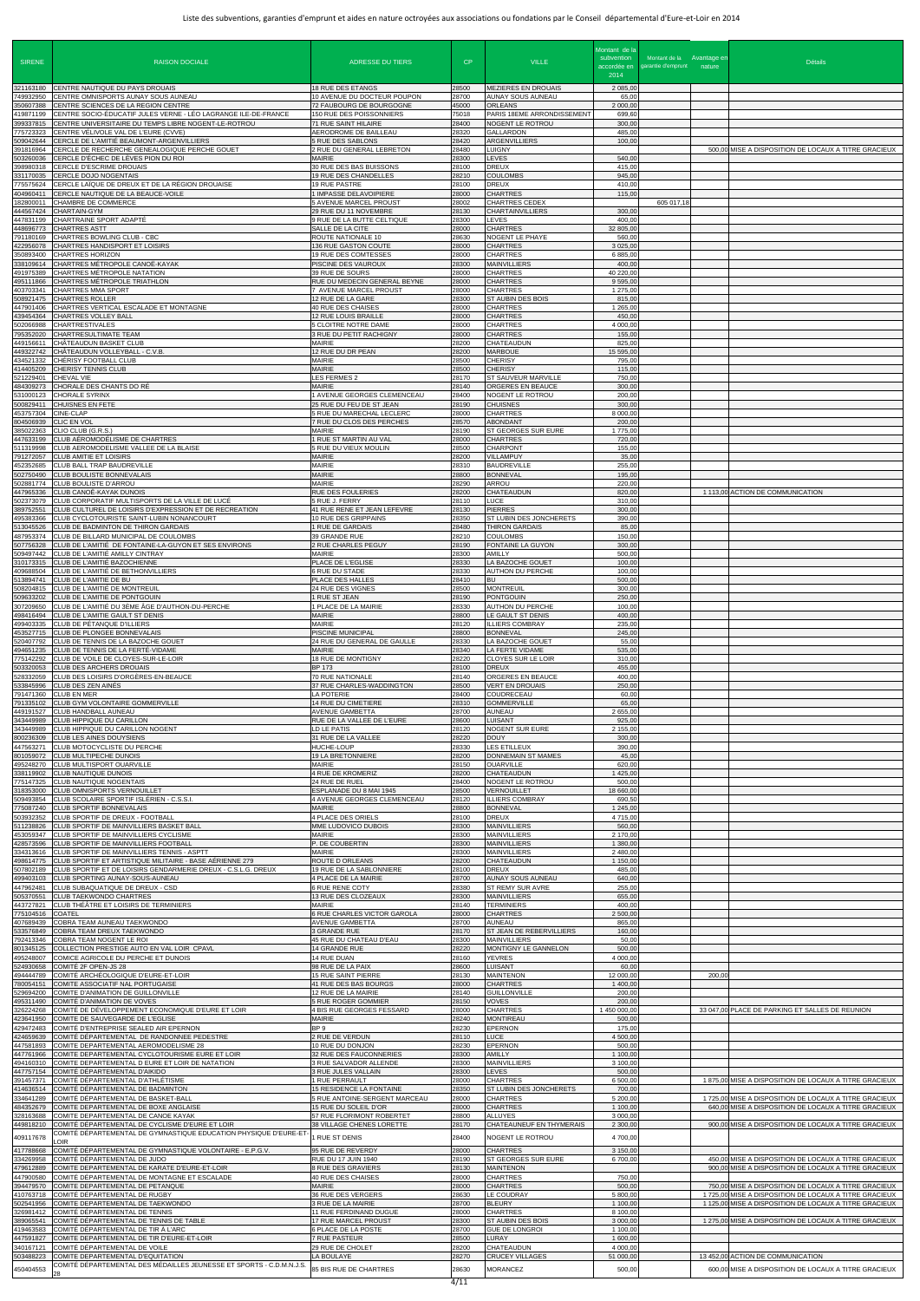| <b>SIRENE</b>                       | <b>RAISON DOCIALE</b>                                                                                                                                         | <b>ADRESSE DU TIERS</b>                                                              | CP                      | <b>VILLE</b>                                                            | Montant de la<br>subvention<br>accordée en<br>2014 | Montant de la Avantage er<br>garantie d'emprunt nature | <b>Détails</b>                                                                                                   |
|-------------------------------------|---------------------------------------------------------------------------------------------------------------------------------------------------------------|--------------------------------------------------------------------------------------|-------------------------|-------------------------------------------------------------------------|----------------------------------------------------|--------------------------------------------------------|------------------------------------------------------------------------------------------------------------------|
| 321163180<br>749932950              | CENTRE NAUTIQUE DU PAYS DROUAIS<br>CENTRE OMNISPORTS AUNAY SOUS AUNEAU                                                                                        | <b>18 RUE DES ETANGS</b><br>10 AVENUE DU DOCTEUR POUPON                              | 28500<br>28700          | <b>MEZIERES EN DROUAIS</b><br>AUNAY SOUS AUNEAU                         | 2 085,00<br>65,00                                  |                                                        |                                                                                                                  |
| 350607388<br>419871199<br>399337815 | CENTRE SCIENCES DE LA REGION CENTRE<br>CENTRE SOCIO-ÉDUCATIF JULES VERNE - LÉO LAGRANGE ILE-DE-FRANCE<br>CENTRE UNIVERSITAIRE DU TEMPS LIBRE NOGENT-LE-ROTROU | 72 FAUBOURG DE BOURGOGNE<br>150 RUE DES POISSONNIERS<br>71 RUE SAINT HILAIRE         | 45000<br>75018<br>28400 | <b>ORLEANS</b><br>PARIS 18EME ARRONDISSEMENT<br>NOGENT LE ROTROU        | 2 000,00<br>699,60<br>300,00                       |                                                        |                                                                                                                  |
| 775723323<br>509042644              | CENTRE VÉLIVOLE VAL DE L'EURE (CVVE)<br>CERCLE DE L'AMITIÉ BEAUMONT-ARGENVILLIERS                                                                             | AERODROME DE BAILLEAU<br>5 RUE DES SABLONS                                           | 28320<br>28420          | <b>GALLARDON</b><br>ARGENVILLIERS                                       | 485,00<br>100,00                                   |                                                        |                                                                                                                  |
| 391816964<br>503260036<br>398980318 | CERCLE DE RECHERCHE GENEALOGIQUE PERCHE GOUET<br>CERCLE D'ÉCHEC DE LÈVES PION DU ROI<br>CERCLE D'ESCRIME DROUAIS                                              | 2 RUE DU GENERAL LEBRETON<br>MAIRIE<br>30 RUE DES BAS BUISSONS                       | 28480<br>28300<br>28100 | <b>LUIGNY</b><br><b>LEVES</b><br><b>DREUX</b>                           | 540,00<br>415,00                                   |                                                        | 500,00 MISE A DISPOSITION DE LOCAUX A TITRE GRACIEUX                                                             |
| 331170035<br>775575624              | CERCLE DOJO NOGENTAIS<br>CERCLE LAÏQUE DE DREUX ET DE LA RÉGION DROUAISE                                                                                      | 19 RUE DES CHANDELLES<br>19 RUE PASTRE                                               | 28210<br>28100          | <b>COULOMBS</b><br><b>DREUX</b>                                         | 945,00<br>410,00                                   |                                                        |                                                                                                                  |
| 404960411<br>182800011<br>444567424 | CERCLE NAUTIQUE DE LA BEAUCE-VOILE<br>CHAMBRE DE COMMERCE<br>CHARTAIN-GYM                                                                                     | 1 IMPASSE DELAVOIPIERE<br>5 AVENUE MARCEL PROUST<br>29 RUE DU 11 NOVEMBRE            | 28000<br>28002<br>28130 | <b>CHARTRES</b><br><b>CHARTRES CEDEX</b><br><b>CHARTAINVILLIERS</b>     | 115.00<br>300,00                                   | 605 017,18                                             |                                                                                                                  |
| 447831199<br>448696773<br>791180169 | CHARTRAINE SPORT ADAPTÉ<br><b>CHARTRES ASTT</b><br>CHARTRES BOWLING CLUB - CBC                                                                                | 9 RUE DE LA BUTTE CELTIQUE<br>SALLE DE LA CITE<br>ROUTE NATIONALE 10                 | 28300<br>28000<br>28630 | <b>LEVES</b><br><b>CHARTRES</b><br>NOGENT LE PHAYE                      | 400,00<br>32 805,00<br>560,00                      |                                                        |                                                                                                                  |
| 422956078<br>350893400              | CHARTRES HANDISPORT ET LOISIRS<br><b>CHARTRES HORIZON</b>                                                                                                     | 136 RUE GASTON COUTE<br>19 RUE DES COMTESSES                                         | 28000<br>28000          | <b>CHARTRES</b><br><b>CHARTRES</b>                                      | 3 0 2 5 , 0 0<br>6 885,00                          |                                                        |                                                                                                                  |
| 338109614<br>491975389<br>495111866 | CHARTRES MÉTROPOLE CANOË-KAYAK<br>CHARTRES MÉTROPOLE NATATION<br>CHARTRES MÉTROPOLE TRIATHLON                                                                 | PISCINE DES VAUROUX<br>39 RUE DE SOURS<br>RUE DU MEDECIN GENERAL BEYNE               | 28300<br>28000<br>28000 | <b>MAINVILLIERS</b><br><b>CHARTRES</b><br><b>CHARTRES</b>               | 400,00<br>40 220,00<br>9 595,00                    |                                                        |                                                                                                                  |
| 403703341<br>508921475              | <b>CHARTRES MMA SPORT</b><br><b>CHARTRES ROLLER</b>                                                                                                           | 7 AVENUE MARCEL PROUST<br>12 RUE DE LA GARE                                          | 28000<br>28300          | <b>CHARTRES</b><br>ST AUBIN DES BOIS                                    | 1 275,00<br>815,00                                 |                                                        |                                                                                                                  |
| 447901406<br>439454364<br>502066988 | CHARTRES VERTICAL ESCALADE ET MONTAGNE<br>CHARTRES VOLLEY BALL<br><b>CHARTRESTIVALES</b>                                                                      | 40 RUE DES CHAISES<br>12 RUE LOUIS BRAILLE<br>5 CLOITRE NOTRE DAME                   | 28000<br>28000<br>28000 | <b>CHARTRES</b><br><b>CHARTRES</b><br><b>CHARTRES</b>                   | 1 265,00<br>450,00<br>4 000,00                     |                                                        |                                                                                                                  |
| 795352020<br>449156611              | CHARTRESULTIMATE TEAM<br>CHĂTEAUDUN BASKET CLUB                                                                                                               | 3 RUE DU PETIT RACHIGNY<br>MAIRIE                                                    | 28000<br>28200          | <b>CHARTRES</b><br><b>CHATEAUDUN</b>                                    | 155,00<br>825,00                                   |                                                        |                                                                                                                  |
| 449322742<br>434521332<br>414405209 | CHÂTEAUDUN VOLLEYBALL - C.V.B.<br>CHÉRISY FOOTBALL CLUB<br>CHERISY TENNIS CLUB                                                                                | 12 RUE DU DR PEAN<br>MAIRIE<br>MAIRIE                                                | 28200<br>28500<br>28500 | <b>MARBOUE</b><br><b>CHERISY</b><br><b>CHERISY</b>                      | 15 595,00<br>795,00<br>115,00                      |                                                        |                                                                                                                  |
| 521229401<br>484309273              | <b>CHEVAL VIE</b><br>CHORALE DES CHANTS DO RÉ                                                                                                                 | LES FERMES 2<br>MAIRIE                                                               | 28170<br>28140          | <b>ST SAUVEUR MARVILLE</b><br>ORGERES EN BEAUCE                         | 750,00<br>300,00                                   |                                                        |                                                                                                                  |
| 531000123<br>500829411<br>453757304 | <b>CHORALE SYRINX</b><br>CHUISNES EN FETE<br>CINE-CLAP                                                                                                        | 1 AVENUE GEORGES CLEMENCEAU<br>25 RUE DU FEU DE ST JEAN<br>5 RUE DU MARECHAL LECLERC | 28400<br>28190<br>28000 | NOGENT LE ROTROU<br><b>CHUISNES</b><br><b>CHARTRES</b>                  | 200,00<br>300,00<br>8 000,00                       |                                                        |                                                                                                                  |
| 804506939<br>385022363              | <b>CLIC EN VOL</b><br>CLIO CLUB (G.R.S.)                                                                                                                      | 7 RUE DU CLOS DES PERCHES<br>MAIRIE                                                  | 28570<br>28190          | <b>ABONDANT</b><br>ST GEORGES SUR EURE                                  | 200,00<br>1775,00                                  |                                                        |                                                                                                                  |
| 447633199<br>511319998<br>791272057 | CLUB AÉROMODÉLISME DE CHARTRES<br>CLUB AEROMODELISME VALLEE DE LA BLAISE<br><b>CLUB AMITIE ET LOISIRS</b>                                                     | 1 RUE ST MARTIN AU VAL<br>5 RUE DU VIEUX MOULIN<br><b>MAIRIE</b>                     | 28000<br>28500<br>28200 | <b>CHARTRES</b><br><b>CHARPONT</b><br>VILLAMPUY                         | 720,00<br>155,00<br>35,00                          |                                                        |                                                                                                                  |
| 452352685<br>502750490<br>502881774 | CLUB BALL TRAP BAUDREVILLE<br><b>CLUB BOULISTE BONNEVALAIS</b><br>CLUB BOULISTE D'ARROU                                                                       | MAIRIE<br>MAIRIE<br><b>MAIRIE</b>                                                    | 28310<br>28800<br>28290 | <b>BAUDREVILLE</b><br><b>BONNEVAL</b><br><b>ARROU</b>                   | 255,00<br>195,00<br>220,00                         |                                                        |                                                                                                                  |
| 447965336<br>502373079              | CLUB CANOË-KAYAK DUNOIS<br>CLUB CORPORATIF MULTISPORTS DE LA VILLE DE LUCÉ                                                                                    | RUE DES FOULERIES<br>5 RUE J. FERRY                                                  | 28200<br>28110          | <b>CHATEAUDUN</b><br><b>LUCE</b>                                        | 820,00<br>310,00                                   |                                                        | 1 113,00 ACTION DE COMMUNICATION                                                                                 |
| 389752551<br>495383366<br>513045526 | CLUB CULTUREL DE LOISIRS D'EXPRESSION ET DE RECREATION<br>CLUB CYCLOTOURISTE SAINT-LUBIN NONANCOURT<br>CLUB DE BADMINTON DE THIRON GARDAIS                    | 41 RUE RENE ET JEAN LEFEVRE<br>10 RUE DES GRIPPAINS<br>1 RUE DE GARDAIS              | 28130<br>28350<br>28480 | <b>PIERRES</b><br>ST LUBIN DES JONCHERETS<br><b>THIRON GARDAIS</b>      | 300,00<br>390,00<br>85,00                          |                                                        |                                                                                                                  |
| 507756328                           | 487953374 CLUB DE BILLARD MUNICIPAL DE COULOMBS<br>CLUB DE L'AMITIÉ DE FONTAINE-LA-GUYON ET SES ENVIRONS                                                      | 39 GRANDE RUE<br>2 RUE CHARLES PEGUY                                                 | 28210<br>28190          | <b>COULOMBS</b><br><b>FONTAINE LA GUYON</b>                             | 150,00<br>300,00                                   |                                                        |                                                                                                                  |
| 509497442<br>310173315<br>409688504 | CLUB DE L'AMITIÉ AMILLY CINTRAY<br>CLUB DE L'AMITIÉ BAZOCHIENNE<br>CLUB DE L'AMITIÉ DE BETHONVILLIERS                                                         | MAIRIE<br>PLACE DE L'EGLISE<br>6 RUE DU STADE                                        | 28300<br>28330<br>28330 | <b>AMILLY</b><br>LA BAZOCHE GOUET<br><b>AUTHON DU PERCHE</b>            | 500,00<br>100.00<br>100,00                         |                                                        |                                                                                                                  |
| 513894741<br>508204815              | CLUB DE L'AMITIE DE BU<br>CLUB DE L'AMITIÉ DE MONTREUIL                                                                                                       | PLACE DES HALLES<br>24 RUE DES VIGNES                                                | 28410<br>28500          | <b>BU</b><br><b>MONTREUIL</b>                                           | 500,00<br>300,00                                   |                                                        |                                                                                                                  |
| 509633202<br>307209650<br>498416494 | CLUB DE L'AMITIE DE PONTGOUIN<br>CLUB DE L'AMITIÉ DU 3ÈME ÂGE D'AUTHON-DU-PERCHE<br>CLUB DE L'AMITIE GAULT ST DENIS                                           | 1 RUE ST JEAN<br>1 PLACE DE LA MAIRIE<br>MAIRIE                                      | 28190<br>28330<br>28800 | <b>PONTGOUIN</b><br>AUTHON DU PERCHE<br>LE GAULT ST DENIS               | 250,00<br>100,00<br>400,00                         |                                                        |                                                                                                                  |
| 499403335<br>453527715              | CLUB DE PÉTANQUE D'ILLIERS<br>CLUB DE PLONGEE BONNEVALAIS                                                                                                     | MAIRIE<br>PISCINE MUNICIPAL                                                          | 28120<br>28800          | <b>ILLIERS COMBRAY</b><br><b>BONNEVAL</b>                               | 235,00<br>245,00                                   |                                                        |                                                                                                                  |
| 520407792<br>494651235<br>775142292 | CLUB DE TENNIS DE LA BAZOCHE GOUET<br>CLUB DE TENNIS DE LA FERTÉ-VIDAME<br>CLUB DE VOILE DE CLOYES-SUR-LE-LOIR                                                | 24 RUE DU GENERAL DE GAULLE<br>MAIRIE<br>18 RUE DE MONTIGNY                          | 28330<br>28340<br>28220 | LA BAZOCHE GOUET<br>LA FERTE VIDAME<br>CLOYES SUR LE LOIR               | 55,00<br>535,00<br>310,00                          |                                                        |                                                                                                                  |
| 503320053<br>528332059<br>533845996 | CLUB DES ARCHERS DROUAIS<br>CLUB DES LOISIRS D'ORGÈRES-EN-BEAUCE<br>CLUB DES ZEN AINÉS                                                                        | <b>BP 173</b><br>70 RUE NATIONALE<br>37 RUE CHARLES-WADDINGTON                       | 28100<br>28140<br>28500 | <b>DREUX</b><br>ORGERES EN BEAUCE<br><b>VERT EN DROUAIS</b>             | 455,00<br>400,00<br>250,00                         |                                                        |                                                                                                                  |
| 791471360<br>791335102<br>449191527 | <b>CLUB EN MER</b><br>CLUB GYM VOLONTAIRE GOMMERVILLE<br>CLUB HANDBALL AUNEAU                                                                                 | LA POTERIE<br>14 RUE DU CIMETIERE<br>AVENUE GAMBETTA                                 | 28400<br>28310<br>28700 | COUDRECEAU<br><b>GOMMERVILLE</b><br><b>AUNEAU</b>                       | 60,00<br>65,00<br>2 655,00                         |                                                        |                                                                                                                  |
| 343449989<br>343449989<br>800236309 | CLUB HIPPIQUE DU CARILLON<br>CLUB HIPPIQUE DU CARILLON NOGENT<br>CLUB LES AINES DOUYSIENS                                                                     | RUE DE LA VALLEE DE L'EURE<br>LD LE PATIS<br>31 RUE DE LA VALLEE                     | 28600<br>28120<br>28220 | <b>LUISANT</b><br><b>NOGENT SUR EURE</b><br><b>DOUY</b>                 | 925,00<br>2 155,00<br>300,00                       |                                                        |                                                                                                                  |
| 447563271<br>801059072<br>495248270 | CLUB MOTOCYCLISTE DU PERCHE<br><b>CLUB MULTIPECHE DUNOIS</b><br>CLUB MULTISPORT OUARVILLE                                                                     | HUCHE-LOUP<br>19 LA BRETONNIERE<br>MAIRIE                                            | 28330<br>28200<br>28150 | <b>LES ETILLEUX</b><br>DONNEMAIN ST MAMES<br><b>OUARVILLE</b>           | 390,00<br>45,00<br>620,00                          |                                                        |                                                                                                                  |
| 338119902<br>775147325<br>318353000 | <b>CLUB NAUTIQUE DUNOIS</b><br>CLUB NAUTIQUE NOGENTAIS<br>CLUB OMNISPORTS VERNOUILLET                                                                         | 4 RUE DE KROMERIZ<br>24 RUE DE RUEL<br>ESPLANADE DU 8 MAI 1945                       | 28200<br>28400<br>28500 | CHATEAUDUN<br>NOGENT LE ROTROU<br><b>VERNOUILLET</b>                    | 1 425,00<br>500,00<br>18 660,00                    |                                                        |                                                                                                                  |
| 509493854<br>775087240              | CLUB SCOLAIRE SPORTIF ISLÉRIEN - C.S.S.I.<br>CLUB SPORTIF BONNEVALAIS                                                                                         | 4 AVENUE GEORGES CLEMENCEAU<br><b>MAIRIE</b>                                         | 28120<br>28800          | <b>ILLIERS COMBRAY</b><br><b>BONNEVAL</b>                               | 690,50<br>1 245,00                                 |                                                        |                                                                                                                  |
| 503932352<br>511238826<br>453059347 | CLUB SPORTIF DE DREUX - FOOTBALL<br>CLUB SPORTIF DE MAINVILLIERS BASKET BALL<br>CLUB SPORTIF DE MAINVILLIERS CYCLISME                                         | 4 PLACE DES ORIELS<br>MME LUDOVICO DUBOIS<br>MAIRIE                                  | 28100<br>28300<br>28300 | <b>DREUX</b><br><b>MAINVILLIERS</b><br><b>MAINVILLIERS</b>              | 4715,00<br>560,00<br>2 170,00                      |                                                        |                                                                                                                  |
| 428573596<br>334313616<br>498614775 | CLUB SPORTIF DE MAINVILLIERS FOOTBALL<br>CLUB SPORTIF DE MAINVILLIERS TENNIS - ASPTT<br>CLUB SPORTIF ET ARTISTIQUE MILITAIRE - BASE AÉRIENNE 279              | P. DE COUBERTIN<br><b>MAIRIE</b><br>ROUTE D ORLEANS                                  | 28300<br>28300<br>28200 | <b>MAINVILLIERS</b><br><b>MAINVILLIERS</b><br>CHATEAUDUN                | 1 380,00<br>2 480,00<br>1 150,00                   |                                                        |                                                                                                                  |
| 507802189<br>499403103              | CLUB SPORTIF ET DE LOISIRS GENDARMERIE DREUX - C.S.L.G. DREUX<br>CLUB SPORTING AUNAY-SOUS-AUNEAU                                                              | 19 RUE DE LA SABLONNIERE<br>4 PLACE DE LA MAIRIE                                     | 28100<br>28700          | <b>DREUX</b><br>AUNAY SOUS AUNEAU                                       | 485,00<br>640,00                                   |                                                        |                                                                                                                  |
| 447962481<br>505370551<br>443727821 | CLUB SUBAQUATIQUE DE DREUX - CSD<br><b>CLUB TAEKWONDO CHARTRES</b><br>CLUB THÉÂTRE ET LOISIRS DE TERMINIERS                                                   | 6 RUE RENE COTY<br>13 RUE DES CLOZEAUX<br>MAIRIE                                     | 28380<br>28300<br>28140 | ST REMY SUR AVRE<br><b>MAINVILLIERS</b><br><b>TERMINIERS</b>            | 255,00<br>655,00<br>400,00                         |                                                        |                                                                                                                  |
| 775104516<br>407689439              | <b>COATEL</b><br>COBRA TEAM AUNEAU TAEKWONDO                                                                                                                  | 6 RUE CHARLES VICTOR GAROLA<br>AVENUE GAMBETTA                                       | 28000<br>28700          | <b>CHARTRES</b><br><b>AUNEAU</b>                                        | 2 500,00<br>865,00                                 |                                                        |                                                                                                                  |
| 533576849<br>792413346<br>801345125 | COBRA TEAM DREUX TAEKWONDO<br>COBRA TEAM NOGENT LE ROI<br>COLLECTION PRESTIGE AUTO EN VAL LOIR CPAVL                                                          | 3 GRANDE RUE<br>45 RUE DU CHATEAU D'EAU<br>14 GRANDE RUE                             | 28170<br>28300<br>28220 | ST JEAN DE REBERVILLIERS<br><b>MAINVILLIERS</b><br>MONTIGNY LE GANNELON | 160,00<br>50,00<br>500,00                          |                                                        |                                                                                                                  |
| 495248007<br>524930658              | COMICE AGRICOLE DU PERCHE ET DUNOIS<br>COMITÉ 2F OPEN-JS 28                                                                                                   | 14 RUE DUAN<br>98 RUE DE LA PAIX                                                     | 28160<br>28600          | <b>YEVRES</b><br><b>LUISANT</b>                                         | 4 000,00<br>60,00                                  |                                                        |                                                                                                                  |
| 494444789<br>780054151<br>529694200 | COMITÉ ARCHÉOLOGIQUE D'EURE-ET-LOIR<br>COMITE ASSOCIATIF NAL PORTUGAISE<br>COMITE D'ANIMATION DE GUILLONVILLE                                                 | 15 RUE SAINT PIERRE<br>41 RUE DES BAS BOURGS<br>12 RUE DE LA MAIRIE                  | 28130<br>28000<br>28140 | <b>MAINTENON</b><br><b>CHARTRES</b><br><b>GUILLONVILLE</b>              | 12 000,00<br>1 400,00<br>200,00                    |                                                        | 200,00                                                                                                           |
| 495311490<br>326224268              | COMITÉ D'ANIMATION DE VOVES<br>COMITÉ DE DÉVELOPPEMENT ECONOMIQUE D'EURE ET LOIR                                                                              | 5 RUE ROGER GOMMIER<br>4 BIS RUE GEORGES FESSARD<br>MAIRIE                           | 28150<br>28000<br>28240 | <b>VOVES</b><br><b>CHARTRES</b>                                         | 200,00<br>1 450 000,00<br>500,00                   |                                                        | 33 047,00 PLACE DE PARKING ET SALLES DE REUNION                                                                  |
| 423641950<br>424659639              | COMITE DE SAUVEGARDE DE L'EGLISE<br>429472483 COMITE D'ENTREPRISE SEALED AIR EPERNON<br>COMITÉ DÉPARTEMENTAL DE RANDONNEE PEDESTRE                            | BP 9<br>2 RUE DE VERDUN                                                              | 28230<br>28110          | <b>MONTIREAU</b><br><b>EPERNON</b><br><b>LUCE</b>                       | 175,00<br>4 500,00                                 |                                                        |                                                                                                                  |
| 447581893<br>447761966<br>494160310 | COMITE DEPARTEMENTAL AEROMODELISME 28<br>COMITE DEPARTEMENTAL CYCLOTOURISME EURE ET LOIR<br>COMITE DEPARTEMENTAL D EURE ET LOIR DE NATATION                   | 10 RUE DU DONJON<br>32 RUE DES FAUCONNERIES<br>3 RUE SALVADOR ALLENDE                | 28230<br>28300<br>28300 | <b>EPERNON</b><br><b>AMILLY</b><br><b>MAINVILLIERS</b>                  | 500,00<br>1 100,00<br>3 100,00                     |                                                        |                                                                                                                  |
| 447757154<br>391457371              | COMITÉ DÉPARTEMENTAL D'AIKIDO<br>COMITÉ DÉPARTEMENTAL D'ATHLÉTISME                                                                                            | 3 RUE JULES VALLAIN<br>1 RUE PERRAULT                                                | 28300<br>28000          | <b>LEVES</b><br><b>CHARTRES</b>                                         | 500,00<br>6 500,00                                 |                                                        | 1 875,00 MISE A DISPOSITION DE LOCAUX A TITRE GRACIEUX                                                           |
| 414636514<br>334641289<br>484352679 | COMITÉ DÉPARTEMENTAL DE BADMINTON<br>COMITÉ DÉPARTEMENTAL DE BASKET-BALL<br>COMITE DEPARTEMENTAL DE BOXE ANGLAISE                                             | 15 RESIDENCE LA FONTAINE<br>5 RUE ANTOINE-SERGENT MARCEAU<br>15 RUE DU SOLEIL D'OR   | 28350<br>28000<br>28000 | ST LUBIN DES JONCHERETS<br><b>CHARTRES</b><br><b>CHARTRES</b>           | 700,00<br>5 200,00<br>1 100,00                     |                                                        | 1 725,00 MISE A DISPOSITION DE LOCAUX A TITRE GRACIEUX<br>640,00 MISE A DISPOSITION DE LOCAUX A TITRE GRACIEUX   |
| 328163688<br>449818210              | COMITE DEPARTEMENTAL DE CANOE KAYAK<br>COMITÉ DÉPARTEMENTAL DE CYCLISME D'EURE ET LOIR                                                                        | 57 RUE FLORIMONT ROBERTET<br>38 VILLAGE CHENES LORETTE                               | 28800<br>28170          | <b>ALLUYES</b><br>CHATEAUNEUF EN THYMERAIS                              | 3 000,00<br>2 300,00                               |                                                        | 900,00 MISE A DISPOSITION DE LOCAUX A TITRE GRACIEUX                                                             |
| 409117678<br>417788668              | COMITÉ DÉPARTEMENTAL DE GYMNASTIQUE EDUCATION PHYSIQUE D'EURE-ET-<br>LOIR <sub></sub><br>COMITÉ DÉPARTEMENTAL DE GYMNASTIQUE VOLONTAIRE - E.P.G.V.            | 1 RUE ST DENIS<br>95 RUE DE REVERDY                                                  | 28400<br>28000          | NOGENT LE ROTROU<br><b>CHARTRES</b>                                     | 4 700,00<br>3 150,00                               |                                                        |                                                                                                                  |
| 334269958<br>479612889              | COMITÉ DÉPARTEMENTAL DE JUDO<br>COMITE DEPARTEMENTAL DE KARATE D'EURE-ET-LOIR                                                                                 | RUE DU 17 JUIN 1940<br>8 RUE DES GRAVIERS                                            | 28190<br>28130          | ST GEORGES SUR EURE<br><b>MAINTENON</b>                                 | 6 700,00                                           |                                                        | 450.00 MISE A DISPOSITION DE LOCAUX A TITRE GRACIEUX<br>900,00 MISE A DISPOSITION DE LOCAUX A TITRE GRACIEUX     |
| 447900580<br>394479570<br>410763718 | COMITÉ DÉPARTEMENTAL DE MONTAGNE ET ESCALADE<br>COMITE DEPARTEMENTAL DE PETANQUE<br>COMITÉ DÉPARTEMENTAL DE RUGBY                                             | 40 RUE DES CHAISES<br><b>MAIRIE</b><br>36 RUE DES VERGERS                            | 28000<br>28000<br>28630 | <b>CHARTRES</b><br><b>CHARTRES</b><br><b>LE COUDRAY</b>                 | 750,00<br>500,00<br>5 800,00                       |                                                        | 750,00 MISE A DISPOSITION DE LOCAUX A TITRE GRACIEUX<br>1 725,00 MISE A DISPOSITION DE LOCAUX A TITRE GRACIEUX   |
| 502541956<br>326981412<br>389065541 | COMITE DEPARTEMENTAL DE TAEKWONDO<br>COMITÉ DÉPARTEMENTAL DE TENNIS<br>COMITÉ DÉPARTEMENTAL DE TENNIS DE TABLE                                                | 3 RUE DE LA MAIRIE<br>11 RUE FERDINAND DUGUE<br>17 RUE MARCEL PROUST                 | 28700<br>28000<br>28300 | <b>BLEURY</b><br><b>CHARTRES</b><br>ST AUBIN DES BOIS                   | 1 100,00<br>8 100,00<br>3 000,00                   |                                                        | 1 125,00 MISE A DISPOSITION DE LOCAUX A TITRE GRACIEUX<br>1 275,00 MISE A DISPOSITION DE LOCAUX A TITRE GRACIEUX |
| 419463583<br>447591827              | COMITÉ DÉPARTEMENTAL DE TIR À L'ARC<br>COMITE DEPARTEMENTAL DE TIR D'EURE-ET-LOIR                                                                             | 6 PLACE DE LA POSTE<br>7 RUE PASTEUR                                                 | 28700<br>28500          | <b>GUE DE LONGROI</b><br>LURAY                                          | 1 100,00<br>1 600,00                               |                                                        |                                                                                                                  |
| 340167121<br>503488223              | COMITÉ DÉPARTEMENTAL DE VOILE<br>COMITE DEPARTEMENTAL D'EQUITATION<br>COMITÉ DÉPARTEMENTAL DES MÉDAILLES JEUNESSE ET SPORTS - C.D.M.N.J.S.                    | 29 RUE DE CHOLET<br>LA BOULAYE                                                       | 28200<br>28270          | CHATEAUDUN<br><b>CRUCEY VILLAGES</b>                                    | 4 000,0<br>51 000,00                               |                                                        | 13 452,00 ACTION DE COMMUNICATION                                                                                |
| 450404553                           | 28                                                                                                                                                            | 85 BIS RUE DE CHARTRES                                                               | 28630<br>1/11           | <b>MORANCEZ</b>                                                         | 500,00                                             |                                                        | 600,00 MISE A DISPOSITION DE LOCAUX A TITRE GRACIEUX                                                             |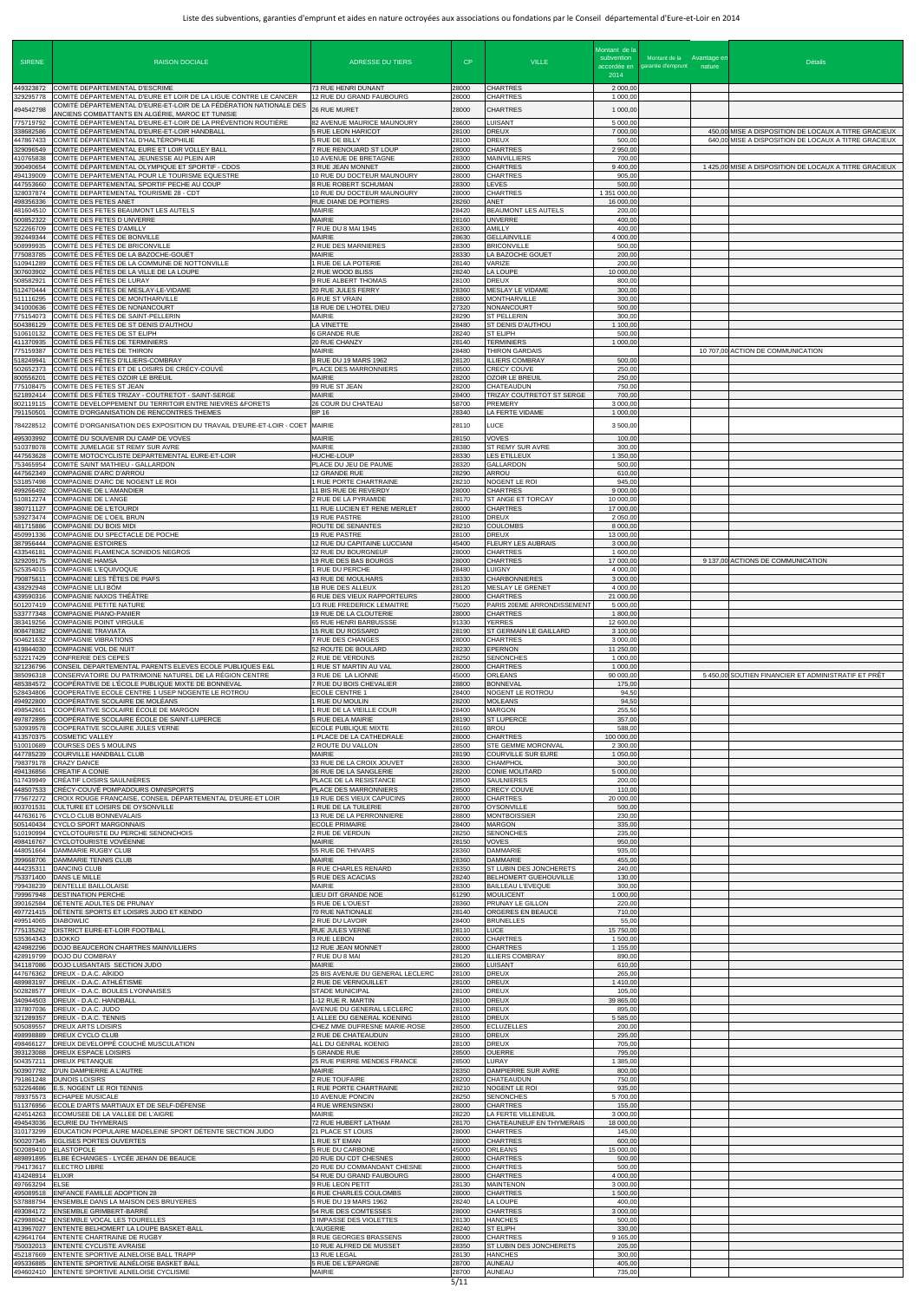| <b>SIRENE</b>                       | <b>RAISON DOCIALE</b>                                                                                                                                                                       | <b>ADRESSE DU TIERS</b>                                                            | CP                      | <b>VILLE</b>                                                        | Montant de la<br>subvention<br>accordée en<br>2014 | Montant de la Avantage et<br>garantie d'emprunt nature | <b>Détails</b>                                                                                               |
|-------------------------------------|---------------------------------------------------------------------------------------------------------------------------------------------------------------------------------------------|------------------------------------------------------------------------------------|-------------------------|---------------------------------------------------------------------|----------------------------------------------------|--------------------------------------------------------|--------------------------------------------------------------------------------------------------------------|
|                                     | 449323872 COMITE DEPARTEMENTAL D'ESCRIME<br>29295778 COMITÉ DÉPARTEMENTAL D'EURE ET LOIR DE LA LIGUE CONTRE LE CANCER<br>COMITÉ DÉPARTEMENTAL D'EURE-ET-LOIR DE LA FÉDÉRATION NATIONALE DES | 73 RUE HENRI DUNANT<br>12 RUE DU GRAND FAUBOURG                                    | 28000<br>28000          | <b>CHARTRES</b><br><b>CHARTRES</b>                                  | 2 000,00<br>1 000,00                               |                                                        |                                                                                                              |
| 494542798<br>775719792              | ANCIENS COMBATTANTS EN ALGÉRIE, MAROC ET TUNISIE<br>COMITÉ DÉPARTEMENTAL D'EURE-ET-LOIR DE LA PRÉVENTION ROUTIÈRE                                                                           | 26 RUE MURET<br>82 AVENUE MAURICE MAUNOURY                                         | 28000<br>28600          | <b>CHARTRES</b><br>LUISANT                                          | 1 000,00<br>5 000,00                               |                                                        |                                                                                                              |
| 338682586<br>447867433              | COMITÉ DÉPARTEMENTAL D'EURE-ET-LOIR HANDBALL<br>COMITÉ DÉPARTEMENTAL D'HALTÉROPHILIE                                                                                                        | <b>5 RUE LEON HARICOT</b><br>5 RUE DE BILLY                                        | 28100<br>28100          | <b>DREUX</b><br><b>DREUX</b>                                        | 7 000,00<br>500,00                                 |                                                        | 450,00 MISE A DISPOSITION DE LOCAUX A TITRE GRACIEUX<br>640,00 MISE A DISPOSITION DE LOCAUX A TITRE GRACIEUX |
| 329096549<br>110765838<br>390490654 | COMITE DEPARTEMENTAL EURE ET LOIR VOLLEY BALL<br>COMITE DEPARTEMENTAL JEUNESSE AU PLEIN AIR<br>COMITÉ DÉPARTEMENTAL OLYMPIQUE ET SPORTIF - CDOS                                             | 7 RUE RENOUARD ST LOUP<br>10 AVENUE DE BRETAGNE<br>3 RUE JEAN MONNET               | 28000<br>28300<br>28000 | <b>CHARTRES</b><br><b>MAINVILLIERS</b><br><b>CHARTRES</b>           | 2 950,00<br>700,00<br>9 400,00                     |                                                        | 1 425,00 MISE A DISPOSITION DE LOCAUX A TITRE GRACIEUX                                                       |
| 494139009<br>447553660              | COMITE DEPARTEMENTAL POUR LE TOURISME EQUESTRE<br>COMITE DEPARTEMENTAL SPORTIF PECHE AU COUP                                                                                                | 10 RUE DU DOCTEUR MAUNOURY<br>8 RUE ROBERT SCHUMAN                                 | 28000<br>28300          | <b>CHARTRES</b><br>LEVES                                            | 905,00<br>500,0                                    |                                                        |                                                                                                              |
| 328037874<br>498356336<br>481604510 | COMITE DEPARTEMENTAL TOURISME 28 - CDT<br>COMITE DES FETES ANET<br>COMITE DES FETES BEAUMONT LES AUTELS                                                                                     | 10 RUE DU DOCTEUR MAUNOURY<br>RUE DIANE DE POITIERS<br><b>MAIRIE</b>               | 28000<br>28260<br>28420 | <b>CHARTRES</b><br>ANET<br>BEAUMONT LES AUTELS                      | 1 351 000,00<br>16 000,00<br>200,00                |                                                        |                                                                                                              |
| 500852322<br>522266709              | COMITE DES FETES D UNVERRE<br>COMITE DES FETES D'AMILLY                                                                                                                                     | MAIRIE<br>7 RUE DU 8 MAI 1945                                                      | 28160<br>28300          | <b>UNVERRE</b><br>AMILLY                                            | 400,00<br>400,00                                   |                                                        |                                                                                                              |
| 392449344<br>508999935<br>75083785  | COMITÉ DES FÊTES DE BONVILLE<br>COMITÉ DES FÊTES DE BRICONVILLE<br>COMITÉ DES FÊTES DE LA BAZOCHE-GOUËT                                                                                     | MAIRIE<br>2 RUE DES MARNIERES<br><b>MAIRIE</b>                                     | 28630<br>28300<br>28330 | <b>GELLAINVILLE</b><br><b>BRICONVILLE</b><br>LA BAZOCHE GOUET       | 4 000,00<br>500,00<br>200,00                       |                                                        |                                                                                                              |
| 10941289<br>307603902               | COMITÉ DES FÊTES DE LA COMMUNE DE NOTTONVILLE<br>ICOMITÉ DES FÊTES DE LA VILLE DE LA LOUPE                                                                                                  | 1 RUE DE LA POTERIE<br>2 RUE WOOD BLISS                                            | 28140<br>28240          | VARIZE<br>LA LOUPE                                                  | 200,00<br>10 000,00                                |                                                        |                                                                                                              |
| 508582921<br>512470444<br>511116295 | COMITÉ DES FÊTES DE LURAY<br>COMITÉ DES FÊTES DE MESLAY-LE-VIDAME<br>COMITE DES FETES DE MONTHARVILLE                                                                                       | 9 RUE ALBERT THOMAS<br>20 RUE JULES FERRY<br><b>6 RUE ST VRAIN</b>                 | 28100<br>28360<br>28800 | <b>DREUX</b><br><b>MESLAY LE VIDAME</b><br><b>MONTHARVILLE</b>      | 800,00<br>300.00<br>300,00                         |                                                        |                                                                                                              |
| 341000636                           | COMITÉ DES FÊTES DE NONANCOURT<br>775154073 COMITÉ DES FÊTES DE SAINT-PELLERIN                                                                                                              | 18 RUE DE L'HOTEL DIEU<br><b>MAIRIE</b>                                            | 27320<br>28290          | NONANCOURT<br><b>ST PELLERIN</b>                                    | 500,00<br>300,00                                   |                                                        |                                                                                                              |
| 504386129<br>10610132<br>411370935  | COMITE DES FETES DE ST DENIS D'AUTHOU<br>COMITE DES FETES DE ST ELIPH<br>COMITÉ DES FÊTES DE TERMINIERS                                                                                     | LA VINETTE<br>6 GRANDE RUE<br>20 RUE CHANZY                                        | 28480<br>28240<br>28140 | <b>ST DENIS D'AUTHOU</b><br><b>ST ELIPH</b><br><b>TERMINIERS</b>    | 1 100,00<br>500,00<br>1 000,00                     |                                                        |                                                                                                              |
| 775159387<br>518249941              | COMITE DES FETES DE THIRON<br>COMITÉ DES FÊTES D'ILLIERS-COMBRAY                                                                                                                            | <b>MAIRIE</b><br>8 RUE DU 19 MARS 1962                                             | 28480<br>28120          | <b>THIRON GARDAIS</b><br><b>ILLIERS COMBRAY</b>                     | 500,00                                             |                                                        | 10 707,00 ACTION DE COMMUNICATION                                                                            |
| 02652373<br>800556201               | COMITÉ DES FÊTES ET DE LOISIRS DE CRÉCY-COUVÉ<br>COMITE DES FETES OZOIR LE BREUIL<br>COMITE DES FETES ST JEAN                                                                               | PLACE DES MARRONNIERS<br><b>MAIRIE</b>                                             | 28500<br>28200          | <b>CRECY COUVE</b><br><b>OZOIR LE BREUIL</b><br>CHATEAUDUN          | 250,00<br>250,00<br>750,00                         |                                                        |                                                                                                              |
| 775108475<br>21892414<br>802119115  | COMITÉ DES FÊTES TRIZAY - COUTRETOT - SAINT-SERGE<br>COMITE DEVELOPPEMENT DU TERRITOIR ENTRE NIEVRES & FORETS                                                                               | 99 RUE ST JEAN<br><b>MAIRIE</b><br>26 COUR DU CHATEAU                              | 28200<br>28400<br>58700 | TRIZAY COUTRETOT ST SERGE<br><b>PREMERY</b>                         | 700.00<br>3 000,00                                 |                                                        |                                                                                                              |
| 791150501<br>784228512              | COMITE D'ORGANISATION DE RENCONTRES THEMES<br>COMITÉ D'ORGANISATION DES EXPOSITION DU TRAVAIL D'EURE-ET-LOIR - COET                                                                         | <b>BP 16</b><br><b>MAIRIE</b>                                                      | 28340<br>28110          | LA FERTE VIDAME<br>LUCE                                             | 1 000,00<br>3 500,00                               |                                                        |                                                                                                              |
| 495303992<br>10378078               | COMITÉ DU SOUVENIR DU CAMP DE VOVES<br>COMITE JUMELAGE ST REMY SUR AVRE                                                                                                                     | MAIRIE<br>MAIRIE                                                                   | 28150<br>28380          | <b>VOVES</b><br><b>ST REMY SUR AVRE</b>                             | 100,00<br>300,00                                   |                                                        |                                                                                                              |
| 447563628<br>53465954               | COMITE MOTOCYCLISTE DEPARTEMENTAL EURE-ET-LOIR<br>COMITÉ SAINT MATHIEU - GALLARDON                                                                                                          | HUCHE-LOUP<br>PLACE DU JEU DE PAUME                                                | 28330<br>28320          | LES ETILLEUX<br><b>GALLARDON</b>                                    | 1 350,00<br>500,00                                 |                                                        |                                                                                                              |
| 447562349<br>531857498<br>499266492 | COMPAGNIE D'ARC D'ARROU<br>COMPAGNIE D'ARC DE NOGENT LE ROI<br><b>COMPAGNIE DE L'AMANDIER</b>                                                                                               | 12 GRANDE RUE<br>1 RUE PORTE CHARTRAINE<br>11 BIS RUE DE REVERDY                   | 28290<br>28210<br>28000 | ARROU<br><b>NOGENT LE ROI</b><br><b>CHARTRES</b>                    | 610,00<br>945,00<br>9 000,00                       |                                                        |                                                                                                              |
| 10812274<br>380711127               | <b>COMPAGNIE DE L'ANGE</b><br><b>COMPAGNIE DE L'ETOURDI</b>                                                                                                                                 | 2 RUE DE LA PYRAMIDE<br>11 RUE LUCIEN ET RENE MERLET                               | 28170<br>28000          | ST ANGE ET TORCAY<br><b>CHARTRES</b>                                | 10 000,00<br>17 000,00                             |                                                        |                                                                                                              |
| 39273474                            | COMPAGNIE DE L'OEIL BRUN<br>481715886 COMPAGNIE DU BOIS MIDI<br>450991336 COMPAGNIE DU SPECTACLE DE POCHE                                                                                   | 19 RUE PASTRE<br>ROUTE DE SENANTES<br><b>19 RUE PASTRE</b>                         | 28100<br>28210<br>28100 | <b>DREUX</b><br><b>COULOMBS</b><br>DREUX                            | 2 050,00<br>8 000,00<br>13 000,00                  |                                                        |                                                                                                              |
| 433546181                           | 387956444 COMPAGNIE ESTOIRES<br>COMPAGNIE FLAMENCA SONIDOS NEGROS                                                                                                                           | 12 RUE DU CAPITAINE LUCCIANI<br>32 RUE DU BOURGNEUF                                | 45400<br>28000          | <b>FLEURY LES AUBRAIS</b><br><b>CHARTRES</b>                        | 3 000,00<br>1 600,00                               |                                                        |                                                                                                              |
|                                     | 329209175 COMPAGNIE HAMSA<br>525354015 COMPAGNIE L'EQUIVOQUE                                                                                                                                | 19 RUE DES BAS BOURGS<br>1 RUE DU PERCHE                                           | 28000<br>28480<br>28330 | <b>CHARTRES</b><br><b>LUIGNY</b><br><b>CHARBONNIERES</b>            | 17 000,00<br>4 000,00<br>3 000,00                  |                                                        | 9 137,00 ACTIONS DE COMMUNICATION                                                                            |
| 790875611<br>438292948<br>439590316 | COMPAGNIE LES TÊTES DE PIAFS<br>COMPAGNIE LILI BÖM<br>COMPAGNIE NAXOS THÉÂTRE                                                                                                               | 43 RUE DE MOULHARS<br>1B RUE DES ALLEUX<br>6 RUE DES VIEUX RAPPORTEURS             | 28120<br>28000          | MESLAY LE GRENET<br><b>CHARTRES</b>                                 | 4 000,00<br>21 000,00                              |                                                        |                                                                                                              |
| 501207419<br>533777348              | <b>COMPAGNIE PETITE NATURE</b><br><b>COMPAGNIE PIANO-PANIER</b>                                                                                                                             | 1/3 RUE FREDERICK LEMAITRE<br>19 RUE DE LA CLOUTERIE                               | 75020<br>28000          | PARIS 20EME ARRONDISSEMENT<br><b>CHARTRES</b>                       | 5 000,00<br>1 800,00                               |                                                        |                                                                                                              |
| 383419256<br>808478382<br>504621632 | COMPAGNIE POINT VIRGULE<br><b>COMPAGNIE TRAVIATA</b><br><b>COMPAGNIE VIBRATIONS</b>                                                                                                         | 65 RUE HENRI BARBUSSSE<br>15 RUE DU ROSSARD<br>7 RUE DES CHANGES                   | 91330<br>28190<br>28000 | <b>YERRES</b><br>ST GERMAIN LE GAILLARD<br><b>CHARTRES</b>          | 12 600,00<br>3 100,00<br>3 000,00                  |                                                        |                                                                                                              |
| 419844030<br>32217429               | COMPAGNIE VOL DE NUIT<br><b>CONFRERIE DES CEPES</b>                                                                                                                                         | 52 ROUTE DE BOULARD<br>2 RUE DE VERDUNS                                            | 28230<br>28250          | <b>EPERNON</b><br><b>SENONCHES</b>                                  | 11 250,00<br>1 000,00                              |                                                        |                                                                                                              |
| 321236796<br>385096318<br>485384572 | CONSEIL DEPARTEMENTAL PARENTS ELEVES ECOLE PUBLIQUES E&L<br>CONSERVATOIRE DU PATRIMOINE NATUREL DE LA RÉGION CENTRE<br>COOPÉRATIVE DE L'ÉCOLE PUBLIQUE MIXTE DE BONNEVAL                    | 1 RUE ST MARTIN AU VAL<br>3 RUE DE LA LIONNE<br>7 RUE DU BOIS CHEVALIER            | 28000<br>45000<br>28800 | <b>CHARTRES</b><br><b>ORLEANS</b><br><b>BONNEVAL</b>                | 1 000,0<br>90 000,00<br>175,00                     |                                                        | 5 450,00 SOUTIEN FINANCIER ET ADMINISTRATIF ET PRÊT                                                          |
| 528434806<br>494922800              | COOPERATIVE ECOLE CENTRE 1 USEP NOGENTE LE ROTROU<br>COOPÉRATIVE SCOLAIRE DE MOLÉANS                                                                                                        | <b>ECOLE CENTRE 1</b><br>1 RUE DU MOULIN                                           | 28400<br>28200          | NOGENT LE ROTROU<br><b>MOLEANS</b>                                  | 94,50<br>94,50                                     |                                                        |                                                                                                              |
| 498542661<br>497872895<br>530939578 | COOPÉRATIVE SCOLAIRE ÉCOLE DE MARGON<br>COOPÉRATIVE SCOLAIRE ÉCOLE DE SAINT-LUPERCE<br>COOPERATIVE SCOLAIRE JULES VERNE                                                                     | 1 RUE DE LA VIEILLE COUR<br>5 RUE DELA MAIRIE<br>ECOLE PUBLIQUE MIXTE              | 28400<br>28190<br>28160 | <b>MARGON</b><br><b>ST LUPERCE</b><br><b>BROU</b>                   | 255,50<br>357,00<br>588,00                         |                                                        |                                                                                                              |
| 13570375<br>10010689                | <b>COSMETIC VALLEY</b><br><b>COURSES DES 5 MOULINS</b>                                                                                                                                      | 1 PLACE DE LA CATHEDRALE<br>2 ROUTE DU VALLON                                      | 28000<br>28500          | <b>CHARTRES</b><br>STE GEMME MORONVAL                               | 100 000,00<br>2 300,00                             |                                                        |                                                                                                              |
| 447785239<br>'98379178<br>494136856 | <b>COURVILLE HANDBALL CLUB</b><br><b>CRAZY DANCE</b><br><b>CREATIF A CONIE</b>                                                                                                              | <b>MAIRIE</b><br>33 RUE DE LA CROIX JOUVET<br>36 RUE DE LA SANGLERIE               | 28190<br>28300<br>28200 | <b>COURVILLE SUR EURE</b><br>CHAMPHOL<br><b>CONIE MOLITARD</b>      | 1 050,00<br>300,00<br>5 000,00                     |                                                        |                                                                                                              |
| 517439949<br>448507533              | CRÉATIF LOISIRS SAULNIÈRES<br>CRÉCY-COUVÉ POMPADOURS OMNISPORTS                                                                                                                             | PLACE DE LA RESISTANCE<br>PLACE DES MARRONNIERS                                    | 28500<br>28500          | <b>SAULNIERES</b><br><b>CRECY COUVE</b>                             | 200,00<br>110,00                                   |                                                        |                                                                                                              |
| 75672272<br>803701531<br>447636176  | CROIX ROUGE FRANÇAISE, CONSEIL DÉPARTEMENTAL D'EURE-ET LOIR<br>CULTURE ET LOISIRS DE OYSONVILLE<br>CYCLO CLUB BONNEVALAIS                                                                   | 19 RUE DES VIEUX CAPUCINS<br>1 RUE DE LA TUILERIE<br>13 RUE DE LA PERRONNIERE      | 28000<br>28700<br>28800 | <b>CHARTRES</b><br><b>OYSONVILLE</b><br><b>MONTBOISSIER</b>         | 20 000,00<br>500,00<br>230,00                      |                                                        |                                                                                                              |
| 505140434<br>510190994              | <b>CYCLO SPORT MARGONNAIS</b><br>CYCLOTOURISTE DU PERCHE SENONCHOIS                                                                                                                         | <b>ECOLE PRIMAIRE</b><br>2 RUE DE VERDUN                                           | 28400<br>28250          | <b>MARGON</b><br><b>SENONCHES</b>                                   | 335,00<br>235,00                                   |                                                        |                                                                                                              |
| 498416767<br>448051664<br>399668706 | CYCLOTOURISTE VOVÉENNE<br>DAMMARIE RUGBY CLUB<br>DAMMARIE TENNIS CLUB                                                                                                                       | MAIRIE<br>55 RUE DE THIVARS<br>MAIRIE                                              | 28150<br>28360<br>28360 | <b>VOVES</b><br><b>DAMMARIE</b><br><b>DAMMARIE</b>                  | 950,00<br>935,00<br>455,00                         |                                                        |                                                                                                              |
| 444235311                           | <b>DANCING CLUB</b><br>753371400 DANS LE MILLE                                                                                                                                              | 8 RUE CHARLES RENARD<br>5 RUE DES ACACIAS                                          | 28350<br>28240          | ST LUBIN DES JONCHERETS<br><b>BELHOMERT GUEHOUVILLE</b>             | 240,00<br>130,00                                   |                                                        |                                                                                                              |
| 799438239<br>799967948<br>390162584 | DENTELLE BAILLOLAISE<br><b>DESTINATION PERCHE</b><br>DÉTENTE ADULTES DE PRUNAY                                                                                                              | <b>MAIRIE</b><br>LIEU DIT GRANDE NOE<br>5 RUE DE L'OUEST                           | 28300<br>61290<br>28360 | <b>BAILLEAU L'EVEQUE</b><br><b>MOULICENT</b><br>PRUNAY LE GILLON    | 300,00<br>1 000,00<br>220,00                       |                                                        |                                                                                                              |
| 497721415<br>499514065              | DÉTENTE SPORTS ET LOISIRS JUDO ET KENDO<br><b>DIABOWLIC</b>                                                                                                                                 | 70 RUE NATIONALE<br>2 RUE DU LAVOIR                                                | 28140<br>28400          | ORGERES EN BEAUCE<br><b>BRUNELLES</b>                               | 710,00<br>55,00                                    |                                                        |                                                                                                              |
| 775135262<br>35364343<br>424982296  | DISTRICT EURE-ET-LOIR FOOTBALL<br><b>DJOKKO</b><br>DOJO BEAUCERON CHARTRES MAINVILLIERS                                                                                                     | RUE JULES VERNE<br>3 RUE LEBON<br>12 RUE JEAN MONNET                               | 28110<br>28000<br>28000 | LUCE<br><b>CHARTRES</b><br><b>CHARTRES</b>                          | 15 750,00<br>1 500,00<br>1 155,00                  |                                                        |                                                                                                              |
| 428919799<br>341187086              | DOJO DU COMBRAY<br>DOJO LUISANTAIS SECTION JUDO                                                                                                                                             | 7 RUE DU 8 MAI<br>MAIRIE                                                           | 28120<br>28600          | <b>ILLIERS COMBRAY</b><br><b>LUISANT</b>                            | 890,00<br>610,00                                   |                                                        |                                                                                                              |
| 447676362<br>489983197<br>502828577 | DREUX - D.A.C. AÏKIDO<br>DREUX - D.A.C. ATHLÉTISME<br>DREUX - D.A.C. BOULES LYONNAISES                                                                                                      | 25 BIS AVENUE DU GENERAL LECLERC<br>2 RUE DE VERNOUILLET<br><b>STADE MUNICIPAL</b> | 28100<br>28100<br>28100 | <b>DREUX</b><br><b>DREUX</b><br><b>DREUX</b>                        | 265,00<br>1410,00<br>105,00                        |                                                        |                                                                                                              |
| 340944503<br>337807036              | DREUX - D.A.C. HANDBALL<br>DREUX - D.A.C. JUDO                                                                                                                                              | 1-12 RUE R. MARTIN<br>AVENUE DU GENERAL LECLERC                                    | 28100<br>28100          | <b>DREUX</b><br><b>DREUX</b>                                        | 39 865,00<br>895,00                                |                                                        |                                                                                                              |
|                                     | 321289357 DREUX - D.A.C. TENNIS<br>505089557 DREUX ARTS LOISIRS<br>498998889 DREUX CYCLO CLUB                                                                                               | 1 ALLEE DU GENERAL KOENING<br>CHEZ MME DUFRESNE MARIE-ROSE<br>2 RUE DE CHATEAUDUN  | 28100<br>28500<br>28100 | <b>DREUX</b><br><b>ECLUZELLES</b><br><b>DREUX</b>                   | 5 585,00<br>200,00<br>295,00                       |                                                        |                                                                                                              |
|                                     | 498466127 <b>DREUX DEVELOPPÉ COUCHÉ MUSCULATION</b><br>393123088 DREUX ESPACE LOISIRS                                                                                                       | ALL DU GENRAL KOENIG<br>5 GRANDE RUE                                               | 28100<br>28500          | <b>DREUX</b><br><b>OUERRE</b>                                       | 705,00<br>795,00                                   |                                                        |                                                                                                              |
|                                     | 504357211 DREUX PETANQUE<br>503907792 D'UN DAMPIERRE A L'AUTRE<br>791861248 DUNOIS LOISIRS                                                                                                  | 25 RUE PIERRE MENDES FRANCE<br><b>MAIRIE</b><br>2 RUE TOUFAIRE                     | 28500<br>28350<br>28200 | LURAY<br>DAMPIERRE SUR AVRE<br><b>CHATEAUDUN</b>                    | 1 385,00<br>800,00<br>750,00                       |                                                        |                                                                                                              |
|                                     | 532264686 E.S. NOGENT LE ROI TENNIS<br>789375573 ECHAPEE MUSICALE                                                                                                                           | 1 RUE PORTE CHARTRAINE<br>10 AVENUE PONCIN                                         | 28210<br>28250          | NOGENT LE ROI<br><b>SENONCHES</b>                                   | 935,00<br>5700,00                                  |                                                        |                                                                                                              |
|                                     | 511376956 ECOLE D'ARTS MARTIAUX ET DE SELF-DÉFENSE<br>424514263 ECOMUSEE DE LA VALLEE DE L'AIGRE<br>494543036 ECURIE DU THYMERAIS                                                           | 4 RUE WRENSINSKI<br><b>MAIRIE</b><br>72 RUE HUBERT LATHAM                          | 28000<br>28220<br>28170 | <b>CHARTRES</b><br>LA FERTE VILLENEUIL<br>CHATEAUNEUF EN THYMERAIS  | 155,00<br>3 000,00<br>18 000,00                    |                                                        |                                                                                                              |
|                                     | 310173299 EDUCATION POPULAIRE MADELEINE SPORT DÉTENTE SECTION JUDO<br>500207345 EGLISES PORTES OUVERTES                                                                                     | 21 PLACE ST LOUIS<br>1 RUE ST EMAN                                                 | 28000<br>28000          | <b>CHARTRES</b><br><b>CHARTRES</b>                                  | 145,00<br>600,00                                   |                                                        |                                                                                                              |
|                                     | 502089410 ELASTOPOLE<br>489891895 ELBE ÉCHANGES - LYCÉE JEHAN DE BEAUCE<br>794173617 ELECTRO LIBRE                                                                                          | 5 RUE DU CARBONE<br>20 RUE DU CDT CHESNES<br>20 RUE DU COMMANDANT CHESNE           | 45000<br>28000<br>28000 | <b>ORLEANS</b><br><b>CHARTRES</b><br><b>CHARTRES</b>                | 15 000,00<br>500,00<br>500,00                      |                                                        |                                                                                                              |
| 414248914 ELIXIR<br>497663294       | <b>ELSE</b>                                                                                                                                                                                 | 54 RUE DU GRAND FAUBOURG<br>9 RUE LEON PETIT                                       | 28000<br>28130          | <b>CHARTRES</b><br><b>MAINTENON</b>                                 | 4 000,00<br>3 000,00                               |                                                        |                                                                                                              |
|                                     | 495089518 ENFANCE FAMILLE ADOPTION 28<br>537888794 ENSEMBLE DANS LA MAISON DES BRUYERES<br>493084172 ENSEMBLE GRIMBERT-BARRÉ                                                                | 6 RUE CHARLES COULOMBS<br>5 RUE DU 19 MARS 1962<br>54 RUE DES COMTESSES            | 28000<br>28240<br>28000 | <b>CHARTRES</b><br>LA LOUPE<br><b>CHARTRES</b>                      | 1 500,00<br>400,00<br>3 000,00                     |                                                        |                                                                                                              |
|                                     | 429988042 ENSEMBLE VOCAL LES TOURELLES<br>413967027 ENTENTE BELHOMERT LA LOUPE BASKET-BALL                                                                                                  | 3 IMPASSE DES VIOLETTES<br>L'AUGERIE                                               | 28130<br>28240          | <b>HANCHES</b><br><b>ST ELIPH</b>                                   | 500,00<br>330,00                                   |                                                        |                                                                                                              |
|                                     | 429641764 ENTENTE CHARTRAINE DE RUGBY<br>750032013 ENTENTE CYCLISTE AVRAISE<br>452187669 ENTENTE SPORTIVE ALNELOISE BALL TRAPP                                                              | 8 RUE GEORGES BRASSENS<br>10 RUE ALFRED DE MUSSET<br>13 RUE LEGAL                  | 28000<br>28350<br>28130 | <b>CHARTRES</b><br><b>ST LUBIN DES JONCHERETS</b><br><b>HANCHES</b> | 9 165,00<br>205,00<br>300,00                       |                                                        |                                                                                                              |
|                                     | 495336885 ENTENTE SPORTIVE ALNÉLOISE BASKET BALL<br>494602410 ENTENTE SPORTIVE ALNELOISE CYCLISME                                                                                           | 5 RUE DE L'EPARGNE<br><b>MAIRIE</b>                                                | 28700<br>28700          | <b>AUNEAU</b><br><b>AUNEAU</b>                                      | 405,00<br>735,00                                   |                                                        |                                                                                                              |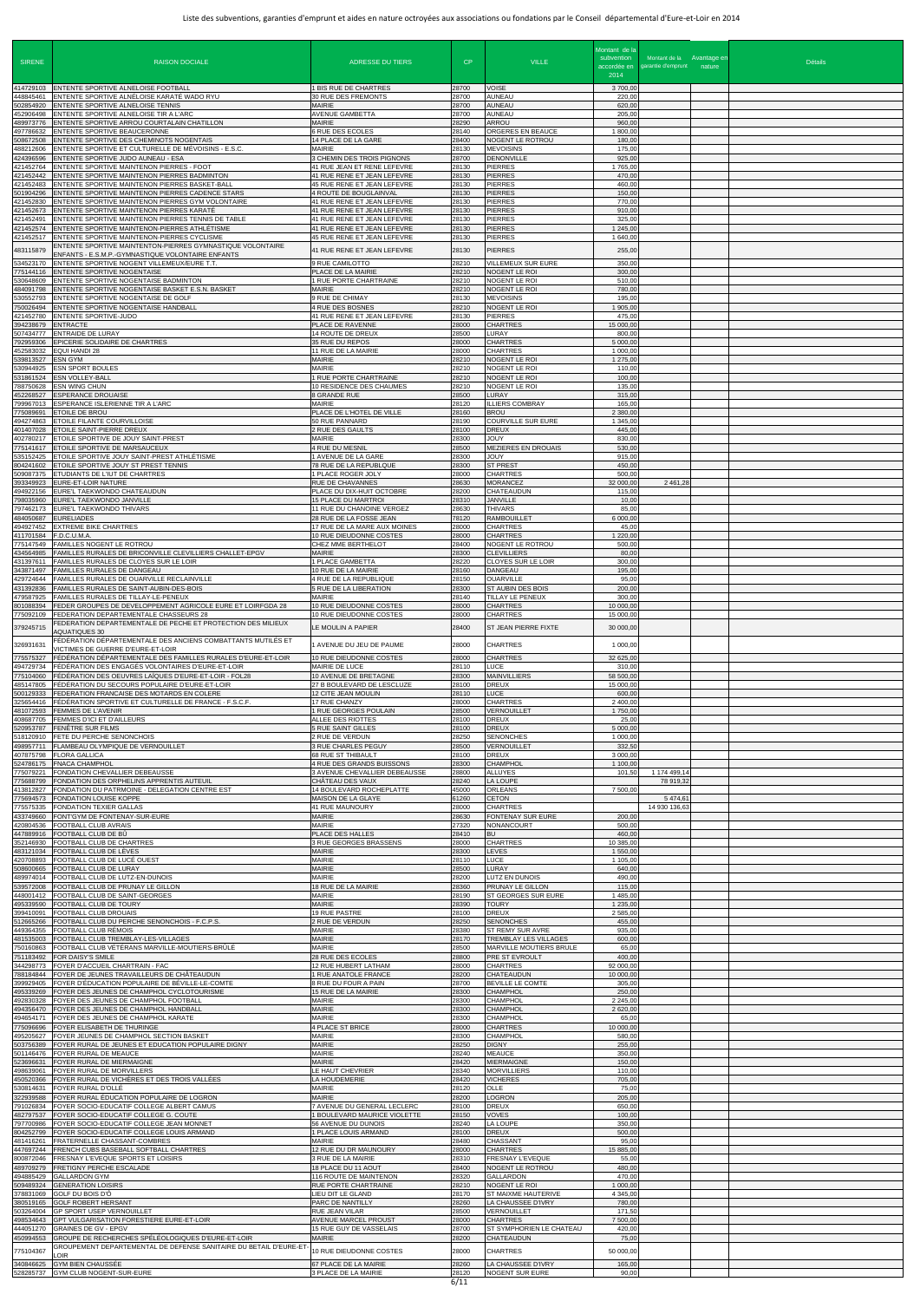| <b>SIRENE</b>                                    | <b>RAISON DOCIALE</b>                                                                                                                                          | <b>ADRESSE DU TIERS</b>                                                                  | CP                      | <b>VILLE</b>                                                                | Montant de la<br>subvention       | Montant de la Avantage en<br>accordée en garantie d'emprunt nature | <b>Détails</b> |
|--------------------------------------------------|----------------------------------------------------------------------------------------------------------------------------------------------------------------|------------------------------------------------------------------------------------------|-------------------------|-----------------------------------------------------------------------------|-----------------------------------|--------------------------------------------------------------------|----------------|
| 414729103                                        | ENTENTE SPORTIVE ALNELOISE FOOTBALL                                                                                                                            | 1 BIS RUE DE CHARTRES                                                                    | 28700                   | <b>VOISE</b>                                                                | 2014<br>3700,00                   |                                                                    |                |
| 448845461<br>502854920<br>452906498              | ENTENTE SPORTIVE ALNÉLOISE KARATÉ WADO RYU<br>ENTENTE SPORTIVE ALNELOISE TENNIS<br>ENTENTE SPORTIVE ALNELOISE TIR A L'ARC                                      | 30 RUE DES FREMONTS<br><b>MAIRIE</b><br>AVENUE GAMBETTA                                  | 28700<br>28700<br>28700 | <b>AUNEAU</b><br><b>AUNEAU</b><br><b>AUNEAU</b>                             | 220,00<br>620,00<br>205,00        |                                                                    |                |
| 489973776<br>497786632                           | ENTENTE SPORTIVE ARROU COURTALAIN CHATILLON<br>ENTENTE SPORTIVE BEAUCERONNE                                                                                    | <b>MAIRIE</b><br><b>6 RUE DES ECOLES</b>                                                 | 28290<br>28140          | ARROU<br>ORGERES EN BEAUCE                                                  | 960,00<br>1800,00                 |                                                                    |                |
| 508672508<br>488212606<br>424396596              | ENTENTE SPORTIVE DES CHEMINOTS NOGENTAIS<br>ENTENTE SPORTIVE ET CULTURELLE DE MÉVOISINS - E.S.C.<br>ENTENTE SPORTIVE JUDO AUNEAU - ESA                         | 14 PLACE DE LA GARE<br><b>MAIRIE</b>                                                     | 28400<br>28130<br>28700 | NOGENT LE ROTROU<br><b>MEVOISINS</b><br><b>DENONVILLE</b>                   | 180,00<br>175,00                  |                                                                    |                |
| 421452764<br>421452442                           | ENTENTE SPORTIVE MAINTENON PIERRES - FOOT<br>ENTENTE SPORTIVE MAINTENON PIERRES BADMINTON                                                                      | 3 CHEMIN DES TROIS PIGNONS<br>41 RUE JEAN ET RENE LEFEVRE<br>41 RUE RENE ET JEAN LEFEVRE | 28130<br>28130          | <b>PIERRES</b><br><b>PIERRES</b>                                            | 925,00<br>1765,00<br>470,00       |                                                                    |                |
| 421452483<br>501904296<br>421452830              | ENTENTE SPORTIVE MAINTENON PIERRES BASKET-BALL<br>ENTENTE SPORTIVE MAINTENON PIERRES CADENCE STARS<br>ENTENTE SPORTIVE MAINTENON PIERRES GYM VOLONTAIRE        | 45 RUE RENE ET JEAN LEFEVRE<br>4 ROUTE DE BOUGLAINVAL<br>41 RUE RENE ET JEAN LEFEVRE     | 28130<br>28130<br>28130 | <b>PIERRES</b><br><b>PIERRES</b><br><b>PIERRES</b>                          | 460,00<br>150,00<br>770,00        |                                                                    |                |
| 421452673<br>421452491                           | ENTENTE SPORTIVE MAINTENON PIERRES KARATÉ<br>ENTENTE SPORTIVE MAINTENON PIERRES TENNIS DE TABLE                                                                | 41 RUE RENE ET JEAN LEFEVRE<br>41 RUE RENE ET JEAN LEFEVRE                               | 28130<br>28130          | <b>PIERRES</b><br><b>PIERRES</b>                                            | 910,00<br>325,00                  |                                                                    |                |
| 421452574<br>421452517                           | ENTENTE SPORTIVE MAINTENON-PIERRES ATHLÉTISME<br>ENTENTE SPORTIVE MAINTENON-PIERRES CYCLISME                                                                   | 41 RUE RENE ET JEAN LEFEVRE<br>45 RUE RENE ET JEAN LEFEVRE                               | 28130<br>28130          | <b>PIERRES</b><br><b>PIERRES</b>                                            | 1 245,00<br>1 640,00              |                                                                    |                |
| 483115879<br>534523170                           | ENTENTE SPORTIVE MAINTENTON-PIERRES GYMNASTIQUE VOLONTAIRE<br>ENFANTS - E.S.M.P.-GYMNASTIQUE VOLONTAIRE ENFANTS<br>ENTENTE SPORTIVE NOGENT VILLEMEUX/EURE T.T. | 41 RUE RENE ET JEAN LEFEVRE<br>9 RUE CAMILOTTO                                           | 28130<br>28210          | <b>PIERRES</b><br>VILLEMEUX SUR EURE                                        | 255,00<br>350,00                  |                                                                    |                |
| 775144116<br>530648609                           | <b>ENTENTE SPORTIVE NOGENTAISE</b><br>ENTENTE SPORTIVE NOGENTAISE BADMINTON                                                                                    | PLACE DE LA MAIRIE<br>1 RUE PORTE CHARTRAINE                                             | 28210<br>28210          | NOGENT LE ROI<br>NOGENT LE ROI                                              | 300,00<br>510,00                  |                                                                    |                |
| 484091798<br>530552793<br>750026494              | ENTENTE SPORTIVE NOGENTAISE BASKET E.S.N. BASKET<br>ENTENTE SPORTIVE NOGENTAISE DE GOLF<br>ENTENTE SPORTIVE NOGENTAISE HANDBALL                                | <b>MAIRIE</b><br>9 RUE DE CHIMAY<br>4 RUE DES BOSNES                                     | 28210<br>28130<br>28210 | <b>NOGENT LE ROI</b><br><b>MEVOISINS</b><br><b>NOGENT LE ROI</b>            | 780,00<br>195,00<br>1 905,00      |                                                                    |                |
| 421452780<br>394238679                           | ENTENTE SPORTIVE-JUDO<br><b>ENTRACTE</b>                                                                                                                       | 41 RUE RENE ET JEAN LEFEVRE<br>PLACE DE RAVENNE                                          | 28130<br>28000          | <b>PIERRES</b><br><b>CHARTRES</b>                                           | 475,00<br>15 000,00               |                                                                    |                |
| 507434777<br>792959306<br>452583032              | <b>ENTRAIDE DE LURAY</b><br>EPICERIE SOLIDAIRE DE CHARTRES<br><b>EQUI HANDI 28</b>                                                                             | 14 ROUTE DE DREUX<br>35 RUE DU REPOS<br>11 RUE DE LA MAIRIE                              | 28500<br>28000<br>28000 | LURAY<br><b>CHARTRES</b><br><b>CHARTRES</b>                                 | 800,00<br>5 000,00<br>1 000,00    |                                                                    |                |
| 539813527<br>530944925<br>531861524              | <b>ESN GYM</b><br><b>ESN SPORT BOULES</b><br><b>ESN VOLLEY-BALL</b>                                                                                            | <b>MAIRIE</b><br><b>MAIRIE</b><br>1 RUE PORTE CHARTRAINE                                 | 28210<br>28210<br>28210 | <b>NOGENT LE ROI</b><br><b>NOGENT LE ROI</b><br>NOGENT LE ROI               | 1 275,00<br>110,00<br>100,00      |                                                                    |                |
| 788750628<br>452268527                           | <b>ESN WING CHUN</b><br><b>ESPERANCE DROUAISE</b>                                                                                                              | 10 RESIDENCE DES CHAUMES<br>8 GRANDE RUE                                                 | 28210<br>28500          | NOGENT LE ROI<br>LURAY                                                      | 135,00<br>315,00                  |                                                                    |                |
| 799967013<br>775089691<br>494274863              | ESPERANCE ISLERIENNE TIR A L'ARC<br><b>ETOILE DE BROU</b><br>ETOILE FILANTE COURVILLOISE                                                                       | <b>MAIRIE</b><br>PLACE DE L'HOTEL DE VILLE<br>50 RUE PANNARD                             | 28120<br>28160<br>28190 | <b>ILLIERS COMBRAY</b><br><b>BROU</b><br>COURVILLE SUR EURE                 | 165,00<br>2 380,00<br>1 345,00    |                                                                    |                |
| 401407028<br>402780217                           | ETOILE SAINT-PIERRE DREUX<br>ETOILE SPORTIVE DE JOUY SAINT-PREST                                                                                               | 2 RUE DES GAULTS<br><b>MAIRIE</b>                                                        | 28100<br>28300          | <b>DREUX</b><br><b>JOUY</b>                                                 | 445,00<br>830,00                  |                                                                    |                |
| 775141617<br>535152425<br>804241602              | ETOILE SPORTIVE DE MARSAUCEUX<br>ETOILE SPORTIVE JOUY SAINT-PREST ATHLÉTISME<br>ETOILE SPORTIVE JOUY ST PREST TENNIS                                           | 4 RUE DU MESNIL<br>1 AVENUE DE LA GARE<br>78 RUE DE LA REPUBLQUE                         | 28500<br>28300<br>28300 | <b>MEZIERES EN DROUAIS</b><br><b>JOUY</b><br><b>ST PREST</b>                | 530,00<br>915,00<br>450,00        |                                                                    |                |
| 509087375<br>393349923                           | ETUDIANTS DE L'IUT DE CHARTRES<br>EURE-ET-LOIR NATURE                                                                                                          | 1 PLACE ROGER JOLY<br>RUE DE CHAVANNES                                                   | 28000<br>28630          | <b>CHARTRES</b><br><b>MORANCEZ</b>                                          | 500,00<br>32 000,00               | 2 4 6 1 , 2 8                                                      |                |
| 494922156<br>798035960<br>797462173              | EURE'L TAEKWONDO CHATEAUDUN<br>EURE'L TAEKWONDO JANVILLE<br>EURE'L TAEKWONDO THIVARS                                                                           | PLACE DU DIX-HUIT OCTOBRE<br><b>15 PLACE DU MARTRO</b><br>11 RUE DU CHANOINE VERGEZ      | 28200<br>28310<br>28630 | CHATEAUDUN<br><b>JANVILLE</b><br>THIVARS                                    | 115,00<br>10,00<br>85,00          |                                                                    |                |
| 484050687<br>494927452                           | <b>EURELIADES</b><br><b>EXTREME BIKE CHARTRES</b>                                                                                                              | 28 RUE DE LA FOSSE JEAN<br>17 RUE DE LA MARE AUX MOINES                                  | 78120<br>28000          | <b>RAMBOUILLET</b><br><b>CHARTRES</b>                                       | 6 000,00<br>45,00                 |                                                                    |                |
| 411701584 F.D.C.U.M.A.<br>775147549<br>434564985 | <b>FAMILLES NOGENT LE ROTROU</b><br>FAMILLES RURALES DE BRICONVILLE CLEVILLIERS CHALLET-EPGV                                                                   | 10 RUE DIEUDONNE COSTES<br>CHEZ MME BERTHELOT<br><b>MAIRIE</b>                           | 28000<br>28400<br>28300 | <b>CHARTRES</b><br>NOGENT LE ROTROU<br><b>CLEVILLIERS</b>                   | 220,00<br>500,00<br>80,00         |                                                                    |                |
| 431397611<br>343871497                           | FAMILLES RURALES DE CLOYES SUR LE LOIR<br>FAMILLES RURALES DE DANGEAU                                                                                          | 1 PLACE GAMBETTA<br>10 RUE DE LA MAIRIE                                                  | 28220<br>28160          | CLOYES SUR LE LOIR<br><b>DANGEAU</b>                                        | 300,00<br>195,00                  |                                                                    |                |
| 429724644<br>431392836<br>479587925              | FAMILLES RURALES DE OUARVILLE RECLAINVILLE<br>FAMILLES RURALES DE SAINT-AUBIN-DES-BOIS<br>FAMILLES RURALES DE TILLAY-LE-PENEUX                                 | 4 RUE DE LA REPUBLIQUE<br>5 RUE DE LA LIBERATION<br><b>MAIRIE</b>                        | 28150<br>28300<br>28140 | <b>OUARVILLE</b><br>ST AUBIN DES BOIS<br><b>TILLAY LE PENEUX</b>            | 95,00<br>200,00<br>300,00         |                                                                    |                |
| 801088394<br>775092109                           | FEDER GROUPES DE DEVELOPPEMENT AGRICOLE EURE ET LOIRFGDA 28<br>FEDERATION DEPARTEMENTALE CHASSEURS 28                                                          | 10 RUE DIEUDONNE COSTES<br>10 RUE DIEUDONNE COSTES                                       | 28000<br>28000          | <b>CHARTRES</b><br><b>CHARTRES</b>                                          | 10 000,00<br>15 000,00            |                                                                    |                |
| 379245715                                        | EDERATION DEPARTEMENTALE DE PECHE ET PROTECTION DES MILIEUX<br>AQUATIQUES 30<br>FÉDÉRATION DÉPARTEMENTALE DES ANCIENS COMBATTANTS MUTILÉS ET                   | LE MOULIN A PAPIER                                                                       | 28400                   | ST JEAN PIERRE FIXTE                                                        | 30 000,00                         |                                                                    |                |
| 326931631<br>775575327                           | VICTIMES DE GUERRE D'EURE-ET-LOIR<br>FÉDÉRATION DÉPARTEMENTALE DES FAMILLES RURALES D'EURE-ET-LOIR                                                             | 1 AVENUE DU JEU DE PAUME<br>10 RUE DIEUDONNE COSTES                                      | 28000<br>28000          | <b>CHARTRES</b><br><b>CHARTRES</b>                                          | 1 000,00<br>32 625,00             |                                                                    |                |
| 494729734<br>775104060<br>485147805              | FÉDÉRATION DES ENGAGÉS VOLONTAIRES D'EURE-ET-LOIR<br>FÉDÉRATION DES OEUVRES LAÏQUES D'EURE-ET-LOIR - FOL28<br>FÉDÉRATION DU SECOURS POPULAIRE D'EURE-ET-LOIR   | MAIRIE DE LUCE<br>10 AVENUE DE BRETAGNE<br>27 B BOULEVARD DE LESCLUZE                    | 28110<br>28300<br>28100 | LUCE<br><b>MAINVILLIERS</b><br><b>DREUX</b>                                 | 310,00<br>58 500,00<br>15 000,00  |                                                                    |                |
| 500129333<br>325654416                           | FEDERATION FRANCAISE DES MOTARDS EN COLERE<br>FÉDÉRATION SPORTIVE ET CULTURELLE DE FRANCE - F.S.C.F.                                                           | 12 CITE JEAN MOULIN<br>17 RUE CHANZY                                                     | 28110<br>28000          | LUCE<br><b>CHARTRES</b>                                                     | 600,00<br>2 400,00                |                                                                    |                |
| 481072593<br>408687705<br>520953787              | <b>FEMMES DE L'AVENIR</b><br>FEMMES D'ICI ET D'AILLEURS<br>FENÊTRE SUR FILMS                                                                                   | 1 RUE GEORGES POULAIN<br>ALLEE DES RIOTTES<br>5 RUE SAINT GILLES                         | 28500<br>28100<br>28100 | <b>VERNOUILLET</b><br><b>DREUX</b><br><b>DREUX</b>                          | 1750,00<br>25,00<br>5 000,00      |                                                                    |                |
| 518120910<br>498957711                           | FETE DU PERCHE SENONCHOIS<br>FLAMBEAU OLYMPIQUE DE VERNOUILLET                                                                                                 | 2 RUE DE VERDUN<br>3 RUE CHARLES PEGUY                                                   | 28250<br>28500          | <b>SENONCHES</b><br><b>VERNOUILLET</b>                                      | 1 000,00<br>332,50                |                                                                    |                |
| 407875798<br>524786175<br>775079221              | <b>FLORA GALLICA</b><br><b>FNACA CHAMPHOL</b><br>FONDATION CHEVALLIER DEBEAUSSE                                                                                | 68 RUE ST THIBAULT<br>4 RUE DES GRANDS BUISSONS<br>3 AVENUE CHEVALLIER DEBEAUSSE         | 28100<br>28300<br>28800 | <b>DREUX</b><br>CHAMPHOL<br>ALLUYES                                         | 3 000,00<br>1 100,00<br>101,50    | 1 174 499,14                                                       |                |
| 775688799<br>413812827                           | FONDATION DES ORPHELINS APPRENTIS AUTEUIL<br>FONDATION DU PATRMOINE - DELEGATION CENTRE EST                                                                    | CHÂTEAU DES VAUX<br>14 BOULEVARD ROCHEPLATTE                                             | 28240<br>45000          | <b>LA LOUPE</b><br><b>ORLEANS</b>                                           | 7 500,00                          | 78 919,32                                                          |                |
| 775694573<br>775575335<br>433749660              | <b>FONDATION LOUISE KOPPE</b><br>FONDATION TEXIER GALLAS                                                                                                       | MAISON DE LA GLAYE<br>41 RUE MAUNOURY<br><b>MAIRIE</b>                                   | 61260<br>28000<br>28630 | <b>CETON</b><br><b>CHARTRES</b><br>FONTENAY SUR EURE                        | 200,00                            | 5 474,61<br>14 930 136,63                                          |                |
| 420804536<br>447889916                           | FONT'GYM DE FONTENAY-SUR-EURE<br>FOOTBALL CLUB AVRAIS<br>FOOTBALL CLUB DE BÛ                                                                                   | <b>MAIRIE</b><br>PLACE DES HALLES                                                        | 27320<br>28410          | NONANCOURT<br>BU                                                            | 500,00<br>460,00                  |                                                                    |                |
| 352146930<br>483121034<br>420708893              | FOOTBALL CLUB DE CHARTRES<br>FOOTBALL CLUB DE LÈVES<br>FOOTBALL CLUB DE LUCÉ OUEST                                                                             | 3 RUE GEORGES BRASSENS<br><b>MAIRIE</b><br><b>MAIRIE</b>                                 | 28000<br>28300<br>28110 | <b>CHARTRES</b><br>LEVES<br>LUCE                                            | 10 385,00<br>1 550,00<br>1 105,00 |                                                                    |                |
| 508600665<br>489974014                           | FOOTBALL CLUB DE LURAY<br>FOOTBALL CLUB DE LUTZ-EN-DUNOIS                                                                                                      | <b>MAIRIE</b><br>MAIRIE                                                                  | 28500<br>28200          | LURAY<br>LUTZ EN DUNOIS                                                     | 640,00<br>490,00                  |                                                                    |                |
| 539572008<br>448001412                           | FOOTBALL CLUB DE PRUNAY LE GILLON<br>FOOTBALL CLUB DE SAINT-GEORGES                                                                                            | 18 RUE DE LA MAIRIE<br><b>MAIRIE</b>                                                     | 28360<br>28190          | PRUNAY LE GILLON<br>ST GEORGES SUR EURE                                     | 115,00<br>1485,00                 |                                                                    |                |
| 495339590<br>399410091<br>512665266              | FOOTBALL CLUB DE TOURY<br>FOOTBALL CLUB DROUAIS<br>FOOTBALL CLUB DU PERCHE SENONCHOIS - F.C.P.S.                                                               | <b>MAIRIE</b><br><b>19 RUE PASTRE</b><br>2 RUE DE VERDUN                                 | 28390<br>28100<br>28250 | <b>TOURY</b><br>DREUX<br><b>SENONCHES</b>                                   | 1 235,00<br>2 585,00<br>455,00    |                                                                    |                |
| 449364355<br>481535003                           | FOOTBALL CLUB RÉMOIS<br>FOOTBALL CLUB TREMBLAY-LES-VILLAGES                                                                                                    | <b>MAIRIE</b><br><b>MAIRIE</b><br><b>MAIRIE</b>                                          | 28380<br>28170          | ST REMY SUR AVRE<br>TREMBLAY LES VILLAGES<br><b>MARVILLE MOUTIERS BRULE</b> | 935,00<br>600,00                  |                                                                    |                |
| 750160863<br>751183492<br>344298773              | FOOTBALL CLUB VÉTÉRANS MARVILLE-MOUTIERS-BRÛLÉ<br>FOR DAISY'S SMILE<br>FOYER D'ACCUEIL CHARTRAIN - FAC                                                         | 28 RUE DES ECOLES<br>12 RUE HUBERT LATHAM                                                | 28500<br>28800<br>28000 | PRE ST EVROULT<br><b>CHARTRES</b>                                           | 65,00<br>400,00<br>92 000,00      |                                                                    |                |
| 788184844<br>399929405<br>495339269              | FOYER DE JEUNES TRAVAILLEURS DE CHÂTEAUDUN<br>FOYER D'ÉDUCATION POPULAIRE DE BÉVILLE-LE-COMTE<br>FOYER DES JEUNES DE CHAMPHOL CYCLOTOURISME                    | 1 RUE ANATOLE FRANCE<br>8 RUE DU FOUR A PAIN<br>15 RUE DE LA MAIRIE                      | 28200<br>28700<br>28300 | CHATEAUDUN<br>BEVILLE LE COMTE<br>CHAMPHOL                                  | 10 000,00<br>305,00<br>250,00     |                                                                    |                |
| 492830328<br>494356470                           | FOYER DES JEUNES DE CHAMPHOL FOOTBALL<br>FOYER DES JEUNES DE CHAMPHOL HANDBALL                                                                                 | <b>MAIRIE</b><br>MAIRIE                                                                  | 28300<br>28300          | CHAMPHOL<br><b>CHAMPHOL</b>                                                 | 2 2 4 5 , 0 0<br>2 620,00         |                                                                    |                |
| 494654171                                        | FOYER DES JEUNES DE CHAMPHOL KARATE<br>775096696 FOYER ELISABETH DE THURINGE<br>495205627 FOYER JEUNES DE CHAMPHOL SECTION BASKET                              | <b>MAIRIE</b><br>4 PLACE ST BRICE<br><b>MAIRIE</b>                                       | 28300<br>28000<br>28300 | <b>CHAMPHOL</b><br><b>CHARTRES</b><br><b>CHAMPHOL</b>                       | 65,00<br>10 000,00<br>580,00      |                                                                    |                |
| 503756389<br>501146476                           | FOYER RURAL DE JEUNES ET EDUCATION POPULAIRE DIGNY<br><b>FOYER RURAL DE MEAUCE</b>                                                                             | <b>MAIRIE</b><br><b>MAIRIE</b>                                                           | 28250<br>28240          | <b>DIGNY</b><br><b>MEAUCE</b>                                               | 255,00<br>350,00                  |                                                                    |                |
| 523696631<br>498639061<br>450520366              | FOYER RURAL DE MIERMAIGNE<br>FOYER RURAL DE MORVILLERS<br>FOYER RURAL DE VICHÈRES ET DES TROIS VALLÉES                                                         | <b>MAIRIE</b><br>LE HAUT CHEVRIER<br>LA HOUDEMERIE                                       | 28420<br>28340<br>28420 | <b>MIERMAIGNE</b><br><b>MORVILLIERS</b><br><b>VICHERES</b>                  | 150,00<br>110,00<br>705,00        |                                                                    |                |
| 530814631<br>322939588                           | FOYER RURAL D'OLLÉ<br>FOYER RURAL ÉDUCATION POPULAIRE DE LOGRON                                                                                                | <b>MAIRIE</b><br><b>MAIRIE</b>                                                           | 28120<br>28200          | <b>OLLE</b><br><b>LOGRON</b>                                                | 75,00<br>205,00                   |                                                                    |                |
| 791026834<br>482797537<br>797700986              | FOYER SOCIO-EDUCATIF COLLEGE ALBERT CAMUS<br>FOYER SOCIO-EDUCATIF COLLEGE G. COUTE<br>FOYER SOCIO-EDUCATIF COLLEGE JEAN MONNET                                 | 7 AVENUE DU GENERAL LECLERC<br>1 BOULEVARD MAURICE VIOLETTE<br>56 AVENUE DU DUNOIS       | 28100<br>28150<br>28240 | <b>DREUX</b><br><b>VOVES</b><br><b>LA LOUPE</b>                             | 650,00<br>100,00<br>350,00        |                                                                    |                |
| 804252799<br>481416261                           | FOYER SOCIO-EDUCATIF COLLEGE LOUIS ARMAND<br>FRATERNELLE CHASSANT-COMBRES                                                                                      | 1 PLACE LOUIS ARMAND<br><b>MAIRIE</b>                                                    | 28100<br>28480          | <b>DREUX</b><br>CHASSANT                                                    | 500,00<br>95,00                   |                                                                    |                |
| 800872046<br>489709279                           | 447697244 FRENCH CUBS BASEBALL SOFTBALL CHARTRES<br>FRESNAY L'EVEQUE SPORTS ET LOISIRS<br><b>FRETIGNY PERCHE ESCALADE</b>                                      | 12 RUE DU DR MAUNOURY<br>3 RUE DE LA MAIRIE<br>18 PLACE DU 11 AOUT                       | 28000<br>28310<br>28400 | <b>CHARTRES</b><br><b>FRESNAY L'EVEQUE</b><br>NOGENT LE ROTROU              | 15 885,00<br>55,00<br>480,00      |                                                                    |                |
| 494885429                                        | <b>GALLARDON GYM</b><br>509489324 GENERATION LOISIRS                                                                                                           | 116 ROUTE DE MAINTENON<br><b>RUE PORTE CHARTRAINE</b>                                    | 28320<br>28210          | <b>GALLARDON</b><br>NOGENT LE ROI                                           | 470,00<br>1 000,00                |                                                                    |                |
|                                                  | 378831069 GOLF DU BOIS D'Ô<br>380519165 GOLF ROBERT HERSANT<br>503264004 GP SPORT USEP VERNOUILLET                                                             | LIEU DIT LE GLAND<br>PARC DE NANTILLY<br><b>RUE JEAN VILAR</b>                           | 28170<br>28260<br>28500 | <b>ST MAIXME HAUTERIVE</b><br>LA CHAUSSEE D'IVRY<br>VERNOUILLET             | 4 345,00<br>780,00<br>171,50      |                                                                    |                |
|                                                  | 498534643 GPT VULGARISATION FORESTIERE EURE-ET-LOIR<br>444051270 GRAINES DE GV - EPGV                                                                          | <b>AVENUE MARCEL PROUST</b><br>15 RUE GUY DE VASSELAIS                                   | 28000<br>28700          | <b>CHARTRES</b><br>ST SYMPHORIEN LE CHATEAU                                 | 7 500,00<br>420,00                |                                                                    |                |
| 450994553<br>775104367                           | GROUPE DE RECHERCHES SPÉLÉOLOGIQUES D'EURE-ET-LOIR<br>GROUPEMENT DEPARTEMENTAL DE DEFENSE SANITAIRE DU BETAIL D'EURE-ET-<br>.OIR                               | <b>MAIRIE</b><br>10 RUE DIEUDONNE COSTES                                                 | 28200<br>28000          | CHATEAUDUN<br><b>CHARTRES</b>                                               | 75,00<br>50 000,00                |                                                                    |                |
| 340846625                                        | <b>GYM BIEN CHAUSSÉE</b><br>528285737 GYM CLUB NOGENT-SUR-EURE                                                                                                 | 67 PLACE DE LA MAIRIE<br>3 PLACE DE LA MAIRIE                                            | 28260<br>28120          | LA CHAUSSEE D'IVRY<br><b>NOGENT SUR EURE</b>                                | 165,00<br>90,00                   |                                                                    |                |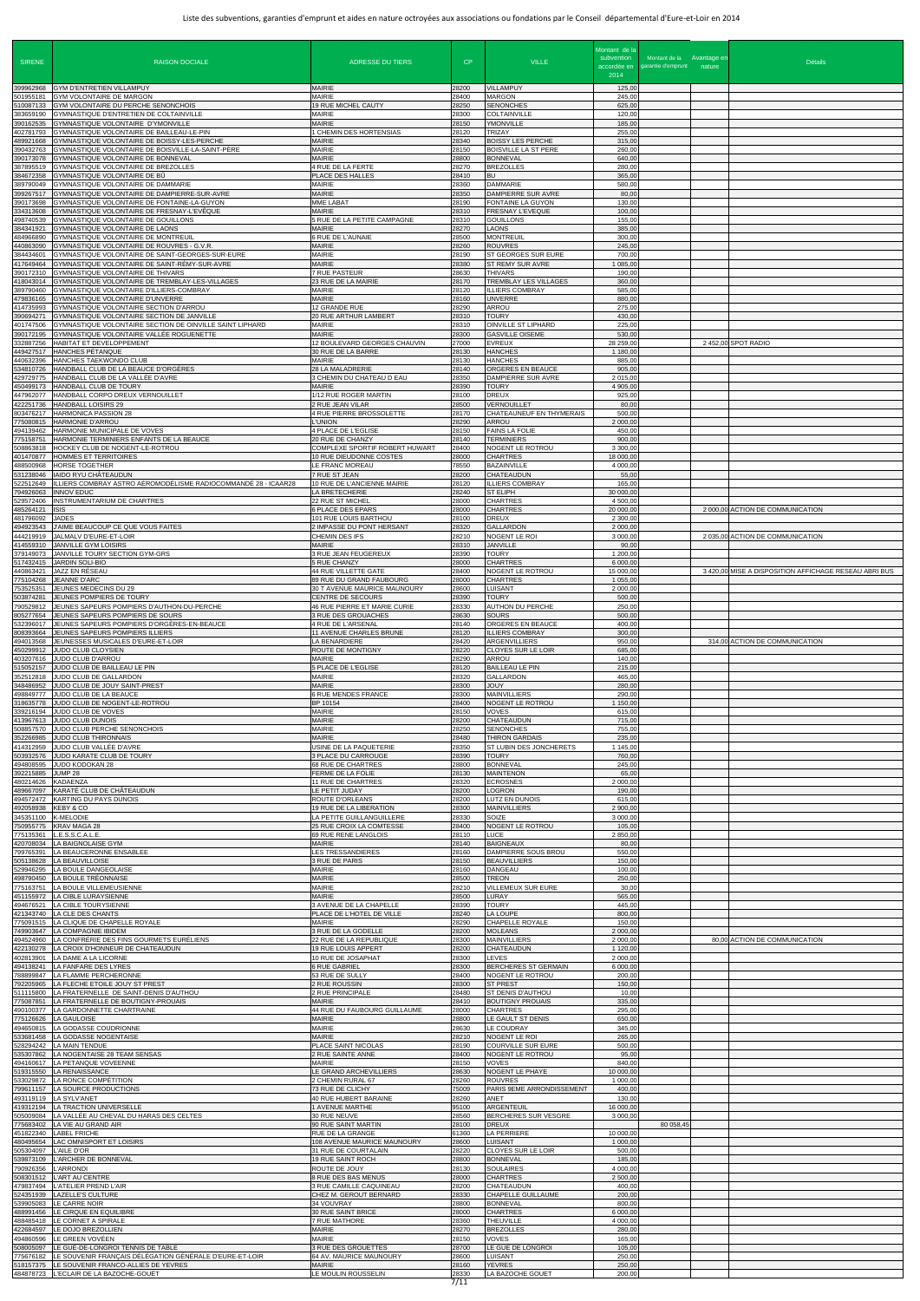| <b>SIRENE</b><br>399962968          | <b>RAISON DOCTALE</b><br>GYM D'ENTRETIEN VILLAMPUY                                                                                                 | ADRESSE DU TIERS<br>MAIRIE                                                    | CP<br>28200             | <b>VILLE</b><br>VILLAMPUY                                          | Montant de la<br>subvention<br>accordée en<br>2014<br>125,00 | Montant de la Avantage en<br>garantie d'emprunt nature | <b>Détails</b>                                        |
|-------------------------------------|----------------------------------------------------------------------------------------------------------------------------------------------------|-------------------------------------------------------------------------------|-------------------------|--------------------------------------------------------------------|--------------------------------------------------------------|--------------------------------------------------------|-------------------------------------------------------|
| 501955181<br>510087133<br>383659190 | <b>GYM VOLONTAIRE DE MARGON</b><br>GYM VOLONTAIRE DU PERCHE SENONCHOIS<br>GYMNASTIQUE D'ENTRETIEN DE COLTAINVILLE                                  | MAIRIE<br>19 RUE MICHEL CAUTY<br><b>MAIRIE</b>                                | 28400<br>28250<br>28300 | <b>MARGON</b><br><b>SENONCHES</b><br><b>COLTAINVILLE</b>           | 245,00<br>625,00<br>120,00                                   |                                                        |                                                       |
| 390162535<br>402781793<br>489921668 | GYMNASTIQUE VOLONTAIRE D'YMONVILLE<br>GYMNASTIQUE VOLONTAIRE DE BAILLEAU-LE-PIN<br>GYMNASTIQUE VOLONTAIRE DE BOISSY-LES-PERCHE                     | MAIRIE<br>1 CHEMIN DES HORTENSIAS<br>MAIRIE                                   | 28150<br>28120<br>28340 | YMONVILLE<br><b>TRIZAY</b><br><b>BOISSY LES PERCHE</b>             | 185,00<br>255,00<br>315,00                                   |                                                        |                                                       |
| 390432763<br>390173078<br>387895519 | GYMNASTIQUE VOLONTAIRE DE BOISVILLE-LA-SAINT-PÈRE<br>GYMNASTIQUE VOLONTAIRE DE BONNEVAL<br>GYMNASTIQUE VOLONTAIRE DE BREZOLLES                     | <b>MAIRIE</b><br><b>MAIRIE</b><br>4 RUE DE LA FERTE                           | 28150<br>28800<br>28270 | <b>BOISVILLE LA ST PERE</b><br><b>BONNEVAL</b><br><b>BREZOLLES</b> | 260,00<br>640,00<br>280,00                                   |                                                        |                                                       |
| 384672358<br>389790049              | GYMNASTIQUE VOLONTAIRE DE BÜ<br>GYMNASTIQUE VOLONTAIRE DE DAMMARIE<br>GYMNASTIQUE VOLONTAIRE DE DAMPIERRE-SUR-AVRE                                 | PLACE DES HALLES<br><b>MAIRIE</b><br><b>MAIRIE</b>                            | 28410<br>28360<br>28350 | <b>BU</b><br><b>DAMMARIE</b><br>DAMPIERRE SUR AVRE                 | 365,00<br>580,00<br>80,00                                    |                                                        |                                                       |
| 399267517<br>390173698<br>334313608 | GYMNASTIQUE VOLONTAIRE DE FONTAINE-LA-GUYON<br>GYMNASTIQUE VOLONTAIRE DE FRESNAY-L'EVÊQUE                                                          | MME LABAT<br><b>MAIRIE</b>                                                    | 28190<br>28310          | FONTAINE LA GUYON<br><b>FRESNAY L'EVEQUE</b>                       | 130,00<br>100,00                                             |                                                        |                                                       |
| 498740539<br>384341921<br>484966890 | <b>GYMNASTIQUE VOLONTAIRE DE GOUILLONS</b><br>GYMNASTIQUE VOLONTAIRE DE LAONS<br>GYMNASTIQUE VOLONTAIRE DE MONTREUIL                               | 5 RUE DE LA PETITE CAMPAGNE<br><b>MAIRIE</b><br>6 RUE DE L'AUNAIE             | 28310<br>28270<br>28500 | <b>GOUILLONS</b><br><b>LAONS</b><br><b>MONTREUIL</b>               | 155,00<br>385,00<br>300,00                                   |                                                        |                                                       |
| 440863090<br>384434601<br>417649464 | GYMNASTIQUE VOLONTAIRE DE ROUVRES - G.V.R.<br>GYMNASTIQUE VOLONTAIRE DE SAINT-GEORGES-SUR-EURE<br>GYMNASTIQUE VOLONTAIRE DE SAINT-RÉMY-SUR-AVRE    | MAIRIE<br><b>MAIRIE</b><br><b>MAIRIE</b>                                      | 28260<br>28190<br>28380 | <b>ROUVRES</b><br>ST GEORGES SUR EURE<br>ST REMY SUR AVRE          | 245,00<br>700,00<br>1 085,00                                 |                                                        |                                                       |
| 390172310<br>418043014              | GYMNASTIQUE VOLONTAIRE DE THIVARS<br>GYMNASTIQUE VOLONTAIRE DE TREMBLAY-LES-VILLAGES                                                               | 7 RUE PASTEUR<br>23 RUE DE LA MAIRIE                                          | 28630<br>28170          | <b>THIVARS</b><br>TREMBLAY LES VILLAGES                            | 190,00<br>360,00                                             |                                                        |                                                       |
| 389790460<br>479836165<br>414735993 | GYMNASTIQUE VOLONTAIRE D'ILLIERS-COMBRAY<br><b>GYMNASTIQUE VOLONTAIRE D'UNVERRE</b><br>GYMNASTIQUE VOLONTAIRE SECTION D'ARROU                      | <b>MAIRIE</b><br><b>MAIRIE</b><br>12 GRANDE RUE                               | 28120<br>28160<br>28290 | <b>ILLIERS COMBRAY</b><br><b>UNVERRE</b><br>ARROU                  | 585,00<br>880,00<br>275,00                                   |                                                        |                                                       |
| 390694271<br>401747506<br>390172195 | GYMNASTIQUE VOLONTAIRE SECTION DE JANVILLE<br>GYMNASTIQUE VOLONTAIRE SECTION DE OINVILLE SAINT LIPHARD<br>GYMNASTIQUE VOLONTAIRE VALLÉE ROGUENETTE | 20 RUE ARTHUR LAMBERT<br><b>MAIRIE</b><br><b>MAIRIE</b>                       | 28310<br>28310<br>28300 | <b>TOURY</b><br>OINVILLE ST LIPHARD<br><b>GASVILLE OISEME</b>      | 430,00<br>225,00<br>530,00                                   |                                                        |                                                       |
| 32887256<br>449427517<br>440632396  | HABITAT ET DEVELOPPEMENT<br>HANCHES PÉTANQUE<br>HANCHES TAEKWONDO CLUB                                                                             | 12 BOULEVARD GEORGES CHAUVIN<br>30 RUE DE LA BARRE<br><b>MAIRIE</b>           | 27000<br>28130<br>28130 | <b>EVREUX</b><br><b>HANCHES</b><br><b>HANCHES</b>                  | 28 259,00<br>1 180,00<br>885,00                              |                                                        | 2 452,00 SPOT RADIO                                   |
| 534810726<br>429729775              | HANDBALL CLUB DE LA BEAUCE D'ORGÉRES<br>HANDBALL CLUB DE LA VALLÉE D'AVRE                                                                          | 28 LA MALADRERIE<br>3 CHEMIN DU CHATEAU D EAU                                 | 28140<br>28350          | ORGERES EN BEAUCE<br>DAMPIERRE SUR AVRE                            | 905,00<br>2 015,00                                           |                                                        |                                                       |
| 450499173<br>447962077<br>422251736 | HANDBALL CLUB DE TOURY<br>HANDBALL CORPO DREUX VERNOUILLET<br>HANDBALL LOISIRS 29                                                                  | <b>MAIRIE</b><br>1/12 RUE ROGER MARTIN<br>2 RUE JEAN VILAR                    | 28390<br>28100<br>28500 | <b>TOURY</b><br>DREUX<br>VERNOUILLET                               | 4 905,00<br>925,00<br>80,00                                  |                                                        |                                                       |
| 803476217<br>75080815<br>494139462  | <b>HARMONICA PASSION 28</b><br><b>HARMONIE D'ARROU</b><br>HARMONIE MUNICIPALE DE VOVES                                                             | 4 RUE PIERRE BROSSOLETTE<br>L'UNION<br>4 PLACE DE L'EGLISE                    | 28170<br>28290<br>28150 | CHATEAUNEUF EN THYMERAIS<br>ARROU<br><b>FAINS LA FOLIE</b>         | 500,0<br>2 000,00<br>450,00                                  |                                                        |                                                       |
| 775158751<br>508863818              | HARMONIE TERMINIERS ENFANTS DE LA BEAUCE<br>HOCKEY CLUB DE NOGENT-LE-ROTROU                                                                        | 20 RUE DE CHANZY<br>COMPLEXE SPORTIF ROBERT HUWART                            | 28140<br>28400<br>28000 | <b>TERMINIERS</b><br>NOGENT LE ROTROU                              | 900,00<br>3 300,00                                           |                                                        |                                                       |
| 401470877<br>488500968<br>531238046 | HOMMES ET TERRITOIRES<br>HORSE TOGETHER<br>IAIDO RYU CHÂTEAUDUN                                                                                    | 10 RUE DIEUDONNE COSTES<br>LE FRANC MOREAU<br>7 RUE ST JEAN                   | 78550<br>28200          | <b>CHARTRES</b><br><b>BAZAINVILLE</b><br>CHATEAUDUN                | 18 000,00<br>4 000,00<br>55,00                               |                                                        |                                                       |
| 22512649<br>794926063<br>29572406   | ILLIERS COMBRAY ASTRO AÉROMODÉLISME RADIOCOMMANDÉ 28 - ICAAR28<br><b>INNOV EDUC</b><br>INSTRUMENTARIUM DE CHARTRES                                 | 10 RUE DE L'ANCIENNE MAIRIE<br>LA BRETECHERIE<br>22 RUE ST MICHEL             | 28120<br>28240<br>28000 | <b>ILLIERS COMBRAY</b><br><b>ST ELIPH</b><br><b>CHARTRES</b>       | 165,00<br>30 000,0<br>4 500,0                                |                                                        |                                                       |
| 485264121<br>481796092<br>494923543 | <b>ISIS</b><br><b>JADES</b>                                                                                                                        | <b>6 PLACE DES EPARS</b><br>101 RUE LOUIS BARTHOU                             | 28000<br>28100<br>28320 | <b>CHARTRES</b><br><b>DREUX</b><br><b>GALLARDON</b>                | 20 000,00<br>2 300,0<br>2 000,00                             |                                                        | 2 000,00 ACTION DE COMMUNICATION                      |
| 414559310                           | J'AIME BEAUCOUP CE QUE VOUS FAITES<br>444219919 JALMALV D'EURE-ET-LOIR<br><b>JANVILLE GYM LOISIRS</b>                                              | 2 IMPASSE DU PONT HERSANT<br>CHEMIN DES IFS<br>MAIRIE                         | 28210<br>28310          | NOGENT LE ROI<br><b>JANVILLE</b>                                   | 3 000,00<br>90,00                                            |                                                        | 2 035,00 ACTION DE COMMUNICATION                      |
| 379149073<br>517432415<br>440863421 | JANVILLE TOURY SECTION GYM-GRS<br><b>JARDIN SOLI-BIO</b><br>JAZZ EN RÉSEAU                                                                         | 3 RUE JEAN FEUGEREUX<br>5 RUE CHANZY<br>44 RUE VILLETTE GATE                  | 28390<br>28000<br>28400 | <b>TOURY</b><br><b>CHARTRES</b><br>NOGENT LE ROTROU                | 1 200,00<br>6 000,00<br>15 000,00                            |                                                        | 3 420,00 MISE A DISPOSITION AFFICHAGE RESEAU ABRI BUS |
| 775104268<br>753525351              | JEANNE D'ARC<br>JEUNES MEDECINS DU 29                                                                                                              | 89 RUE DU GRAND FAUBOURG<br>30 T AVENUE MAURICE MAUNOURY                      | 28000<br>28600          | <b>CHARTRES</b><br><b>LUISANT</b>                                  | 1 055,00<br>2 000,00                                         |                                                        |                                                       |
| 503874281<br>790529812<br>805277654 | JEUNES POMPIERS DE TOURY<br>JEUNES SAPEURS POMPIERS D'AUTHON-DU-PERCHE<br>JEUNES SAPEURS POMPIERS DE SOURS                                         | CENTRE DE SECOURS<br>46 RUE PIERRE ET MARIE CURIE<br>3 RUE DES GROUACHES      | 28390<br>28330<br>28630 | <b>TOURY</b><br>AUTHON DU PERCHE<br><b>SOURS</b>                   | 500,00<br>250,00<br>500,00                                   |                                                        |                                                       |
| 32396017<br>808393664<br>494013568  | JEUNES SAPEURS POMPIERS D'ORGÈRES-EN-BEAUCE<br>JEUNES SAPEURS POMPIERS ILLIERS<br>JEUNESSES MUSICALES D'EURE-ET-LOIR                               | 4 RUE DE L'ARSENAL<br>11 AVENUE CHARLES BRUNE<br>LA BENARDIERE                | 28140<br>28120<br>28420 | ORGERES EN BEAUCE<br><b>ILLIERS COMBRAY</b><br>ARGENVILLIERS       | 400,00<br>300,00<br>950,00                                   |                                                        | 314,00 ACTION DE COMMUNICATION                        |
| 450299912<br>403207616<br>515052157 | <b>JUDO CLUB CLOYSIEN</b><br>JUDO CLUB D'ARROU<br>JUDO CLUB DE BAILLEAU LE PIN                                                                     | ROUTE DE MONTIGNY<br>MAIRIE<br>5 PLACE DE L'EGLISE                            | 28220<br>28290<br>28120 | <b>CLOYES SUR LE LOIR</b><br>ARROU<br><b>BAILLEAU LE PIN</b>       | 685,0<br>140,00<br>215,00                                    |                                                        |                                                       |
| 352512818<br>348486952              | JUDO CLUB DE GALLARDON<br>JUDO CLUB DE JOUY SAINT-PREST                                                                                            | <b>MAIRIE</b><br><b>MAIRIE</b>                                                | 28320<br>28300          | <b>GALLARDON</b><br><b>YUOL</b>                                    | 465,00<br>280,00                                             |                                                        |                                                       |
| 498849777<br>318635778<br>339216194 | JUDO CLUB DE LA BEAUCE<br>JUDO CLUB DE NOGENT-LE-ROTROU<br>JUDO CLUB DE VOVES                                                                      | 6 RUE MENDES FRANCE<br>BP 10154<br><b>MAIRIE</b>                              | 28300<br>28400<br>28150 | MAINVILLIERS<br>NOGENT LE ROTROU<br>VOVES                          | 290,00<br>1 150,00<br>615,00                                 |                                                        |                                                       |
| 413967613<br>508857570<br>352266985 | JUDO CLUB DUNOIS<br>JUDO CLUB PERCHE SENONCHOIS<br>JUDO CLUB THIRONNAIS                                                                            | <b>MAIRIE</b><br><b>MAIRIE</b><br><b>MAIRIE</b>                               | 28200<br>28250<br>28480 | CHATEAUDUN<br><b>SENONCHES</b><br><b>THIRON GARDAIS</b>            | 715,00<br>755,00<br>235,0                                    |                                                        |                                                       |
| 414312959<br>503932576<br>494808595 | JUDO CLUB VALLÉE D'AVRE<br>JUDO KARATE CLUB DE TOURY<br><b>JUDO KODOKAN 28</b>                                                                     | USINE DE LA PAQUETERIE<br>3 PLACE DU CARROUGE<br>68 RUE DE CHARTRES           | 28350<br>28390<br>28800 | ST LUBIN DES JONCHERETS<br><b>TOURY</b><br><b>BONNEVAL</b>         | 1 145,00<br>760,00<br>245,00                                 |                                                        |                                                       |
| 392215885<br>480214626              | JUMP 28<br>KADAENZA                                                                                                                                | FERME DE LA FOLIE<br><b>11 RUE DE CHARTRES</b>                                | 28130<br>28320          | <b>MAINTENON</b><br><b>ECROSNES</b>                                | 65,00<br>2 000,00                                            |                                                        |                                                       |
| 489667097<br>494572472<br>492058938 | KARATÉ CLUB DE CHÂTEAUDUN<br>KARTING DU PAYS DUNOIS<br>KEBY & CO                                                                                   | LE PETIT JUDAY<br>ROUTE D'ORLEANS<br>19 RUE DE LA LIBERATION                  | 28200<br>28200<br>28300 | <b>LOGRON</b><br>LUTZ EN DUNOIS<br><b>MAINVILLIERS</b>             | 190,00<br>615,00<br>2 900,00                                 |                                                        |                                                       |
| 345351100<br>750955775<br>75135361  | K-MELODIE<br>KRAV MAGA 28<br>.E.S.S.C.A.L.E.                                                                                                       | LA PETITE GUILLANGUILLERE<br>25 RUE CROIX LA COMTESSE<br>69 RUE RENE LANGLOIS | 28330<br>28400<br>28110 | SOIZE<br>NOGENT LE ROTROU<br>LUCE                                  | 3 000,00<br>105,0<br>2 850,00                                |                                                        |                                                       |
| 420708034<br>799765391<br>505138628 | LA BAIGNOLAISE GYM<br>LA BEAUCERONNE ENSABLEE<br>LA BEAUVILLOISE                                                                                   | <b>MAIRIE</b><br><b>LES TRESSANDIERES</b><br>3 RUE DE PARIS                   | 28140<br>28160<br>28150 | <b>BAIGNEAUX</b><br>DAMPIERRE SOUS BROU<br><b>BEAUVILLIERS</b>     | 80,00<br>550,00<br>150,00                                    |                                                        |                                                       |
| 529946295<br>498790450              | LA BOULE DANGEOLAISE<br>LA BOULE TRÉONNAISE                                                                                                        | <b>MAIRIE</b><br>MAIRIE                                                       | 28160<br>28500          | DANGEAU<br><b>TREON</b>                                            | 100,00<br>250,00                                             |                                                        |                                                       |
| 75163751<br>451155972<br>494676521  | LA BOULE VILLEMEUSIENNE<br>LA CIBLE LURAYSIENNE<br>LA CIBLE TOURYSIENNE                                                                            | MAIRIE<br><b>MAIRIE</b><br>3 AVENUE DE LA CHAPELLE                            | 28210<br>28500<br>28390 | VILLEMEUX SUR EURE<br>LURAY<br><b>TOURY</b>                        | 30,00<br>565,00<br>445,00                                    |                                                        |                                                       |
| 421343740<br>775091515<br>749903647 | LA CLE DES CHANTS<br>LA CLIQUE DE CHAPELLE ROYALE<br>LA COMPAGNIE IBIDEM                                                                           | PLACE DE L'HOTEL DE VILLE<br><b>MAIRIE</b><br>3 RUE DE LA GODELLE             | 28240<br>28290<br>28200 | LA LOUPE<br>CHAPELLE ROYALE<br><b>MOLEANS</b>                      | 800,00<br>150,00<br>2 000,0                                  |                                                        |                                                       |
| 494524960<br>422130278<br>402813901 | LA CONFRÉRIE DES FINS GOURMETS EURÉLIENS<br>LA CROIX D'HONNEUR DE CHATEAUDUN<br>LA DAME A LA LICORNE                                               | 22 RUE DE LA REPUBLIQUE<br>19 RUE LOUIS APPERT<br>10 RUE DE JOSAPHAT          | 28300<br>28200<br>28300 | <b>MAINVILLIERS</b><br>CHATEAUDUN<br><b>LEVES</b>                  | 2 000,00<br>1 120,00<br>2 000,00                             |                                                        | 80,00 ACTION DE COMMUNICATION                         |
| 494138241<br>788899847              | LA FANFARE DES LYRES<br>LA FLAMME PERCHERONNE                                                                                                      | <b>6 RUE GABRIEL</b><br>53 RUE DE SULLY                                       | 28300<br>28400          | BERCHERES ST GERMAIN<br>NOGENT LE ROTROU                           | 6 000,00<br>200,00                                           |                                                        |                                                       |
| 792205965<br>511115800<br>75087851  | LA FLECHE ETOILE JOUY ST PREST<br>LA FRATERNELLE DE SAINT-DENIS D'AUTHOU<br>LA FRATERNELLE DE BOUTIGNY-PROUAIS                                     | 2 RUE ROUSSIN<br>2 RUE PRINCIPALE<br><b>MAIRIE</b>                            | 28300<br>28480<br>28410 | <b>ST PREST</b><br>ST DENIS D'AUTHOU<br><b>BOUTIGNY PROUAIS</b>    | 150,00<br>10,00<br>335,00                                    |                                                        |                                                       |
| 490100377                           | LA GARDONNETTE CHARTRAINE<br>775126626 LA GAULOISE<br>494650815 LA GODASSE COUDRIONNE                                                              | 44 RUE DU FAUBOURG GUILLAUME<br>MAIRIE<br><b>MAIRIE</b>                       | 28000<br>28800<br>28630 | <b>CHARTRES</b><br>LE GAULT ST DENIS<br>LE COUDRAY                 | 295,00<br>650,00<br>345,00                                   |                                                        |                                                       |
| 528294242<br>535307862              | 533681458 LA GODASSE NOGENTAISE<br>LA MAIN TENDUE<br>LA NOGENTAISE 28 TEAM SENSAS                                                                  | <b>MAIRIE</b><br>PLACE SAINT NICOLAS<br>2 RUE SAINTE ANNE                     | 28210<br>28190<br>28400 | NOGENT LE ROI<br><b>COURVILLE SUR EURE</b><br>NOGENT LE ROTROU     | 265,00<br>500,00<br>95,00                                    |                                                        |                                                       |
|                                     | 494160617 LA PETANQUE VOVEENNE<br>519315550 LA RENAISSANCE                                                                                         | MAIRIE<br>LE GRAND ARCHEVILLIERS                                              | 28150<br>28630          | <b>VOVES</b><br>NOGENT LE PHAYE                                    | 840,00<br>10 000,00                                          |                                                        |                                                       |
| 533029872<br>493119119              | LA RONCE COMPÉTITION<br>799611157 LA SOURCE PRODUCTIONS<br><b>LA SYLV'ANET</b>                                                                     | 2 CHEMIN RURAL 67<br>73 RUE DE CLICHY<br>40 RUE HUBERT BARAINE                | 28260<br>75009<br>28260 | <b>ROUVRES</b><br>PARIS 9EME ARRONDISSEMENT<br>ANET                | 1 000,00<br>400,00<br>130,00                                 |                                                        |                                                       |
| 419312194<br>505009084<br>775683402 | LA TRACTION UNIVERSELLE<br>LA VALLÉE AU CHEVAL DU HARAS DES CELTES<br>LA VIE AU GRAND AIR                                                          | 1 AVENUE MARTHE<br>30 RUE NEUVE<br>90 RUE SAINT MARTIN                        | 95100<br>28560<br>28100 | ARGENTEUIL<br>BERCHERES SUR VESGRE<br><b>DREUX</b>                 | 16 000,00<br>3 000,00                                        | 80 058,45                                              |                                                       |
|                                     | 451822340 LABEL FRICHE<br>480495654 LAC OMNISPORT ET LOISIRS                                                                                       | RUE DE LA GRANGE<br>108 AVENUE MAURICE MAUNOURY                               | 61360<br>28600          | LA PERRIERE<br><b>LUISANT</b>                                      | 10 000,00<br>1 000,00                                        |                                                        |                                                       |
| 505304097<br>539873109<br>790926356 | L'AILE D'OR<br>L'ARCHER DE BONNEVAL<br>_'ARRONDI                                                                                                   | 31 RUE DE COURTALAIN<br>19 RUE SAINT ROCH<br>ROUTE DE JOUY                    | 28220<br>28800<br>28130 | CLOYES SUR LE LOIR<br><b>BONNEVAL</b><br><b>SOULAIRES</b>          | 500,00<br>185,00<br>4 000,00                                 |                                                        |                                                       |
| 508301512<br>479837494<br>524351939 | L'ART AU CENTRE<br>L'ATELIER PREND L'AIR<br>LAZELLE'S CULTURE                                                                                      | 8 RUE DES BAS MENUS<br>3 RUE CAMILLE CAQUINEAU<br>CHEZ M. GEROUT BERNARD      | 28000<br>28200<br>28330 | <b>CHARTRES</b><br>CHATEAUDUN<br>CHAPELLE GUILLAUME                | 2 500,00<br>400,00<br>200,00                                 |                                                        |                                                       |
| 539905083<br>488991456<br>488485418 | LE CARRE NOIR<br>LE CIRQUE EN EQUILIBRE<br>LE CORNET A SPIRALE                                                                                     | 34 VOUVRAY<br>30 RUE SAINT BRICE<br>7 RUE MATHORE                             | 28800<br>28000<br>28360 | <b>BONNEVAL</b><br><b>CHARTRES</b><br><b>THEUVILLE</b>             | 800,00<br>6 000,00<br>4 000,00                               |                                                        |                                                       |
| 422684597<br>494860596              | LE DOJO BREZOLLIEN<br>LE GREEN VOVÉEN                                                                                                              | <b>MAIRIE</b><br><b>MAIRIE</b>                                                | 28270<br>28150          | <b>BREZOLLES</b><br><b>VOVES</b>                                   | 280,00<br>165,00                                             |                                                        |                                                       |
| 508005097<br>775676182              | LE GUÉ-DE-LONGROI TENNIS DE TABLE<br>LE SOUVENIR FRANÇAIS DÉLÉGATION GÉNÉRALE D'EURE-ET-LOIR<br>518157375 LE SOUVENIR FRANCO-ALLIES DE YEVRES      | 3 RUE DES GROUETTES<br>64 AV. MAURICE MAUNOURY<br><b>MAIRIE</b>               | 28700<br>28600<br>28160 | LE GUE DE LONGROI<br><b>LUISANT</b><br><b>YEVRES</b>               | 105,00<br>250,00<br>250,00                                   |                                                        |                                                       |
|                                     | 484878723 L'ECLAIR DE LA BAZOCHE-GOUËT                                                                                                             | LE MOULIN ROUSSELIN                                                           | 28330<br>7/11           | LA BAZOCHE GOUET                                                   | 200,00                                                       |                                                        |                                                       |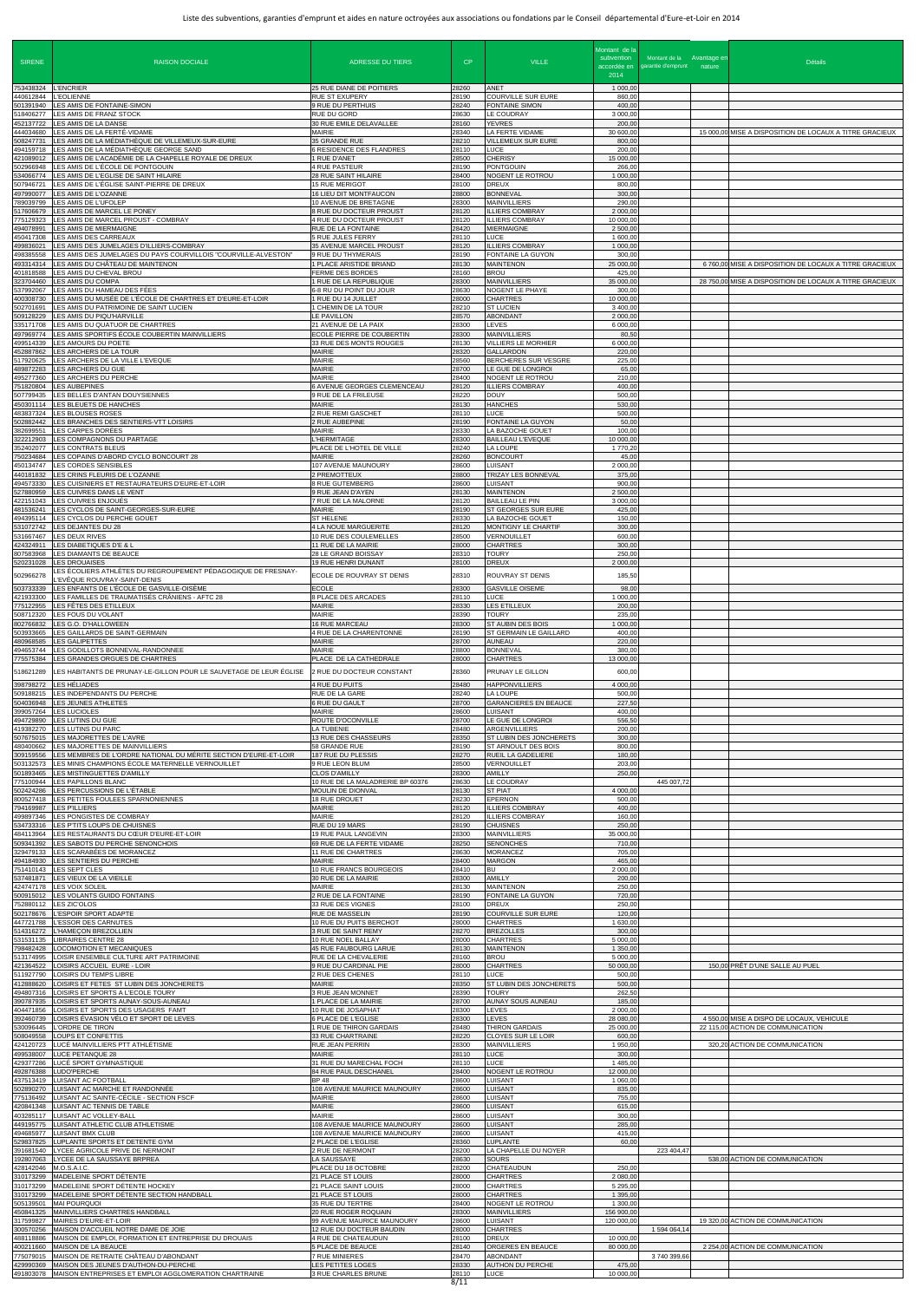| <b>SIRENE</b>                                 | <b>RAISON DOCIALE</b>                                                                                                              | <b>ADRESSE DU TIERS</b>                                                       | CP.                     | <b>VILLE</b>                                                         | Montant de la<br>subvention<br>accordée en<br>2014 | Montant de la Avantage er<br>garantie d'emprunt nature | <b>Détails</b>                                                                 |
|-----------------------------------------------|------------------------------------------------------------------------------------------------------------------------------------|-------------------------------------------------------------------------------|-------------------------|----------------------------------------------------------------------|----------------------------------------------------|--------------------------------------------------------|--------------------------------------------------------------------------------|
| 753438324 L'ENCRIER<br>440612844<br>501391940 | <b>L'EOLIENNE</b><br>LES AMIS DE FONTAINE-SIMON                                                                                    | 25 RUE DIANE DE POITIERS<br><b>RUE ST EXUPERY</b><br>9 RUE DU PERTHUIS        | 28260<br>28190<br>28240 | ANET<br><b>COURVILLE SUR EURE</b><br><b>FONTAINE SIMON</b>           | 1 000,00<br>860,00<br>400,0                        |                                                        |                                                                                |
| 18406277<br>452137722<br>444034680            | LES AMIS DE FRANZ STOCK<br>LES AMIS DE LA DANSE<br>LES AMIS DE LA FERTÉ-VIDAME                                                     | RUE DU GORD<br>30 RUE EMILE DELAVALLEE<br>MAIRIE                              | 28630<br>28160<br>28340 | LE COUDRAY<br><b>YEVRES</b><br>LA FERTE VIDAME                       | 3 000,00<br>200,00<br>30 600,0                     |                                                        | 15 000,00 MISE A DISPOSITION DE LOCAUX A TITRE GRACIEUX                        |
| 508247731<br>494159718                        | LES AMIS DE LA MÉDIATHÈQUE DE VILLEMEUX-SUR-EURE<br>LES AMIS DE LA MÉDIATHÈQUE GEORGE SAND                                         | 35 GRANDE RUE<br><b>6 RESIDENCE DES FLANDRES</b>                              | 28210<br>28110          | <b>VILLEMEUX SUR EURE</b><br>LUCE                                    | 800,00<br>200,00                                   |                                                        |                                                                                |
| 421089012<br>502966948<br>634066774           | LES AMIS DE L'ACADÉMIE DE LA CHAPELLE ROYALE DE DREUX<br>LES AMIS DE L'ÉCOLE DE PONTGOUIN<br>LES AMIS DE L'EGLISE DE SAINT HILAIRE | 1 RUE D'ANET<br>4 RUE PASTEUR<br>28 RUE SAINT HILAIRE                         | 28500<br>28190<br>28400 | <b>CHERISY</b><br><b>PONTGOUIN</b><br>NOGENT LE ROTROU               | 15 000,0<br>266,00<br>1 000,0                      |                                                        |                                                                                |
| 507946721<br>497990077<br>789039799           | LES AMIS DE L'ÉGLISE SAINT-PIERRE DE DREUX<br>LES AMIS DE L'OZANNE<br>LES AMIS DE L'UFOLEP                                         | 15 RUE MERIGOT<br>16 LIEU DIT MONTFAUCON<br>10 AVENUE DE BRETAGNE             | 28100<br>28800<br>28300 | <b>DREUX</b><br><b>BONNEVAL</b><br><b>MAINVILLIERS</b>               | 800,00<br>300,0<br>290,00                          |                                                        |                                                                                |
| 517606679<br>775129323                        | LES AMIS DE MARCEL LE PONEY<br>LES AMIS DE MARCEL PROUST - COMBRAY                                                                 | 8 RUE DU DOCTEUR PROUST<br>4 RUE DU DOCTEUR PROUST                            | 28120<br>28120          | <b>ILLIERS COMBRAY</b><br><b>ILLIERS COMBRAY</b>                     | 2 000,00<br>10 000,0                               |                                                        |                                                                                |
| 494078991<br>450417308<br>499836021           | LES AMIS DE MIERMAIGNE<br>LES AMIS DES CARREAUX<br>LES AMIS DES JUMELAGES D'ILLIERS-COMBRAY                                        | RUE DE LA FONTAINE<br>5 RUE JULES FERRY<br>35 AVENUE MARCEL PROUST            | 28420<br>28110<br>28120 | <b>MIERMAIGNE</b><br>LUCE<br><b>ILLIERS COMBRAY</b>                  | 2 500,00<br>1 600,0<br>1 000,00                    |                                                        |                                                                                |
| 498385558<br>493314314<br>401818588           | LES AMIS DES JUMELAGES DU PAYS COURVILLOIS "COURVILLE-ALVESTON"<br>LES AMIS DU CHÂTEAU DE MAINTENON<br>LES AMIS DU CHEVAL BROU     | 9 RUE DU THYMERAIS<br>1 PLACE ARISTIDE BRIAND<br>FERME DES BORDES             | 28190<br>28130<br>28160 | FONTAINE LA GUYON<br><b>MAINTENON</b><br><b>BROU</b>                 | 300,00<br>25 000,00<br>425,0                       |                                                        | 6 760,00 MISE A DISPOSITION DE LOCAUX A TITRE GRACIEUX                         |
| 323704460<br>537992067                        | LES AMIS DU COMPA<br>LES AMIS DU HAMEAU DES FÉES                                                                                   | I RUE DE LA REPUBLIQUE<br>6-8 RU DU POINT DU JOUR                             | 28300<br>28630          | <b>MAINVILLIERS</b><br>NOGENT LE PHAYE                               | 35 000,0<br>300,00                                 |                                                        | 28 750,00 MISE A DISPOSITION DE LOCAUX A TITRE GRACIEUX                        |
| 400308730<br>502701691<br>509128229           | LES AMIS DU MUSÉE DE L'ÉCOLE DE CHARTRES ET D'EURE-ET-LOIR<br>LES AMIS DU PATRIMOINE DE SAINT LUCIEN<br>LES AMIS DU PIQU'HARVILLE  | 1 RUE DU 14 JUILLET<br>1 CHEMIN DE LA TOUR<br>LE PAVILLON                     | 28000<br>28210<br>28570 | <b>CHARTRES</b><br><b>ST LUCIEN</b><br><b>ABONDANT</b>               | 10 000,0<br>3 400,00<br>2 000,00                   |                                                        |                                                                                |
| 335171708<br>497969774<br>499514339           | LES AMIS DU QUATUOR DE CHARTRES<br>LES AMIS SPORTIFS ÉCOLE COUBERTIN MAINVILLIERS<br>LES AMOURS DU POETE                           | 21 AVENUE DE LA PAIX<br>ECOLE PIERRE DE COUBERTIN<br>33 RUE DES MONTS ROUGES  | 28300<br>28300<br>28130 | LEVES<br><b>MAINVILLIERS</b><br>VILLIERS LE MORHIER                  | 6 000,0<br>80,50<br>6 000,00                       |                                                        |                                                                                |
| 452887862<br>517920625                        | LES ARCHERS DE LA TOUR<br>LES ARCHERS DE LA VILLE L'EVEQUE                                                                         | <b>MAIRIE</b><br><b>MAIRIE</b>                                                | 28320<br>28560          | <b>GALLARDON</b><br>BERCHERES SUR VESGRE                             | 220,00<br>225,00                                   |                                                        |                                                                                |
| 489872283<br>495277360                        | LES ARCHERS DU GUE<br>LES ARCHERS DU PERCHE<br>751820804 LES AUBEPINES                                                             | MAIRIE<br><b>MAIRIE</b><br>6 AVENUE GEORGES CLEMENCEAU                        | 28700<br>28400<br>28120 | LE GUE DE LONGROI<br>NOGENT LE ROTROU<br><b>ILLIERS COMBRAY</b>      | 65,00<br>210,00<br>400,00                          |                                                        |                                                                                |
| 507799435<br>450301114                        | LES BELLES D'ANTAN DOUYSIENNES<br>LES BLEUETS DE HANCHES                                                                           | 9 RUE DE LA FRILEUSE<br><b>MAIRIE</b>                                         | 28220<br>28130          | <b>DOUY</b><br><b>HANCHES</b>                                        | 500,00<br>530,00                                   |                                                        |                                                                                |
| 483837324<br>502882442<br>382699551           | LES BLOUSES ROSES<br>LES BRANCHES DES SENTIERS-VTT LOISIRS<br>LES CARPES DORÉES                                                    | 2 RUE REMI GASCHET<br>2 RUE AUBEPINE<br>MAIRIE                                | 28110<br>28190<br>28330 | LUCE<br><b>FONTAINE LA GUYON</b><br>LA BAZOCHE GOUET                 | 500,00<br>50,00<br>100,00                          |                                                        |                                                                                |
| 322212903<br>352402077<br>750234684           | LES COMPAGNONS DU PARTAGE<br>LES CONTRATS BLEUS<br>LES COPAINS D'ABORD CYCLO BONCOURT 28                                           | <b>L'HERMITAGE</b><br>PLACE DE L'HOTEL DE VILLE<br>MAIRIE                     | 28300<br>28240<br>28260 | <b>BAILLEAU L'EVEQUE</b><br>LA LOUPE<br><b>BONCOURT</b>              | 10 000,00<br>1 770,20<br>45,0                      |                                                        |                                                                                |
| 450134747<br>440181832                        | LES CORDES SENSIBLES<br>LES CRINS FLEURIS DE L'OZANNE                                                                              | 107 AVENUE MAUNOURY<br>2 PREMOTTEUX                                           | 28600<br>28800          | <b>LUISANT</b><br>TRIZAY LES BONNEVAL                                | 2 000,0<br>375,00                                  |                                                        |                                                                                |
| 494573330<br>527880959<br>422151043           | LES CUISINIERS ET RESTAURATEURS D'EURE-ET-LOIR<br>LES CUIVRES DANS LE VENT<br>LES CUIVRES ENJOUÉS                                  | 8 RUE GUTEMBERG<br>9 RUE JEAN D'AYEN<br>7 RUE DE LA MALORNE                   | 28600<br>28130<br>28120 | <b>LUISANT</b><br><b>MAINTENON</b><br><b>BAILLEAU LE PIN</b>         | 900,0<br>2 500,0<br>3 000,00                       |                                                        |                                                                                |
| 481536241                                     | LES CYCLOS DE SAINT-GEORGES-SUR-EURE<br>494395114 LES CYCLOS DU PERCHE GOUET<br>531072742 LES DEJANTES DU 28                       | MAIRIE<br><b>ST HELENE</b><br>4 LA NOUE MARGUERITE                            | 28190<br>28330<br>28120 | ST GEORGES SUR EURE<br>LA BAZOCHE GOUET<br>MONTIGNY LE CHARTIF       | 425,00<br>150,0<br>300,00                          |                                                        |                                                                                |
| 424324911                                     | 531667467 LES DEUX RIVES<br>LES DIABETIQUES D'E & L                                                                                | 10 RUE DES COULEMELLES<br>11 RUE DE LA MAIRIE                                 | 28500<br>28000          | <b>VERNOUILLET</b><br><b>CHARTRES</b>                                | 600,00<br>300,00                                   |                                                        |                                                                                |
| 807583968                                     | LES DIAMANTS DE BEAUCE<br>520231028 LES DROUAISES<br>LES ÉCOLIERS ATHLÈTES DU REGROUPEMENT PÉDAGOGIQUE DE FRESNAY-                 | 28 LE GRAND BOISSAY<br>19 RUE HENRI DUNANT                                    | 28310<br>28100          | <b>TOURY</b><br><b>DREUX</b>                                         | 250,00<br>2 000,00                                 |                                                        |                                                                                |
| 502966278<br>503733339                        | L'EVÊQUE ROUVRAY-SAINT-DENIS<br>LES ENFANTS DE L'ÉCOLE DE GASVILLE-OISÈME                                                          | ECOLE DE ROUVRAY ST DENIS<br><b>ECOLE</b>                                     | 28310<br>28300          | ROUVRAY ST DENIS<br><b>GASVILLE OISEME</b>                           | 185,50<br>98,00                                    |                                                        |                                                                                |
| 421933300<br>775122955<br>508712320           | LES FAMILLES DE TRAUMATISÉS CRÂNIENS - AFTC 28<br>LES FÊTES DES ETILLEUX<br>LES FOUS DU VOLANT                                     | 8 PLACE DES ARCADES<br>MAIRIE<br><b>MAIRIE</b>                                | 28110<br>28330<br>28390 | LUCE<br>LES ETILLEUX<br><b>TOURY</b>                                 | 1 000,0<br>200,00<br>235,00                        |                                                        |                                                                                |
| 802766832<br>503933665<br>480968585           | LES G.O. D'HALLOWEEN<br>LES GAILLARDS DE SAINT-GERMAIN<br><b>LES GALIPETTES</b>                                                    | <b>16 RUE MARCEAU</b><br>4 RUE DE LA CHARENTONNE<br><b>MAIRIE</b>             | 28300<br>28190<br>28700 | ST AUBIN DES BOIS<br>ST GERMAIN LE GAILLARD<br><b>AUNEAU</b>         | 1 000,00<br>400,0<br>220,00                        |                                                        |                                                                                |
| 494653744<br>775575384                        | LES GODILLOTS BONNEVAL-RANDONNEE<br>LES GRANDES ORGUES DE CHARTRES                                                                 | MAIRIE<br>PLACE DE LA CATHEDRALE                                              | 28800<br>28000          | <b>BONNEVAL</b><br><b>CHARTRES</b>                                   | 380,0<br>13 000,00                                 |                                                        |                                                                                |
| 518621289<br>398798272                        | LES HABITANTS DE PRUNAY-LE-GILLON POUR LE SAUVETAGE DE LEUR ÉGLISE<br>LES HÉLIADES                                                 | 2 RUE DU DOCTEUR CONSTANT<br>4 RUE DU PUITS                                   | 28360<br>28480          | PRUNAY LE GILLON<br><b>HAPPONVILLIERS</b>                            | 600,00<br>4 000,00                                 |                                                        |                                                                                |
| 509188215<br>504036948<br>399057264           | LES INDEPENDANTS DU PERCHE<br>LES JEUNES ATHLETES<br>LES LUCIOLES                                                                  | RUE DE LA GARE<br>6 RUE DU GAULT<br>MAIRIE                                    | 28240<br>28700<br>28600 | LA LOUPE<br><b>GARANCIERES EN BEAUCE</b><br><b>LUISANT</b>           | 500,00<br>227.50<br>400,00                         |                                                        |                                                                                |
| 494729890<br>419382270                        | LES LUTINS DU GUE<br>LES LUTINS DU PARC                                                                                            | ROUTE D'OCONVILLE<br>LA TUBENIE                                               | 28700<br>28480          | LE GUE DE LONGROI<br>ARGENVILLIERS                                   | 556,50<br>200,00                                   |                                                        |                                                                                |
| 507675015<br>480400662<br>309159556           | LES MAJORETTES DE L'AVRE<br>LES MAJORETTES DE MAINVILLIERS<br>LES MEMBRES DE L'ORDRE NATIONAL DU MÉRITE SECTION D'EURE-ET-LOIR     | <b>13 RUE DES CHASSEURS</b><br>58 GRANDE RUE<br>187 RUE DU PLESSIS            | 28350<br>28190<br>28270 | ST LUBIN DES JONCHERETS<br>ST ARNOULT DES BOIS<br>RUEIL LA GADELIERE | 300,00<br>800,00<br>180,0                          |                                                        |                                                                                |
| 503132573<br>501893465<br>75100944            | LES MINIS CHAMPIONS ÉCOLE MATERNELLE VERNOUILLET<br>LES MISTINGUETTES D'AMILLY<br>LES PAPILLONS BLANC                              | 9 RUE LEON BLUM<br><b>CLOS D'AMILLY</b><br>10 RUE DE LA MALADRERIE BP 60376   | 28500<br>28300<br>28630 | VERNOUILLET<br><b>AMILLY</b><br><b>LE COUDRAY</b>                    | 203,00<br>250,00                                   | 445 007,72                                             |                                                                                |
| 502424286<br>800527418                        | LES PERCUSSIONS DE L'ÉTABLE<br>LES PETITES FOULEES SPARNONIENNES                                                                   | MOULIN DE DIONVAL<br>18 RUE DROUET                                            | 28130<br>28230          | <b>ST PIAT</b><br><b>EPERNON</b>                                     | 4 000,0<br>500,00                                  |                                                        |                                                                                |
| 794169987<br>499897346<br>534733316           | LES P'ILLIERS<br>LES PONGISTES DE COMBRAY<br>LES P'TITS LOUPS DE CHUISNES                                                          | <b>MAIRIE</b><br>MAIRIE<br>RUE DU 19 MARS                                     | 28120<br>28120<br>28190 | <b>ILLIERS COMBRAY</b><br><b>ILLIERS COMBRAY</b><br><b>CHUISNES</b>  | 400,00<br>160,00<br>250,00                         |                                                        |                                                                                |
| 484113964<br>509341392<br>329479133           | LES RESTAURANTS DU CŒUR D'EURE-ET-LOIR<br>LES SABOTS DU PERCHE SENONCHOIS                                                          | 19 RUE PAUL LANGEVIN<br>69 RUE DE LA FERTE VIDAME<br>11 RUE DE CHARTRES       | 28300<br>28250<br>28630 | <b>MAINVILLIERS</b><br><b>SENONCHES</b><br><b>MORANCEZ</b>           | 35 000,0<br>710,00<br>705,00                       |                                                        |                                                                                |
| 494184930<br>751410143                        | LES SCARABÉES DE MORANCEZ<br>LES SENTIERS DU PERCHE<br>LES SEPT CLES                                                               | <b>MAIRIE</b><br>10 RUE FRANCS BOURGEOIS                                      | 28400<br>28410          | <b>MARGON</b><br><b>BU</b>                                           | 465,00<br>2 000,0                                  |                                                        |                                                                                |
| 537481871<br>500915012                        | LES VIEUX DE LA VIEILLE<br>424747178 LES VOIX SOLEIL<br>LES VOLANTS GUIDO FONTAINS                                                 | 30 RUE DE LA MAIRIE<br>MAIRIE<br>2 RUE DE LA FONTAINE                         | 28300<br>28130<br>28190 | <b>AMILLY</b><br><b>MAINTENON</b><br><b>FONTAINE LA GUYON</b>        | 200,00<br>250,00<br>720,00                         |                                                        |                                                                                |
| 752880112<br>502178676                        | LES ZIC'OLOS<br>L'ESPOIR SPORT ADAPTE                                                                                              | 33 RUE DES VIGNES<br>RUE DE MASSELIN                                          | 28100<br>28190          | <b>DREUX</b><br>COURVILLE SUR EURE                                   | 250,00<br>120,0                                    |                                                        |                                                                                |
| 447721788<br>514316272<br>531531135           | L'ESSOR DES CARNUTES<br>L'HAMEÇON BREZOLLIEN<br><b>LIBRAIRES CENTRE 28</b>                                                         | 10 RUE DU PUITS BERCHOT<br>3 RUE DE SAINT REMY<br>10 RUE NOEL BALLAY          | 28000<br>28270<br>28000 | <b>CHARTRES</b><br><b>BREZOLLES</b><br><b>CHARTRES</b>               | 1 630,00<br>300,0<br>5 000,00                      |                                                        |                                                                                |
| '98482428<br>513174995<br>421364522           | LOCOMOTION ET MECANIQUES<br>LOISIR ENSEMBLE CULTURE ART PATRIMOINE<br>LOISIRS ACCUEIL EURE - LOIR                                  | <b>45 RUE FAUBOURG LARUE</b><br>RUE DE LA CHEVALERIE<br>9 RUE DU CARDINAL PIE | 28130<br>28160<br>28000 | <b>MAINTENON</b><br><b>BROU</b><br><b>CHARTRES</b>                   | 1 350,0<br>5 000,0<br>50 000,00                    |                                                        | 150,00 PRÊT D'UNE SALLE AU PUEL                                                |
| 511927790<br>412888620                        | LOISIRS DU TEMPS LIBRE<br>LOISIRS ET FETES ST LUBIN DES JONCHERETS                                                                 | 2 RUE DES CHENES<br><b>MAIRIE</b>                                             | 28110<br>28350          | LUCE<br>ST LUBIN DES JONCHERETS                                      | 500,00<br>500,00                                   |                                                        |                                                                                |
| 494807316<br>90787935<br>404471856            | LOISIRS ET SPORTS A L'ECOLE TOURY<br>LOISIRS ET SPORTS AUNAY-SOUS-AUNEAU<br>LOISIRS ET SPORTS DES USAGERS FAMT                     | 3 RUE JEAN MONNET<br><b>PLACE DE LA MAIRIE</b><br>10 RUE DE JOSAPHAT          | 28390<br>28700<br>28300 | <b>TOURY</b><br><b>AUNAY SOUS AUNEAU</b><br><b>LEVES</b>             | 262,50<br>185,0<br>2 000,0                         |                                                        |                                                                                |
|                                               | 392460739 LOISIRS ÉVASION VÉLO ET SPORT DE LEVES<br>530096445 L'ORDRE DE TIRON<br>508049558 LOUPS ET CONFETTIS                     | 6 PLACE DE L'EGLISE<br>1 RUE DE THIRON GARDAIS<br>33 RUE CHARTRAINE           | 28300<br>28480<br>28220 | <b>LEVES</b><br><b>THIRON GARDAIS</b><br><b>CLOYES SUR LE LOIR</b>   | 28 080,00<br>25 000,00<br>600,00                   |                                                        | 4 550,00 MISE A DISPO DE LOCAUX, VEHICULE<br>22 115,00 ACTION DE COMMUNICATION |
|                                               | 424120723 LUCÉ MAINVILLIERS PTT ATHLÉTISME<br>499538007 LUCE PETANQUE 28                                                           | RUE JEAN PERRIN<br><b>MAIRIE</b>                                              | 28300<br>28110          | <b>MAINVILLIERS</b><br><b>LUCE</b>                                   | 1 950,00<br>300,00                                 |                                                        | 320,20 ACTION DE COMMUNICATION                                                 |
| 429377286<br>492876388                        | LUCÉ SPORT GYMNASTIQUE<br>LUDO'PERCHE<br>437513419 LUISANT AC FOOTBALL                                                             | 31 RUE DU MARECHAL FOCH<br>84 RUE PAUL DESCHANEL<br><b>BP 48</b>              | 28110<br>28400<br>28600 | LUCE<br>NOGENT LE ROTROU<br>LUISANT                                  | 1 485,0<br>12 000,00<br>1 060,00                   |                                                        |                                                                                |
| 775136492<br>420841348                        | 502890270 LUISANT AC MARCHE ET RANDONNÉE<br>LUISANT AC SAINTE-CÉCILE - SECTION FSCF<br>LUISANT AC TENNIS DE TABLE                  | 108 AVENUE MAURICE MAUNOURY<br>MAIRIE<br>MAIRIE                               | 28600<br>28600<br>28600 | <b>LUISANT</b><br>LUISANT<br><b>LUISANT</b>                          | 835,00<br>755,00<br>615,00                         |                                                        |                                                                                |
| 449195775                                     | 403285117 LUISANT AC VOLLEY-BALL<br>LUISANT ATHLETIC CLUB ATHLETISME                                                               | <b>MAIRIE</b><br>108 AVENUE MAURICE MAUNOURY                                  | 28600<br>28600          | LUISANT<br><b>LUISANT</b>                                            | 300,00<br>285,0                                    |                                                        |                                                                                |
| 529837825<br>391681540                        | 494685977 LUISANT BMX CLUB<br>LUPLANTE SPORTS ET DETENTE GYM<br>LYCEE AGRICOLE PRIVE DE NERMONT                                    | 108 AVENUE MAURICE MAUNOURY<br>2 PLACE DE L'EGLISE<br>2 RUE DE NERMONT        | 28600<br>28360<br>28200 | <b>LUISANT</b><br><b>LUPLANTE</b><br>LA CHAPELLE DU NOYER            | 415,00<br>60,00                                    | 223 404,47                                             |                                                                                |
| 428142046                                     | 192807063 LYCEE DE LA SAUSSAYE BRPREA<br>M.O.S.A.I.C.<br>310173299 MADELEINE SPORT DÉTENTE                                         | LA SAUSSAYE<br>PLACE DU 18 OCTOBRE<br>21 PLACE ST LOUIS                       | 28630<br>28200<br>28000 | <b>SOURS</b><br>CHATEAUDUN<br><b>CHARTRES</b>                        | 250,0<br>2 080,00                                  |                                                        | 538.00 ACTION DE COMMUNICATION                                                 |
| 310173299                                     | 310173299 MADELEINE SPORT DÉTENTE HOCKEY<br>MADELEINE SPORT DÉTENTE SECTION HANDBALL                                               | 21 PLACE SAINT LOUIS<br>21 PLACE ST LOUIS                                     | 28000<br>28000          | <b>CHARTRES</b><br><b>CHARTRES</b>                                   | 5 295,00<br>1 395,00                               |                                                        |                                                                                |
| 505139501<br>317599827                        | <b>MAI POURQUOI</b><br>450841325 MAINVILLIERS CHARTRES HANDBALL<br>MAIRES D'EURE-ET-LOIR                                           | 35 RUE DU TERTRE<br>20 RUE ROGER ROQUAIN<br>99 AVENUE MAURICE MAUNOURY        | 28400<br>28300<br>28600 | NOGENT LE ROTROU<br><b>MAINVILLIERS</b><br>LUISANT                   | 1 300,0<br>156 900,0<br>120 000,00                 |                                                        | 19 320,00 ACTION DE COMMUNICATION                                              |
| 300570256<br>400211660                        | MAISON D'ACCUEIL NOTRE DAME DE JOIE<br>488118886 MAISON DE EMPLOI, FORMATION ET ENTREPRISE DU DROUAIS<br>MAISON DE LA BEAUCE       | 12 RUE DU DOCTEUR BAUDIN<br>4 RUE DE CHATEAUDUN<br><b>5 PLACE DE BEAUCE</b>   | 28000<br>28100<br>28140 | <b>CHARTRES</b><br><b>DREUX</b><br>ORGERES EN BEAUCE                 | 10 000,00<br>80 000,00                             | 1 594 064,14                                           | 2 254,00 ACTION DE COMMUNICATION                                               |
|                                               | 775079015 MAISON DE RETRAITE CHÂTEAU D'ABONDANT<br>429990369 MAISON DES JEUNES D'AUTHON-DU-PERCHE                                  | 7 RUE MINIERES<br>LES PETITES LOGES                                           | 28470<br>28330          | <b>ABONDANT</b><br>AUTHON DU PERCHE                                  | 475,00                                             | 3740399.66                                             |                                                                                |
|                                               | 491803078 MAISON ENTREPRISES ET EMPLOI AGGLOMERATION CHARTRAINE                                                                    | 3 RUE CHARLES BRUNE                                                           | 28110<br>Q / 1 1        | LUCE                                                                 | 10 000,00                                          |                                                        |                                                                                |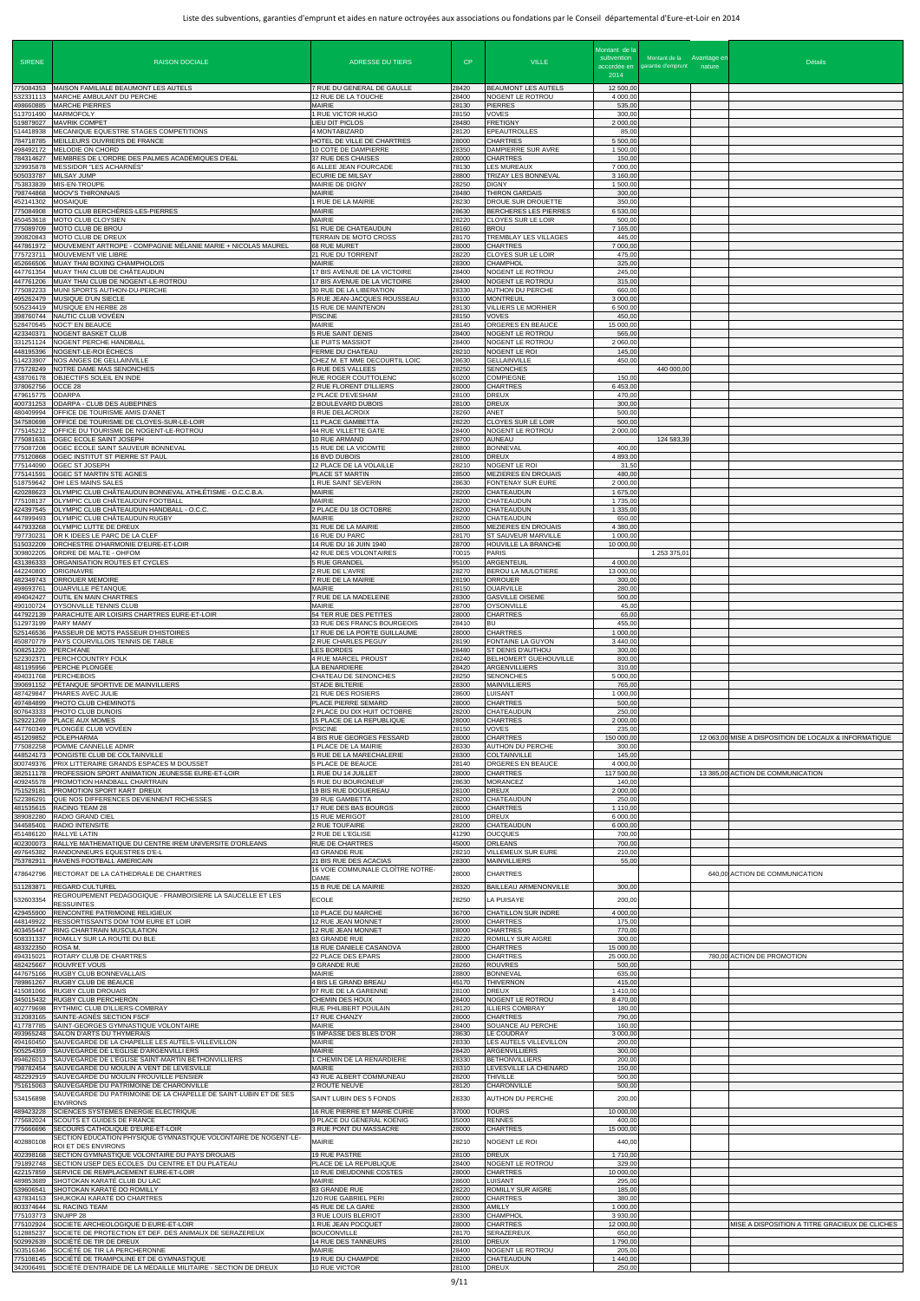| <b>SIRENE</b>                       | <b>RAISON DOCIALE</b>                                                                                                                     | <b>ADRESSE DU TIERS</b>                                                              | CP                      | <b>VILLE</b>                                                              | Montant de la<br>subvention<br>2014 | Montant de la Avantage en<br>accordée en garantie d'emprunt nature | <b>Détails</b>                                        |
|-------------------------------------|-------------------------------------------------------------------------------------------------------------------------------------------|--------------------------------------------------------------------------------------|-------------------------|---------------------------------------------------------------------------|-------------------------------------|--------------------------------------------------------------------|-------------------------------------------------------|
| 532331113                           | 775084353 MAISON FAMILIALE BEAUMONT LES AUTELS<br>MARCHE AMBULANT DU PERCHE                                                               | 7 RUE DU GENERAL DE GAULLE<br>12 RUE DE LA TOUCHE                                    | 28420<br>28400          | BEAUMONT LES AUTELS<br>NOGENT LE ROTROU                                   | 12 500,00<br>4 000,00               |                                                                    |                                                       |
| 498660885<br>513701490              | <b>MARCHE PIERRES</b><br><b>MARMOFOLY</b>                                                                                                 | <b>MAIRIE</b><br>1 RUE VICTOR HUGO                                                   | 28130<br>28150          | <b>PIERRES</b><br><b>VOVES</b>                                            | 535,00<br>300,00                    |                                                                    |                                                       |
| 519879027<br>514418938<br>784718785 | <b>MAVRIK COMPET</b><br>MECANIQUE EQUESTRE STAGES COMPETITIONS<br>MEILLEURS OUVRIERS DE FRANCE                                            | LIEU DIT PICLOS<br>4 MONTABIZARD<br>HOTEL DE VILLE DE CHARTRES                       | 28480<br>28120<br>28000 | <b>FRETIGNY</b><br>EPEAUTROLLES<br><b>CHARTRES</b>                        | 2 000,00<br>85,00<br>5 500,00       |                                                                    |                                                       |
| 498492172<br>784314627              | MELODIE ON CHORD<br>MEMBRES DE L'ORDRE DES PALMES ACADÉMIQUES D'E&L                                                                       | 10 COTE DE DAMPIERRE<br>37 RUE DES CHAISES                                           | 28350<br>28000          | DAMPIERRE SUR AVRE<br>CHARTRES                                            | 1 500,00<br>150,00                  |                                                                    |                                                       |
| 29935878<br>505033787               | <b>MESSIDOR "LES ACHARNÉS"</b><br><b>MILSAY JUMP</b><br>MIS-EN-TROUPE                                                                     | 6 ALLEE JEAN FOURCADE<br><b>ECURIE DE MILSAY</b>                                     | 78130<br>28800<br>28250 | <b>LES MUREAUX</b><br>TRIZAY LES BONNEVAL                                 | 7 000,00<br>3 160,00<br>1 500,00    |                                                                    |                                                       |
| 53833839<br>798744868<br>452141302  | MOOV'S THIRONNAIS<br>MOSAIQUE                                                                                                             | MAIRIE DE DIGNY<br>MAIRIE<br>1 RUE DE LA MAIRIE                                      | 28480<br>28230          | <b>DIGNY</b><br><b>THIRON GARDAIS</b><br>DROUE SUR DROUETTE               | 300,00<br>350,00                    |                                                                    |                                                       |
| 75084908<br>450453618               | MOTO CLUB BERCHÈRES-LES-PIERRES<br>MOTO CLUB CLOYSIEN                                                                                     | MAIRIE<br><b>MAIRIE</b>                                                              | 28630<br>28220          | <b>BERCHERES LES PIERRES</b><br><b>CLOYES SUR LE LOIR</b>                 | 6 530,00<br>500,00                  |                                                                    |                                                       |
| 775089709<br>390820843<br>447861972 | MOTO CLUB DE BROU<br>MOTO CLUB DE DREUX<br>MOUVEMENT ARTROPE - COMPAGNIE MÉLANIE MARIE + NICOLAS MAUREL                                   | 51 RUE DE CHATEAUDUN<br>TERRAIN DE MOTO CROSS<br>68 RUE MURET                        | 28160<br>28170<br>28000 | <b>BROU</b><br>TREMBLAY LES VILLAGES<br>CHARTRES                          | 7 165,00<br>445,00<br>7 000,00      |                                                                    |                                                       |
| 775723711<br>452666506              | MOUVEMENT VIE LIBRE<br>MUAY THAI BOXING CHAMPHOLOIS                                                                                       | <b>21 RUE DU TORRENT</b><br><b>MAIRIE</b>                                            | 28220<br>28300          | CLOYES SUR LE LOIR<br>CHAMPHOL                                            | 475,00<br>325,00                    |                                                                    |                                                       |
| 447761354<br>447761206              | MUAY THAI CLUB DE CHÂTEAUDUN<br>MUAY THAI CLUB DE NOGENT-LE-ROTROU                                                                        | 17 BIS AVENUE DE LA VICTOIRE<br>17 BIS AVENUE DE LA VICTOIRE                         | 28400<br>28400          | NOGENT LE ROTROU<br>NOGENT LE ROTROU                                      | 245,00<br>315,00                    |                                                                    |                                                       |
| 75082233<br>195262479<br>505234419  | MUNI SPORTS AUTHON-DU-PERCHE<br>MUSIQUE D'UN SIECLE<br>MUSIQUE EN HERBE 28                                                                | 30 RUE DE LA LIBERATION<br>5 RUE JEAN-JACQUES ROUSSEAU<br>15 RUE DE MAINTENON        | 28330<br>93100<br>28130 | <b>AUTHON DU PERCHE</b><br><b>MONTREUIL</b><br><b>VILLIERS LE MORHIER</b> | 660,00<br>3 000,00<br>6 500,00      |                                                                    |                                                       |
| 98760744<br>28470545                | NAUTIC CLUB VOVÉEN<br><b>NOCT' EN BEAUCE</b>                                                                                              | <b>PISCINE</b><br>MAIRIE                                                             | 28150<br>28140          | VOVES<br>ORGERES EN BEAUCE                                                | 450,00<br>15 000,00                 |                                                                    |                                                       |
| 423340371<br>331251124              | <b>NOGENT BASKET CLUB</b><br>NOGENT PERCHE HANDBALL<br>NOGENT-LE-ROI ÉCHECS                                                               | 5 RUE SAINT DENIS<br>LE PUITS MASSIOT                                                | 28400<br>28400<br>28210 | NOGENT LE ROTROU<br>NOGENT LE ROTROU                                      | 565,00<br>2 060,00                  |                                                                    |                                                       |
| 448195396<br>514233907<br>775728249 | NOS ANGES DE GELLAINVILLE<br>NOTRE DAME MAS SENONCHES                                                                                     | <b>FERME DU CHATEAU</b><br>CHEZ M. ET MME DECOURTIL LOIC<br><b>6 RUE DES VALLEES</b> | 28630<br>28250          | NOGENT LE ROI<br>GELLAINVILLE<br><b>SENONCHES</b>                         | 145,00<br>450,00                    | 440 000,00                                                         |                                                       |
| 438706178<br>378062756              | OBJECTIFS SOLEIL EN INDE<br>OCCE 28                                                                                                       | RUE ROGER COUTTOLENC<br>2 RUE FLORENT D'ILLIERS                                      | 60200<br>28000          | <b>COMPIEGNE</b><br><b>CHARTRES</b>                                       | 150,00<br>6 453,00                  |                                                                    |                                                       |
| 479615775<br>400731253<br>480409994 | ODARPA<br>ODARPA - CLUB DES AUBEPINES<br>OFFICE DE TOURISME AMIS D'ANET                                                                   | 2 PLACE D'EVESHAM<br>2 BOULEVARD DUBOIS<br><b>8 RUE DELACROIX</b>                    | 28100<br>28100<br>28260 | DREUX<br>DREUX<br>ANET                                                    | 470,00<br>300,00<br>500,00          |                                                                    |                                                       |
| 347580698<br>75145212               | OFFICE DE TOURISME DE CLOYES-SUR-LE-LOIR<br>OFFICE DU TOURISME DE NOGENT-LE-ROTROU                                                        | 11 PLACE GAMBETTA<br>44 RUE VILLETTE GATE                                            | 28220<br>28400          | CLOYES SUR LE LOIR<br>NOGENT LE ROTROU                                    | 500,00<br>2 000,00                  |                                                                    |                                                       |
| 75081631<br>775087208               | OGEC ECOLE SAINT JOSEPH<br>OGEC ECOLE SAINT SAUVEUR BONNEVAL                                                                              | 10 RUE ARMAND<br>15 RUE DE LA VICOMTE                                                | 28700<br>28800<br>28100 | <b>AUNEAU</b><br><b>BONNEVAL</b><br><b>DREUX</b>                          | 400,00                              | 124 583,3                                                          |                                                       |
| 775120868<br>775144090<br>775141591 | OGEC INSTITUT ST PIERRE ST PAUL<br>OGEC ST JOSEPH<br>OGEC ST MARTIN STE AGNES                                                             | 16 BVD DUBOIS<br>12 PLACE DE LA VOLAILLE<br><b>PLACE ST MARTIN</b>                   | 28210<br>28500          | NOGENT LE ROI<br>MEZIERES EN DROUAIS                                      | 4 893,00<br>31,50<br>480,00         |                                                                    |                                                       |
| 518759642<br>420288623              | OH! LES MAINS SALES<br>OLYMPIC CLUB CHÂTEAUDUN BONNEVAL ATHLÉTISME - O.C.C.B.A.                                                           | 1 RUE SAINT SEVERIN<br>MAIRIE                                                        | 28630<br>28200          | FONTENAY SUR EURE<br><b>CHATEAUDUN</b>                                    | 2 000,00<br>1 675,00                |                                                                    |                                                       |
| 775108137<br>424397545<br>447899493 | OLYMPIC CLUB CHÂTEAUDUN FOOTBALL<br>OLYMPIC CLUB CHÂTEAUDUN HANDBALL - O.C.C.<br>OLYMPIC CLUB CHÂTEAUDUN RUGBY                            | <b>MAIRIE</b><br>2 PLACE DU 18 OCTOBRE<br><b>MAIRIE</b>                              | 28200<br>28200<br>28200 | CHATEAUDUN<br>CHATEAUDUN<br>CHATEAUDUN                                    | 1 735,00<br>1 335,00<br>650,00      |                                                                    |                                                       |
| 797730231                           | 447933268 OLYMPIC LUTTE DE DREUX<br>OR K IDEES LE PARC DE LA CLEF                                                                         | 31 RUE DE LA MAIRIE<br>16 RUE DU PARC                                                | 28500<br>28170          | <b>MEZIERES EN DROUAIS</b><br><b>ST SAUVEUR MARVILLE</b>                  | 4 380,00<br>1 000,00                |                                                                    |                                                       |
| 515032209<br>309802205              | ORCHESTRE D'HARMONIE D'EURE-ET-LOIR<br>ORDRE DE MALTE - OHFOM                                                                             | 14 RUE DU 16 JUIN 1940<br>42 RUE DES VOLONTAIRES                                     | 28700<br>70015          | HOUVILLE LA BRANCHE<br><b>PARIS</b>                                       | 10 000,00                           | 1 253 375,01                                                       |                                                       |
| 431386333<br>42240800<br>482349743  | ORGANISATION ROUTES ET CYCLES<br>ORIGINAVRE<br>ORROUER MEMOIRE                                                                            | <b>5 RUE GRANDEL</b><br>2 RUE DE L'AVRE<br>7 RUE DE LA MAIRIE                        | 95100<br>28270<br>28190 | <b>ARGENTEUIL</b><br>BEROU LA MULOTIERE<br><b>ORROUER</b>                 | 4 000,00<br>13 000,00<br>300,00     |                                                                    |                                                       |
| 498693761<br>494042427              | OUARVILLE PÉTANQUE<br>OUTIL EN MAIN CHARTRES                                                                                              | MAIRIE<br>7 RUE DE LA MADELEINE                                                      | 28150<br>28300          | <b>OUARVILLE</b><br><b>GASVILLE OISEME</b>                                | 280,00<br>500,00                    |                                                                    |                                                       |
| 490100724<br>447922139              | OYSONVILLE TENNIS CLUB<br>PARACHUTE AIR LOISIRS CHARTRES EURE-ET-LOIR                                                                     | <b>MAIRIE</b><br>54 TER RUE DES PETITES                                              | 28700<br>28000          | <b>OYSONVILLE</b><br><b>CHARTRES</b>                                      | 45,00<br>65,00                      |                                                                    |                                                       |
| 512973199<br>525146536<br>450870779 | PARY MAMY<br>PASSEUR DE MOTS PASSEUR D'HISTOIRES<br>PAYS COURVILLOIS TENNIS DE TABLE                                                      | 33 RUE DES FRANCS BOURGEOIS<br>17 RUE DE LA PORTE GUILLAUME<br>2 RUE CHARLES PEGUY   | 28410<br>28000<br>28190 | BU<br><b>CHARTRES</b><br>FONTAINE LA GUYON                                | 455,00<br>1 000,00<br>3 440,00      |                                                                    |                                                       |
| 08251220<br>522302371               | PERCH'ANE<br>PERCH'COUNTRY FOLK                                                                                                           | <b>LES BORDES</b><br>4 RUE MARCEL PROUST                                             | 28480<br>28240          | ST DENIS D'AUTHOU<br>BELHOMERT GUEHOUVILLE                                | 300,00<br>800,00                    |                                                                    |                                                       |
| 481195956<br>494031768<br>390691152 | PERCHE PLONGÉE<br><b>PERCHEBOIS</b><br>PÉTANQUE SPORTIVE DE MAINVILLIERS                                                                  | LA BENARDIERE<br>CHATEAU DE SENONCHES<br>STADE BILTERIE                              | 28420<br>28250<br>28300 | <b>ARGENVILLIERS</b><br><b>SENONCHES</b><br><b>MAINVILLIERS</b>           | 310,00<br>5 000,00<br>765,00        |                                                                    |                                                       |
| 487429847<br>497484899              | PHARES AVEC JULIE<br>PHOTO CLUB CHEMINOTS                                                                                                 | 21 RUE DES ROSIERS<br>PLACE PIERRE SEMARD                                            | 28600<br>28000          | LUISANT<br><b>CHARTRES</b>                                                | 1 000,00<br>500,00                  |                                                                    |                                                       |
| 807643333<br>29221269               | PHOTO CLUB DUNOIS<br>PLACE AUX MOMES                                                                                                      | 2 PLACE DU DIX HUIT OCTOBRE<br>15 PLACE DE LA REPUBLIQUE                             | 28200<br>28000          | CHATEAUDUN<br><b>CHARTRES</b>                                             | 250,00<br>2 000,00                  |                                                                    |                                                       |
| 447760349<br>451209852<br>775082258 | PLONGÉE CLUB VOVÉEN<br>POLEPHARMA<br>POMME CANNELLE ADMR                                                                                  | <b>PISCINE</b><br>4 BIS RUE GEORGES FESSARD<br>1 PLACE DE LA MAIRIE                  | 28150<br>28000<br>28330 | <b>VOVES</b><br><b>CHARTRES</b><br>AUTHON DU PERCHE                       | 235,00<br>150 000,00<br>300,00      |                                                                    | 12 063,00 MISE A DISPOSITION DE LOCAUX & INFORMATIQUE |
| 148524173<br>800749376              | PONGISTE CLUB DE COLTAINVILLE<br>PRIX LITTERAIRE GRANDS ESPACES M DOUSSET                                                                 | 5 RUE DE LA MARECHALERIE<br><b>5 PLACE DE BEAUCE</b>                                 | 28300<br>28140          | <b>COLTAINVILLE</b><br>ORGERES EN BEAUCE                                  | 145,00<br>4 000,00                  |                                                                    |                                                       |
| 382511178<br>409245578<br>751529181 | PROFESSION SPORT ANIMATION JEUNESSE EURE-ET-LOIR<br>PROMOTION HANDBALL CHARTRAIN<br>PROMOTION SPORT KART DREUX                            | 1 RUE DU 14 JUILLET<br>5 RUE DU BOURGNEUF<br>19 BIS RUE DOGUEREAU                    | 28000<br>28630<br>28100 | <b>CHARTRES</b><br><b>MORANCEZ</b><br><b>DREUX</b>                        | 117 500,00<br>140,00<br>2 000,00    |                                                                    | 13 385,00 ACTION DE COMMUNICATION                     |
| 522386291<br>481535615              | QUE NOS DIFFERENCES DEVIENNENT RICHESSES<br>RACING TEAM 28                                                                                | 39 RUE GAMBETTA<br>17 RUE DES BAS BOURGS                                             | 28200<br>28000          | CHATEAUDUN<br><b>CHARTRES</b>                                             | 250,00<br>1 110,00                  |                                                                    |                                                       |
| 389082280<br>344585401              | RADIO GRAND CIEL<br>RADIO INTENSITE                                                                                                       | <b>15 RUE MERIGOT</b><br>2 RUE TOUFAIRE                                              | 28100<br>28200          | DREUX<br>CHATEAUDUN                                                       | 6 000.00<br>6 000,00                |                                                                    |                                                       |
| 451486120<br>402300073<br>497645382 | RALLYE LATIN<br>RALLYE MATHEMATIQUE DU CENTRE IREM UNIVERSITE D'ORLEANS<br>RANDONNEURS EQUESTRES D'E-L                                    | 2 RUE DE L'EGLISE<br><b>RUE DE CHARTRES</b><br>43 GRANDE RUE                         | 41290<br>45000<br>28210 | <b>OUCQUES</b><br><b>ORLEANS</b><br>VILLEMEUX SUR EURE                    | 700,00<br>700,00<br>210,00          |                                                                    |                                                       |
| 753782911<br>478642796              | RAVENS FOOTBALL AMERICAIN<br>RECTORAT DE LA CATHEDRALE DE CHARTRES                                                                        | 21 BIS RUE DES ACACIAS<br>16 VOIE COMMUNALE CLOÎTRE NOTRE-                           | 28300<br>28000          | <b>MAINVILLIERS</b><br><b>CHARTRES</b>                                    | 55,00                               |                                                                    | 640,00 ACTION DE COMMUNICATION                        |
| 511283871                           | REGARD CULTUREL<br>REGROUPEMENT PEDAGOGIQUE - FRAMBOISIERE LA SAUCELLE ET LES                                                             | <b>DAME</b><br>15 B RUE DE LA MAIRIE                                                 | 28320                   | BAILLEAU ARMENONVILLE                                                     | 300,00                              |                                                                    |                                                       |
| 532603354<br>429455900              | RESSUINTES<br>RENCONTRE PATRIMOINE RELIGIEUX                                                                                              | <b>ECOLE</b><br>10 PLACE DU MARCHE                                                   | 28250<br>36700          | LA PUISAYE<br>CHATILLON SUR INDRE                                         | 200,00<br>4 000,00                  |                                                                    |                                                       |
| 448149922<br>403455447<br>508331337 | RESSORTISSANTS DOM TOM EURE ET LOIR<br>RING CHARTRAIN MUSCULATION<br>ROMILLY SUR LA ROUTE DU BLE                                          | 12 RUE JEAN MONNET<br>12 RUE JEAN MONNET<br>83 GRANDE RUE                            | 28000<br>28000<br>28220 | <b>CHARTRES</b><br><b>CHARTRES</b><br>ROMILLY SUR AIGRE                   | 175.00<br>770,00<br>300,00          |                                                                    |                                                       |
| 483322350<br>494315021              | ROSA M.<br>ROTARY CLUB DE CHARTRES                                                                                                        | 18 RUE DANIELE CASANOVA<br>22 PLACE DES EPARS                                        | 28000<br>28000          | <b>CHARTRES</b><br><b>CHARTRES</b>                                        | 15 000,00<br>25 000,00              |                                                                    | 780,00 ACTION DE PROMOTION                            |
| 482425667<br>447675166<br>789861267 | ROUVR'ET VOUS<br>RUGBY CLUB BONNEVALLAIS<br>RUGBY CLUB DE BEAUCE                                                                          | 9 GRANDE RUE<br>MAIRIE                                                               | 28260<br>28800<br>45170 | <b>ROUVRES</b><br><b>BONNEVAL</b><br><b>THIVERNON</b>                     | 500,00<br>635,00<br>415,00          |                                                                    |                                                       |
| 15081066<br>345015432               | RUGBY CLUB DROUAIS<br>RUGBY CLUB PERCHERON                                                                                                | 4 BIS LE GRAND BREAU<br>97 RUE DE LA GARENNE<br>CHEMIN DES HOUX                      | 28100<br>28400          | <b>DREUX</b><br>NOGENT LE ROTROU                                          | 1410,00<br>8 470,00                 |                                                                    |                                                       |
| 402779698                           | RYTHMIC CLUB D'ILLIERS-COMBRAY<br>312083165 SAINTE-AGNÈS SECTION FSCF                                                                     | RUE PHILIBERT POULAIN<br>17 RUE CHANZY                                               | 28120<br>28000          | <b>ILLIERS COMBRAY</b><br><b>CHARTRES</b>                                 | 180,00<br>790,00                    |                                                                    |                                                       |
| 494160450                           | 417787785 SAINT-GEORGES GYMNASTIQUE VOLONTAIRE<br>493965248 SALON D'ARTS DU THYMERAIS<br>SAUVEGARDE DE LA CHAPELLE LES AUTELS-VILLEVILLON | <b>MAIRIE</b><br>5 IMPASSE DES BLES D'OR<br>MAIRIE                                   | 28400<br>28630<br>28330 | SOUANCE AU PERCHE<br>LE COUDRAY<br>LES AUTELS VILLEVILLON                 | 160,00<br>3 000,00<br>200,00        |                                                                    |                                                       |
| 505254359<br>494626013              | SAUVEGARDE DE L'EGLISE D'ARGENVILLI ERS<br>SAUVEGARDE DE L'ÉGLISE SAINT-MARTIN BÉTHONVILLIERS                                             | MAIRIE<br><b>CHEMIN DE LA RENARDIERE</b>                                             | 28420<br>28330          | <b>ARGENVILLIERS</b><br><b>BETHONVILLIERS</b>                             | 300,00<br>200,00                    |                                                                    |                                                       |
| 798782454<br>482292919<br>751615063 | SAUVEGARDE DU MOULIN A VENT DE LEVESVILLE<br>SAUVEGARDE DU MOULIN FROUVILLE PENSIER<br>SAUVEGARDE DU PATRIMOINE DE CHARONVILLE            | <b>MAIRIE</b><br>43 RUE ALBERT COMMUNEAU<br>2 ROUTE NEUVE                            | 28310<br>28200<br>28120 | LEVESVILLE LA CHENARD<br><b>THIVILLE</b><br>CHARONVILLE                   | 150,00<br>500,00<br>500,00          |                                                                    |                                                       |
| 534156898                           | SAUVEGARDE DU PATRIMOINE DE LA CHAPELLE DE SAINT-LUBIN ET DE SES<br>ENVIRONS                                                              | SAINT LUBIN DES 5 FONDS                                                              | 28330                   | AUTHON DU PERCHE                                                          | 200,00                              |                                                                    |                                                       |
| 489423228<br>775682024              | SCIENCES SYSTEMES ENERGIE ELECTRIQUE<br>SCOUTS ET GUIDES DE FRANCE                                                                        | 16 RUE PIERRE ET MARIE CURIE<br>9 PLACE DU GENERAL KOENIG                            | 37000<br>35000          | TOURS<br><b>RENNES</b>                                                    | 10 000,00<br>400,00                 |                                                                    |                                                       |
| 775666696<br>402880108              | SECOURS CATHOLIQUE D'EURE-ET-LOIR<br>SECTION ÉDUCATION PHYSIQUE GYMNASTIQUE VOLONTAIRE DE NOGENT-LE-<br>ROI ET DES ENVIRONS               | 3 RUE PONT DU MASSACRE<br>MAIRIE                                                     | 28000<br>28210          | <b>CHARTRES</b><br>NOGENT LE ROI                                          | 15 000,00<br>440,00                 |                                                                    |                                                       |
| 402398168<br>791892748              | SECTION GYMNASTIQUE VOLONTAIRE DU PAYS DROUAIS<br>SECTION USEP DES ECOLES DU CENTRE ET DU PLATEAU                                         | <b>19 RUE PASTRE</b><br>PLACE DE LA REPUBLIQUE                                       | 28100<br>28400          | <b>DREUX</b><br>NOGENT LE ROTROU                                          | 1710,00<br>329,00                   |                                                                    |                                                       |
| 422157859<br>489853689<br>539606541 | SERVICE DE REMPLACEMENT EURE-ET-LOIR<br>SHOTOKAN KARATÉ CLUB DU LAC<br>SHOTOKAN KARATÉ DO ROMILLY                                         | 10 RUE DIEUDONNE COSTES<br><b>MAIRIE</b><br>83 GRANDE RUE                            | 28000<br>28600<br>28220 | <b>CHARTRES</b><br>LUISANT<br>ROMILLY SUR AIGRE                           | 10 000,00<br>295,00<br>185,00       |                                                                    |                                                       |
| 437834153<br>803374644              | SHUKOKAI KARATÉ DO CHARTRES<br><b>SL RACING TEAM</b>                                                                                      | 120 RUE GABRIEL PERI<br>45 RUE DE LA GARE                                            | 28000<br>28300          | <b>CHARTRES</b><br>AMILLY                                                 | 380,00<br>1 000,00                  |                                                                    |                                                       |
| 775103773<br>775102924              | SNUIPP 28<br>SOCIETE ARCHEOLOGIQUE D EURE-ET-LOIR                                                                                         | 3 RUE LOUIS BLERIOT<br>1 RUE JEAN POCQUET                                            | 28300<br>28000          | CHAMPHOL<br><b>CHARTRES</b>                                               | 3 930,00<br>12 000,00               |                                                                    | MISE A DISPOSITION A TITRE GRACIEUX DE CLICHES        |
| 512885237<br>502992639<br>503516346 | SOCIETE DE PROTECTION ET DEF. DES ANIMAUX DE SERAZEREUX<br>SOCIÉTÉ DE TIR DE DREUX<br>SOCIÉTÉ DE TIR LA PERCHERONNE                       | <b>BOUCONVILLE</b><br>14 RUE DES TANNEURS<br><b>MAIRIE</b>                           | 28170<br>28100<br>28400 | SERAZEREUX<br><b>DREUX</b><br>NOGENT LE ROTROU                            | 650,00<br>1790,00<br>205,00         |                                                                    |                                                       |
|                                     | 775108145 SOCIÉTÉ DE TRAMPOLINE ET DE GYMNASTIQUE<br>342006491 SOCIÉTÉ D'ENTRAIDE DE LA MÉDAILLE MILITAIRE - SECTION DE DREUX             | 19 RUE DU CHAMPDE<br>10 RUE VICTOR                                                   | 28200<br>28100          | CHATEAUDUN<br><b>DREUX</b>                                                | 1 440,00<br>250,00                  |                                                                    |                                                       |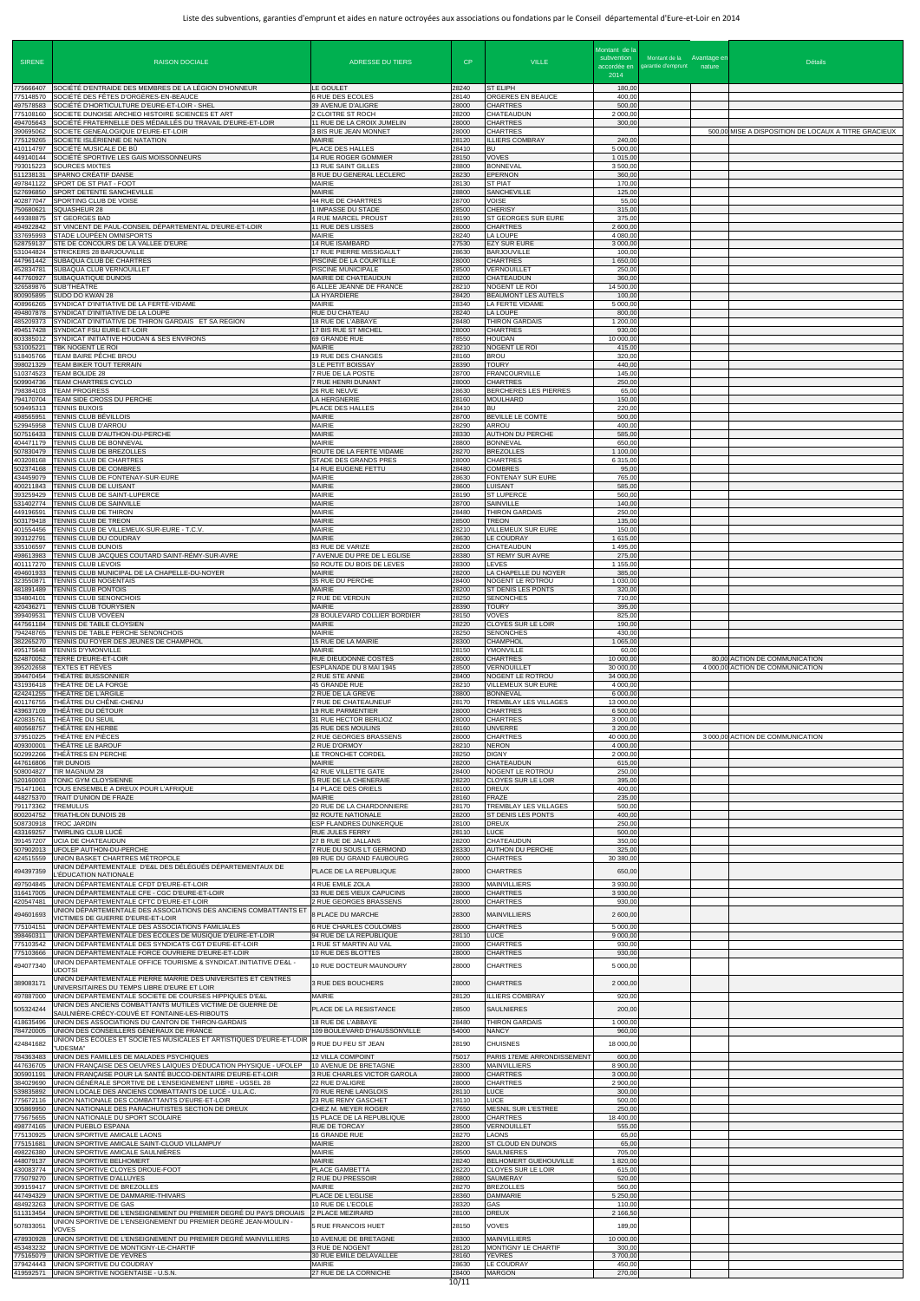| <b>SIRENE</b>                       | <b>RAISON DOCIALE</b>                                                                                                                                                        | <b>ADRESSE DU TIERS</b>                                                          | CP                      | <b>VILLE</b>                                                            | Montant de la<br>subvention<br>accordée en<br>2014 | Montant de la Avantage en<br>garantie d'emprunt | nature | <b>Détails</b>                                                    |
|-------------------------------------|------------------------------------------------------------------------------------------------------------------------------------------------------------------------------|----------------------------------------------------------------------------------|-------------------------|-------------------------------------------------------------------------|----------------------------------------------------|-------------------------------------------------|--------|-------------------------------------------------------------------|
| 775666407                           | SOCIÉTÉ D'ENTRAIDE DES MEMBRES DE LA LÉGION D'HONNEUR                                                                                                                        | LE GOULET                                                                        | 28240                   | <b>ST ELIPH</b>                                                         | 180,00                                             |                                                 |        |                                                                   |
| 775148570<br>497578583<br>775108160 | SOCIÉTÉ DES FÊTES D'ORGÈRES-EN-BEAUCE<br>SOCIÉTÉ D'HORTICULTURE D'EURE-ET-LOIR - SHEL<br>SOCIETE DUNOISE ARCHEO HISTOIRE SCIENCES ET ART                                     | 6 RUE DES ECOLES<br>39 AVENUE D'ALIGRE<br>2 CLOITRE ST ROCH                      | 28140<br>28000<br>28200 | ORGERES EN BEAUCE<br><b>CHARTRES</b><br>CHATEAUDUN                      | 400,0<br>500,00<br>2 000,00                        |                                                 |        |                                                                   |
| 494705643<br>390695062              | SOCIÉTÉ FRATERNELLE DES MÉDAILLÉS DU TRAVAIL D'EURE-ET-LOIR<br>SOCIETE GENEALOGIQUE D'EURE-ET-LOIR                                                                           | 11 RUE DE LA CROIX JUMELIN<br>3 BIS RUE JEAN MONNET                              | 28000<br>28000          | <b>CHARTRES</b><br><b>CHARTRES</b>                                      | 300,00                                             |                                                 |        | 500,00 MISE A DISPOSITION DE LOCAUX A TITRE GRACIEUX              |
| 775129265<br>410114797<br>449140144 | SOCIETE ISLÉRIENNE DE NATATION<br>SOCIÉTÉ MUSICALE DE BÛ<br>SOCIÉTÉ SPORTIVE LES GAIS MOISSONNEURS                                                                           | <b>MAIRIE</b><br>PLACE DES HALLES                                                | 28120<br>28410<br>28150 | <b>ILLIERS COMBRAY</b><br>BU<br><b>VOVES</b>                            | 240,00<br>5 000,0<br>1 015,00                      |                                                 |        |                                                                   |
| 793015223<br>511238131              | <b>SOURCES MIXTES</b><br>SPARNO CRÉATIF DANSE                                                                                                                                | 14 RUE ROGER GOMMIER<br>13 RUE SAINT GILLES<br>8 RUE DU GENERAL LECLERC          | 28800<br>28230          | <b>BONNEVAL</b><br><b>EPERNON</b>                                       | 3500,0<br>360,00                                   |                                                 |        |                                                                   |
| 497841122<br>27696850               | SPORT DE ST PIAT - FOOT<br>SPORT DETENTE SANCHEVILLE                                                                                                                         | <b>MAIRIE</b><br><b>MAIRIE</b>                                                   | 28130<br>28800          | <b>ST PIAT</b><br><b>SANCHEVILLE</b>                                    | 170.00<br>125,00                                   |                                                 |        |                                                                   |
| 402877047<br>750680621<br>449388875 | SPORTING CLUB DE VOISE<br>SQUASHEUR 28<br>ST GEORGES BAD                                                                                                                     | <b>44 RUE DE CHARTRES</b><br>1 IMPASSE DU STADE<br>4 RUE MARCEL PROUST           | 28700<br>28500<br>28190 | <b>VOISE</b><br><b>CHERISY</b><br>ST GEORGES SUR EURE                   | 55,00<br>315,00<br>375,0                           |                                                 |        |                                                                   |
| 494922842<br>337695993              | ST VINCENT DE PAUL-CONSEIL DÉPARTEMENTAL D'EURE-ET-LOIR<br>STADE LOUPÉEN OMNISPORTS                                                                                          | 11 RUE DES LISSES<br><b>MAIRIE</b>                                               | 28000<br>28240          | <b>CHARTRES</b><br>LA LOUPE                                             | 2 600,00<br>4 080,00                               |                                                 |        |                                                                   |
| 528759137<br>531044824<br>447961442 | STE DE CONCOURS DE LA VALLEE D'EURE<br>STRICKERS 28 BARJOUVILLE<br>SUBAQUA CLUB DE CHARTRES                                                                                  | 14 RUE ISAMBARD<br>17 RUE PIERRE MISSIGAULT<br>PISCINE DE LA COURTILLE           | 27530<br>28630<br>28000 | <b>EZY SUR EURE</b><br><b>BARJOUVILLE</b><br><b>CHARTRES</b>            | 3 000,0<br>100,00<br>1 650,00                      |                                                 |        |                                                                   |
| 452834781<br>447760927              | SUBAQUA CLUB VERNOUILLET<br>SUBAQUATIQUE DUNOIS                                                                                                                              | PISCINE MUNICIPALE<br>MAIRIE DE CHATEAUDUN                                       | 28500<br>28200          | <b>VERNOUILLET</b><br>CHATEAUDUN                                        | 250,00<br>360,00                                   |                                                 |        |                                                                   |
| 26589876<br>800905895<br>408966265  | SUB'THÉÂTRE<br>SUDO DO KWAN 28<br>SYNDICAT D'INITIATIVE DE LA FERTÉ-VIDAME                                                                                                   | 6 ALLEE JEANNE DE FRANCE<br>LA HYARDIERE<br><b>MAIRIE</b>                        | 28210<br>28420<br>28340 | NOGENT LE ROI<br>BEAUMONT LES AUTELS<br>LA FERTE VIDAME                 | 14 500,00<br>100,00<br>5 000,00                    |                                                 |        |                                                                   |
| 494807878<br>485209373              | SYNDICAT D'INITIATIVE DE LA LOUPE<br>SYNDICAT D'INITIATIVE DE THIRON GARDAIS ET SA REGION                                                                                    | RUE DU CHATEAU<br>18 RUE DE L'ABBAYE                                             | 28240<br>28480          | LA LOUPE<br>THIRON GARDAIS                                              | 800,00<br>1 200,00                                 |                                                 |        |                                                                   |
| 494517428<br>803385012<br>531005221 | SYNDICAT FSU EURE-ET-LOIR<br>SYNDICAT INITIATIVE HOUDAN & SES ENVIRONS<br>TBK NOGENT LE ROI                                                                                  | 17 BIS RUE ST MICHEL<br>69 GRANDE RUE<br><b>MAIRIE</b>                           | 28000<br>78550<br>28210 | <b>CHARTRES</b><br><b>HOUDAN</b><br>NOGENT LE ROI                       | 930,00<br>10 000,00<br>415,00                      |                                                 |        |                                                                   |
| 518405766<br>398021329              | TEAM BAIRE PÊCHE BROU<br>TEAM BIKER TOUT TERRAIN                                                                                                                             | 19 RUE DES CHANGES<br>3 LE PETIT BOISSAY                                         | 28160<br>28390          | <b>BROU</b><br><b>TOURY</b>                                             | 320,00<br>440.00                                   |                                                 |        |                                                                   |
| 510374523<br>509904736<br>798384103 | TEAM BOLIDE 28<br>TEAM CHARTRES CYCLO<br><b>TEAM PROGRESS</b>                                                                                                                | 7 RUE DE LA POSTE<br>7 RUE HENRI DUNANT<br>26 RUE NEUVE                          | 28700<br>28000<br>28630 | <b>FRANCOURVILLE</b><br><b>CHARTRES</b><br><b>BERCHERES LES PIERRES</b> | 145,00<br>250,00<br>65,00                          |                                                 |        |                                                                   |
| 794170704<br>509495313              | TEAM SIDE CROSS DU PERCHE<br><b>TENNIS BUXOIS</b>                                                                                                                            | LA HERGNERIE<br>PLACE DES HALLES                                                 | 28160<br>28410          | <b>MOULHARD</b><br><b>BU</b>                                            | 150,00<br>220,00                                   |                                                 |        |                                                                   |
| 498565951<br>29945958<br>507516433  | TENNIS CLUB BÉVILLOIS<br>TENNIS CLUB D'ARROU<br>TENNIS CLUB D'AUTHON-DU-PERCHE                                                                                               | <b>MAIRIE</b><br><b>MAIRIE</b><br><b>MAIRIE</b>                                  | 28700<br>28290<br>28330 | BEVILLE LE COMTE<br>ARROU<br><b>AUTHON DU PERCHE</b>                    | 500,00<br>400,00<br>585,0                          |                                                 |        |                                                                   |
| 404471179<br>507830479              | TENNIS CLUB DE BONNEVAL<br>TENNIS CLUB DE BREZOLLES                                                                                                                          | MAIRIE<br>ROUTE DE LA FERTE VIDAME                                               | 28800<br>28270          | <b>BONNEVAL</b><br><b>BREZOLLES</b>                                     | 650,00<br>1 100,00                                 |                                                 |        |                                                                   |
| 403208168<br>502374168              | TENNIS CLUB DE CHARTRES<br>TENNIS CLUB DE COMBRES                                                                                                                            | STADE DES GRANDS PRES<br>14 RUE EUGENE FETTU<br><b>MAIRIE</b>                    | 28000<br>28480<br>28630 | <b>CHARTRES</b><br><b>COMBRES</b><br>FONTENAY SUR EURE                  | 6 315,00<br>95,00                                  |                                                 |        |                                                                   |
| 434459079<br>400211843<br>393259429 | TENNIS CLUB DE FONTENAY-SUR-EURE<br>TENNIS CLUB DE LUISANT<br>TENNIS CLUB DE SAINT-LUPERCE                                                                                   | <b>MAIRIE</b><br><b>MAIRIE</b>                                                   | 28600<br>28190          | <b>LUISANT</b><br><b>ST LUPERCE</b>                                     | 765,00<br>585,00<br>560,00                         |                                                 |        |                                                                   |
| 531402774<br>449196591              | TENNIS CLUB DE SAINVILLE<br>TENNIS CLUB DE THIRON                                                                                                                            | <b>MAIRIE</b><br><b>MAIRIE</b>                                                   | 28700<br>28480          | SAINVILLE<br>THIRON GARDAIS                                             | 140,00<br>250,00                                   |                                                 |        |                                                                   |
| 503179418<br>401554456<br>393122791 | TENNIS CLUB DE TREON<br>TENNIS CLUB DE VILLEMEUX-SUR-EURE - T.C.V.<br><b>TENNIS CLUB DU COUDRAY</b>                                                                          | <b>MAIRIE</b><br><b>MAIRIE</b><br><b>MAIRIE</b>                                  | 28500<br>28210<br>28630 | <b>TREON</b><br><b>VILLEMEUX SUR EURE</b><br>LE COUDRAY                 | 135,00<br>150.00<br>1 615,00                       |                                                 |        |                                                                   |
| 335106597<br>498613983              | TENNIS CLUB DUNOIS<br>TENNIS CLUB JACQUES COUTARD SAINT-RÉMY-SUR-AVRE                                                                                                        | 83 RUE DE VARIZE<br>7 AVENUE DU PRE DE L EGLISE                                  | 28200<br>28380          | CHATEAUDUN<br><b>ST REMY SUR AVRE</b>                                   | 1 495,00<br>275,00                                 |                                                 |        |                                                                   |
| 401117270<br>494601933<br>323550871 | TENNIS CLUB LEVOIS<br>TENNIS CLUB MUNICIPAL DE LA CHAPELLE-DU-NOYER<br>TENNIS CLUB NOGENTAIS                                                                                 | 50 ROUTE DU BOIS DE LEVES<br><b>MAIRIE</b><br>35 RUE DU PERCHE                   | 28300<br>28200<br>28400 | <b>LEVES</b><br>LA CHAPELLE DU NOYER<br>NOGENT LE ROTROU                | 1 155,00<br>385,00<br>1 030,0                      |                                                 |        |                                                                   |
| 481891489<br>334804101              | TENNIS CLUB PONTOIS<br>TENNIS CLUB SENONCHOIS                                                                                                                                | <b>MAIRIE</b><br>2 RUE DE VERDUN                                                 | 28200<br>28250          | <b>ST DENIS LES PONTS</b><br><b>SENONCHES</b>                           | 320,00<br>710,0                                    |                                                 |        |                                                                   |
| 420436271<br>399409531<br>447561184 | <b>TENNIS CLUB TOURYSIEN</b><br>TENNIS CLUB VOVÉEN<br>TENNIS DE TABLE CLOYSIEN                                                                                               | MAIRIE<br>28 BOULEVARD COLLIER BORDIER<br><b>MAIRIE</b>                          | 28390<br>28150<br>28220 | <b>TOURY</b><br>VOVES<br><b>CLOYES SUR LE LOIR</b>                      | 395,00<br>825,00<br>190,00                         |                                                 |        |                                                                   |
| 794248765<br>382265270              | TENNIS DE TABLE PERCHE SENONCHOIS<br>TENNIS DU FOYER DES JEUNES DE CHAMPHOL                                                                                                  | <b>MAIRIE</b><br>15 RUE DE LA MAIRIE                                             | 28250<br>28300          | <b>SENONCHES</b><br><b>CHAMPHOL</b>                                     | 430,00<br>1 065,00                                 |                                                 |        |                                                                   |
| 495175648<br>524870052<br>395202658 | TENNIS D'YMONVILLE<br>TERRE D'EURE-ET-LOIR<br>TEXTES ET RÊVES                                                                                                                | <b>MAIRIE</b><br>RUE DIEUDONNE COSTES<br>ESPLANADE DU 8 MAI 1945                 | 28150<br>28000<br>28500 | YMONVILLE<br><b>CHARTRES</b><br><b>VERNOUILLET</b>                      | 60,0<br>10 000,0<br>30 000,0                       |                                                 |        | 80,00 ACTION DE COMMUNICATION<br>4 000.00 ACTION DE COMMUNICATION |
| 394470454<br>431936418              | THÉÂTRE BUISSONNIER<br>THÉÂTRE DE LA FORGE                                                                                                                                   | 2 RUE STE ANNE<br>45 GRANDE RUE                                                  | 28400<br>28210          | NOGENT LE ROTROU<br>VILLEMEUX SUR EURE                                  | 34 000,0<br>4 000,0                                |                                                 |        |                                                                   |
| 424241255<br>439637109              | THÉÂTRE DE L'ARGILE<br>401176755 THÉÂTRE DU CHÊNE-CHENU<br>THÉÂTRE DU DÉTOUR                                                                                                 | 2 RUE DE LA GREVE<br>7 RUE DE CHATEAUNEUF<br><b>19 RUE PARMENTIER</b>            | 28800<br>28170<br>28000 | <b>BONNEVAL</b><br><b>TREMBLAY LES VILLAGES</b><br><b>CHARTRES</b>      | 6 000,0<br>13 000,0<br>6 500,0                     |                                                 |        |                                                                   |
| 420835761                           | THÉÂTRE DU SEUIL<br>480568757 THÉÂTRE EN HERBE                                                                                                                               | 31 RUE HECTOR BERLIOZ<br>35 RUE DES MOULINS                                      | 28000<br>28160          | <b>CHARTRES</b><br><b>UNVERRE</b>                                       | 3 000,0<br>3 200,00                                |                                                 |        |                                                                   |
| 379510225<br>409300001              | THÉÂTRE EN PIÈCES<br>THÉÂTRE LE BAROUF                                                                                                                                       | 2 RUE GEORGES BRASSENS<br>2 RUE D'ORMOY                                          | 28000<br>28210<br>28250 | <b>CHARTRES</b><br><b>NERON</b><br><b>DIGNY</b>                         | 40 000.0<br>4 000,0<br>2 000,00                    |                                                 |        | 3 000,00 ACTION DE COMMUNICATION                                  |
| 502992266<br>447616806<br>508004827 | THÉÂTRES EN PERCHE<br><b>TIR DUNOIS</b><br>TIR MAGNUM 28                                                                                                                     | LE TRONCHET CORDEL<br><b>MAIRIE</b><br>42 RUE VILLETTE GATE                      | 28200<br>28400          | CHATEAUDUN<br>NOGENT LE ROTROU                                          | 615,00<br>250,00                                   |                                                 |        |                                                                   |
| 520160003<br>751471061              | TONIC GYM CLOYSIENNE<br>TOUS ENSEMBLE A DREUX POUR L'AFRIQUE                                                                                                                 | 5 RUE DE LA CHENERAIE<br>14 PLACE DES ORIELS                                     | 28220<br>28100          | <b>CLOYES SUR LE LOIR</b><br><b>DREUX</b>                               | 395,00<br>400,00                                   |                                                 |        |                                                                   |
| 448275370<br>791173362<br>800204752 | TRAIT D'UNION DE FRAZE<br>TREMULUS<br>TRIATHLON DUNOIS 28                                                                                                                    | <b>MAIRIE</b><br>20 RUE DE LA CHARDONNIERE<br>92 ROUTE NATIONALE                 | 28160<br>28170<br>28200 | FRAZE<br><b>TREMBLAY LES VILLAGES</b><br>ST DENIS LES PONTS             | 235,00<br>500,00<br>400,0                          |                                                 |        |                                                                   |
| 508730918<br>433169257              | <b>TROC JARDIN</b><br>TWIRLING CLUB LUCÉ                                                                                                                                     | ESP FLANDRES DUNKERQUE<br>RUE JULES FERRY                                        | 28100<br>28110          | <b>DREUX</b><br>LUCE                                                    | 250,00<br>500,00                                   |                                                 |        |                                                                   |
| 391457207<br>507902013<br>424515559 | UCIA DE CHATEAUDUN<br>UFOLEP AUTHON-DU-PERCHE<br>UNION BASKET CHARTRES MÉTROPOLE                                                                                             | 27 B RUE DE JALLANS<br>7 RUE DU SOUS LT GERMOND<br>89 RUE DU GRAND FAUBOURG      | 28200<br>28330<br>28000 | <b>CHATEAUDUN</b><br><b>AUTHON DU PERCHE</b><br><b>CHARTRES</b>         | 350,0<br>325,00<br>30 380,0                        |                                                 |        |                                                                   |
| 494397359                           | UNION DÉPARTEMENTALE D'E&L DES DÉLÉGUÉS DÉPARTEMENTAUX DE<br>EDUCATION NATIONALE.                                                                                            | PLACE DE LA REPUBLIQUE                                                           | 28000                   | <b>CHARTRES</b>                                                         | 650,00                                             |                                                 |        |                                                                   |
| 497504845<br>316417005<br>420547481 | UNION DÉPARTEMENTALE CFDT D'EURE-ET-LOIR<br>UNION DÉPARTEMENTALE CFE - CGC D'EURE-ET-LOIR<br>UNION DEPARTEMENTALE CFTC D'EURE-ET-LOIR                                        | 4 RUE EMILE ZOLA<br>33 RUE DES VIEUX CAPUCINS<br>2 RUE GEORGES BRASSENS          | 28300<br>28000<br>28000 | <b>MAINVILLIERS</b><br><b>CHARTRES</b><br><b>CHARTRES</b>               | 3 930,00<br>3 9 3 0 , 0<br>930,00                  |                                                 |        |                                                                   |
| 494601693                           | JNION DÉPARTEMENTALE DES ASSOCIATIONS DES ANCIENS COMBATTANTS ET<br>VICTIMES DE GUERRE D'EURE-ET-LOIR                                                                        | 8 PLACE DU MARCHE                                                                | 28300                   | <b>MAINVILLIERS</b>                                                     | 2 600,00                                           |                                                 |        |                                                                   |
| 775104151<br>398460311<br>775103542 | UNION DÉPARTEMENTALE DES ASSOCIATIONS FAMILIALES<br>UNION DÉPARTEMENTALE DES ÉCOLES DE MUSIQUE D'EURE-ET-LOIR<br>UNION DÉPARTEMENTALE DES SYNDICATS CGT D'EURE-ET-LOIR       | 6 RUE CHARLES COULOMBS<br>94 RUE DE LA REPUBLIQUE<br>1 RUE ST MARTIN AU VAL      | 28000<br>28110<br>28000 | <b>CHARTRES</b><br><b>LUCE</b><br><b>CHARTRES</b>                       | 5 000.00<br>9 000,0<br>930,00                      |                                                 |        |                                                                   |
| 775103666<br>494077340              | UNION DÉPARTEMENTALE FORCE OUVRIERE D'EURE-ET-LOIR<br>JNION DEPARTEMENTALE OFFICE TOURISME & SYNDICAT.INITIATIVE D'E&L -                                                     | 10 RUE DES BLOTTES<br>10 RUE DOCTEUR MAUNOURY                                    | 28000<br>28000          | <b>CHARTRES</b><br><b>CHARTRES</b>                                      | 930,00<br>5 000,00                                 |                                                 |        |                                                                   |
| 389083171                           | <b>JDOTSI</b><br>JNION DEPARTEMENTALE PIERRE MARRIE DES UNIVERSITES ET CENTRES<br>UNIVERSITAIRES DU TEMPS LIBRE D'EURE ET LOIR                                               | 3 RUE DES BOUCHERS                                                               | 28000                   | <b>CHARTRES</b>                                                         | 2 000,00                                           |                                                 |        |                                                                   |
| 497887000<br>505324244              | UNION DEPARTEMENTALE SOCIETE DE COURSES HIPPIQUES D'E&L<br>JNION DES ANCIENS COMBATTANTS MUTILÉS VICTIME DE GUERRE DE                                                        | <b>MAIRIE</b><br>PLACE DE LA RESISTANCE                                          | 28120<br>28500          | <b>ILLIERS COMBRAY</b><br><b>SAULNIERES</b>                             | 920,00<br>200,00                                   |                                                 |        |                                                                   |
| 784720005                           | SAULNIÈRE-CRÉCY-COUVÉ ET FONTAINE-LES-RIBOUTS<br>418635496 UNION DES ASSOCIATIONS DU CANTON DE THIRON-GARDAIS<br>UNION DES CONSEILLERS GÉNÉRAUX DE FRANCE                    | 18 RUE DE L'ABBAYE<br>109 BOULEVARD D'HAUSSONVILLE                               | 28480<br>54000          | <b>THIRON GARDAIS</b><br><b>NANCY</b>                                   | 1 000,00<br>960,00                                 |                                                 |        |                                                                   |
| 424841682                           | JNION DES ÉCOLES ET SOCIÉTÉS MUSICALES ET ARTISTIQUES D'EURE-ET-LOIR<br>"UDESMA"                                                                                             | 9 RUE DU FEU ST JEAN                                                             | 28190                   | <b>CHUISNES</b>                                                         | 18 000,00                                          |                                                 |        |                                                                   |
| 784363483<br>447636705<br>305901191 | UNION DES FAMILLES DE MALADES PSYCHIQUES<br>UNION FRANCAISE DES OEUVRES LAÏQUES D'ÉDUCATION PHYSIQUE - UFOLEP<br>UNION FRANCAISE POUR LA SANTÉ BUCCO-DENTAIRE D'EURE-ET-LOIR | <b>12 VILLA COMPOINT</b><br>10 AVENUE DE BRETAGNE<br>3 RUE CHARLES VICTOR GAROLA | 75017<br>28300<br>28000 | PARIS 17EME ARRONDISSEMENT<br><b>MAINVILLIERS</b><br><b>CHARTRES</b>    | 600,00<br>8 900,00<br>3 000,00                     |                                                 |        |                                                                   |
| 384029690<br>539835892              | UNION GÉNÉRALE SPORTIVE DE L'ENSEIGNEMENT LIBRE - UGSEL 28<br>UNION LOCALE DES ANCIENS COMBATTANTS DE LUCÉ - U.L.A.C.                                                        | 22 RUE D'ALIGRE<br>70 RUE RENE LANGLOIS                                          | 28000<br>28110          | <b>CHARTRES</b><br><b>LUCE</b>                                          | 2 900,0<br>300,00                                  |                                                 |        |                                                                   |
| 775672116<br>305869950<br>75675655  | UNION NATIONALE DES COMBATTANTS D'EURE-ET-LOIR<br>UNION NATIONALE DES PARACHUTISTES SECTION DE DREUX<br>UNION NATIONALE DU SPORT SCOLAIRE                                    | 23 RUE REMY GASCHET<br>CHEZ M. MEYER ROGER<br>15 PLACE DE LA REPUBLIQUE          | 28110<br>27650<br>28000 | <b>LUCE</b><br><b>MESNIL SUR L'ESTREE</b><br><b>CHARTRES</b>            | 500,00<br>250,0<br>18 400,00                       |                                                 |        |                                                                   |
| 498774165<br>775130925              | UNION PUEBLO ESPANA<br>UNION SPORTIVE AMICALE LAONS                                                                                                                          | RUE DE TORCAY<br>16 GRANDE RUE                                                   | 28500<br>28270          | VERNOUILLET<br><b>LAONS</b>                                             | 555,00<br>65,00                                    |                                                 |        |                                                                   |
| 75151681<br>498226380<br>448079137  | UNION SPORTIVE AMICALE SAINT-CLOUD VILLAMPUY<br>UNION SPORTIVE AMICALE SAULNIÈRES<br>UNION SPORTIVE BELHOMERT                                                                | <b>MAIRIE</b><br><b>MAIRIE</b><br><b>MAIRIE</b>                                  | 28200<br>28500<br>28240 | <b>ST CLOUD EN DUNOIS</b><br><b>SAULNIERES</b><br>BELHOMERT GUEHOUVILLE | 65,00<br>705,00<br>1820,00                         |                                                 |        |                                                                   |
| 430083774<br>775079270              | UNION SPORTIVE CLOYES DROUE-FOOT<br>UNION SPORTIVE D'ALLUYES                                                                                                                 | PLACE GAMBETTA<br>2 RUE DU PRESSOIR                                              | 28220<br>28800          | <b>CLOYES SUR LE LOIR</b><br>SAUMERAY                                   | 615,00<br>520,00                                   |                                                 |        |                                                                   |
| 399159417<br>447494329<br>484923263 | UNION SPORTIVE DE BREZOLLES<br>UNION SPORTIVE DE DAMMARIE-THIVARS<br>UNION SPORTIVE DE GAS                                                                                   | <b>MAIRIE</b><br>PLACE DE L'EGLISE<br>10 RUE DE L'ECOLE                          | 28270<br>28360<br>28320 | <b>BREZOLLES</b><br><b>DAMMARIE</b><br>GAS                              | 560,00<br>5 250,00<br>110,00                       |                                                 |        |                                                                   |
| 511313454<br>507833051              | UNION SPORTIVE DE L'ENSEIGNEMENT DU PREMIER DEGRÉ DU PAYS DROUAIS   2 PLACE MEZIRARD<br>JNION SPORTIVE DE L'ENSEIGNEMENT DU PREMIER DEGRÉ JEAN-MOULIN -                      | 5 RUE FRANCOIS HUET                                                              | 28100<br>28150          | <b>DREUX</b><br><b>VOVES</b>                                            | 2 166,50<br>189,00                                 |                                                 |        |                                                                   |
| 478930928<br>453483232              | <b>VOVES</b><br>UNION SPORTIVE DE L'ENSEIGNEMENT DU PREMIER DEGRÉ MAINVILLIERS<br>UNION SPORTIVE DE MONTIGNY-LE-CHARTIF                                                      | 10 AVENUE DE BRETAGNE<br>3 RUE DE NOGENT                                         | 28300<br>28120          | <b>MAINVILLIERS</b><br>MONTIGNY LE CHARTIF                              | 10 000,00<br>300,0                                 |                                                 |        |                                                                   |
| 775165079<br>379424443              | UNION SPORTIVE DE YEVRES<br>UNION SPORTIVE DU COUDRAY                                                                                                                        | 30 RUE EMILE DELAVALLEE<br><b>MAIRIE</b>                                         | 28160<br>28630          | <b>YEVRES</b><br><b>LE COUDRAY</b>                                      | 3700,00<br>450,00                                  |                                                 |        |                                                                   |
| 419592571                           | UNION SPORTIVE NOGENTAISE - U.S.N.                                                                                                                                           | 27 RUE DE LA CORNICHE                                                            | 28400<br>10/11          | <b>MARGON</b>                                                           | 270,00                                             |                                                 |        |                                                                   |